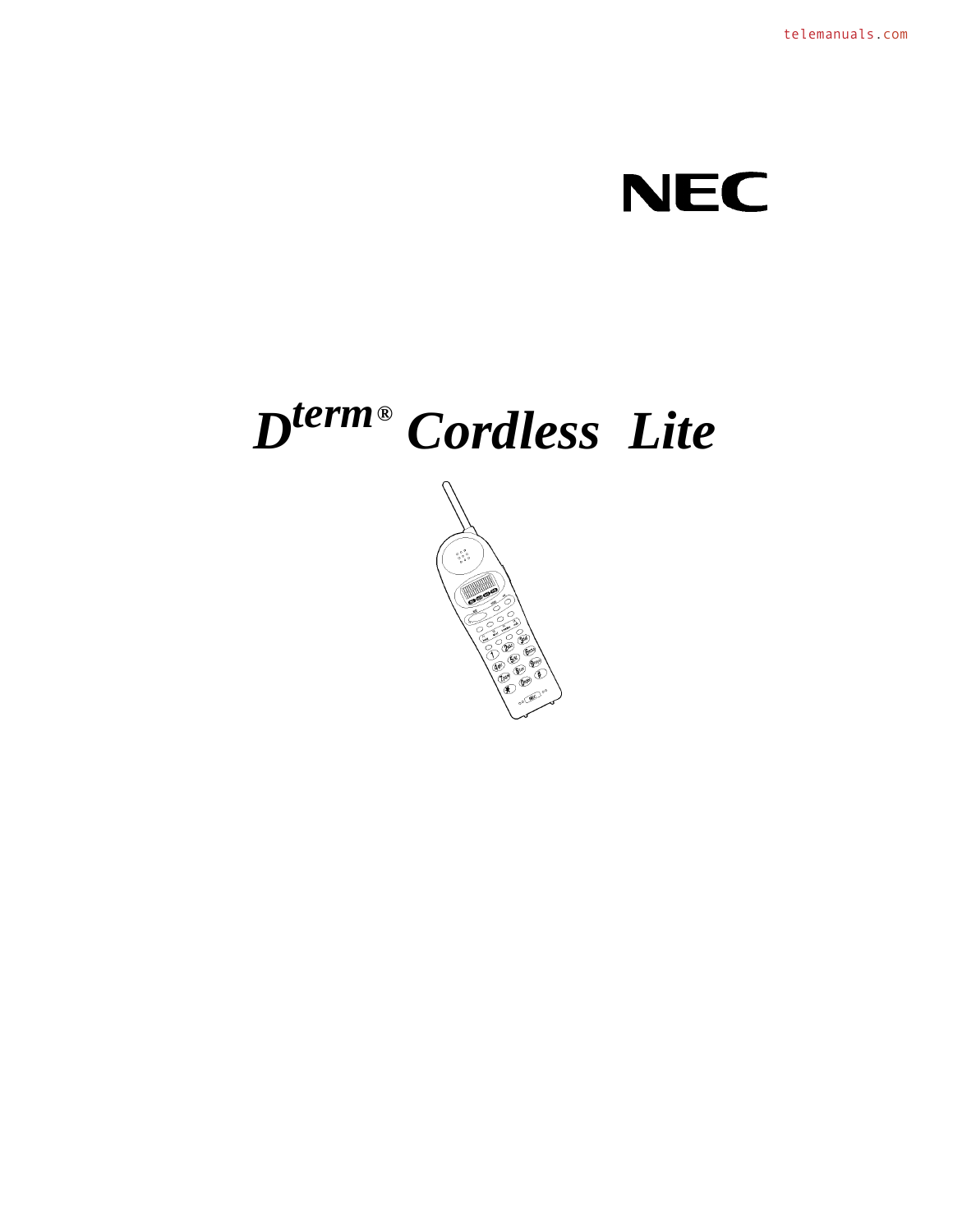## **NEC**

# $D^{term}$ <sup>®</sup> Cordless Lite

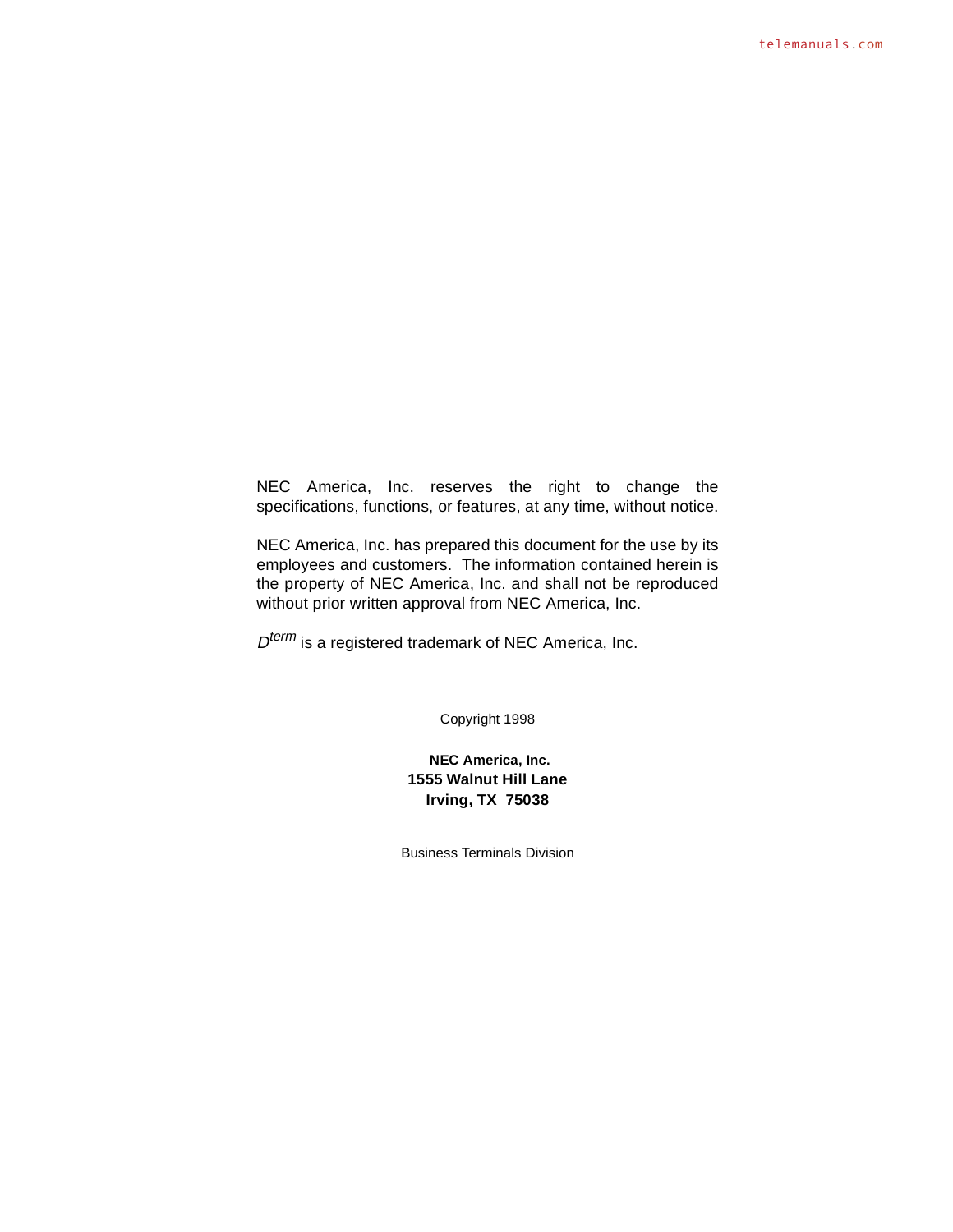NEC America, Inc. reserves the right to change the specifications, functions, or features, at any time, without notice.

NEC America, Inc. has prepared this document for the use by its employees and customers. The information contained herein is the property of NEC America, Inc. and shall not be reproduced without prior written approval from NEC America, Inc.

 $D^{term}$  is a registered trademark of NEC America, Inc.

Copyright 1998

**NEC America, Inc. 1555 Walnut Hill Lane Irving, TX 75038**

Business Terminals Division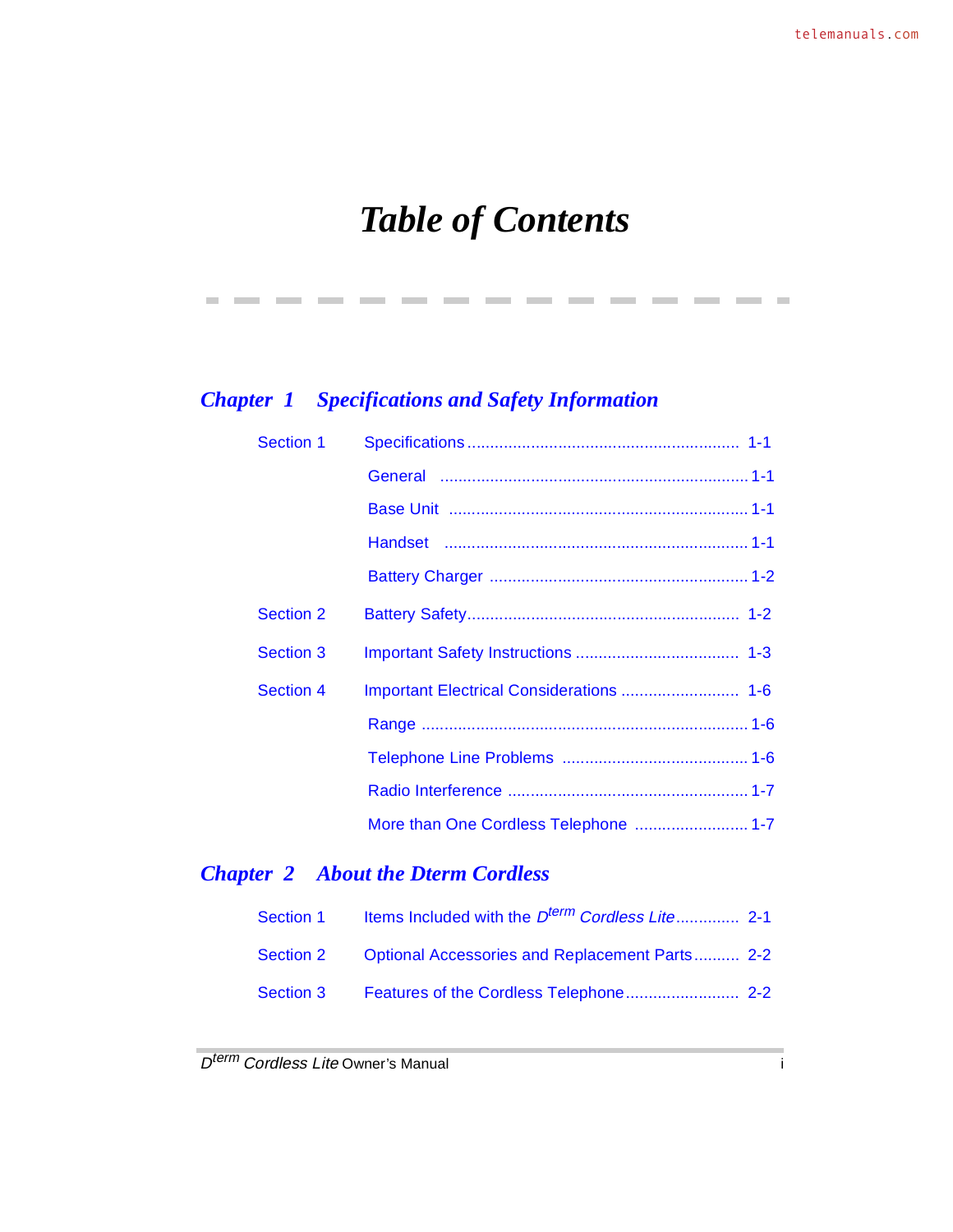## *Table of Contents*

----------------

### *Chapter 1 Specifications and Safety Information*

| <b>Section 1</b> |                                       |
|------------------|---------------------------------------|
|                  |                                       |
|                  |                                       |
|                  |                                       |
|                  |                                       |
| <b>Section 2</b> |                                       |
| <b>Section 3</b> |                                       |
| <b>Section 4</b> |                                       |
|                  |                                       |
|                  |                                       |
|                  |                                       |
|                  | More than One Cordless Telephone  1-7 |

### *Chapter 2 About the Dterm Cordless*

| Section 1 | Items Included with the D <sup>term</sup> Cordless Lite 2-1 |  |
|-----------|-------------------------------------------------------------|--|
| Section 2 | Optional Accessories and Replacement Parts 2-2              |  |
| Section 3 |                                                             |  |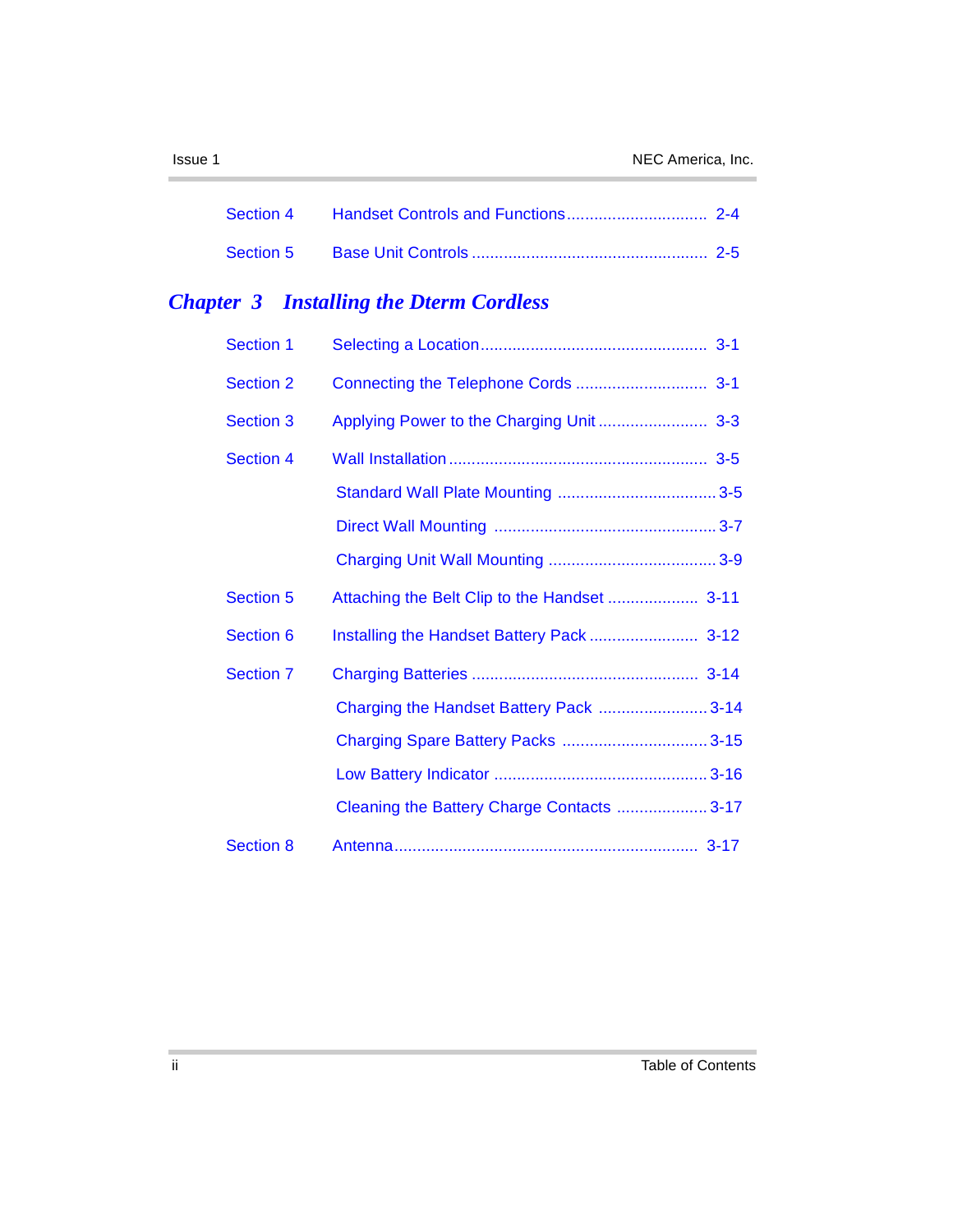×.

### *Chapter 3 Installing the Dterm Cordless*

| <b>Section 1</b> |                                              |  |
|------------------|----------------------------------------------|--|
| <b>Section 2</b> |                                              |  |
| <b>Section 3</b> |                                              |  |
| <b>Section 4</b> |                                              |  |
|                  |                                              |  |
|                  |                                              |  |
|                  |                                              |  |
| <b>Section 5</b> | Attaching the Belt Clip to the Handset  3-11 |  |
| <b>Section 6</b> |                                              |  |
| <b>Section 7</b> |                                              |  |
|                  | Charging the Handset Battery Pack  3-14      |  |
|                  |                                              |  |
|                  |                                              |  |
|                  | Cleaning the Battery Charge Contacts  3-17   |  |
| <b>Section 8</b> |                                              |  |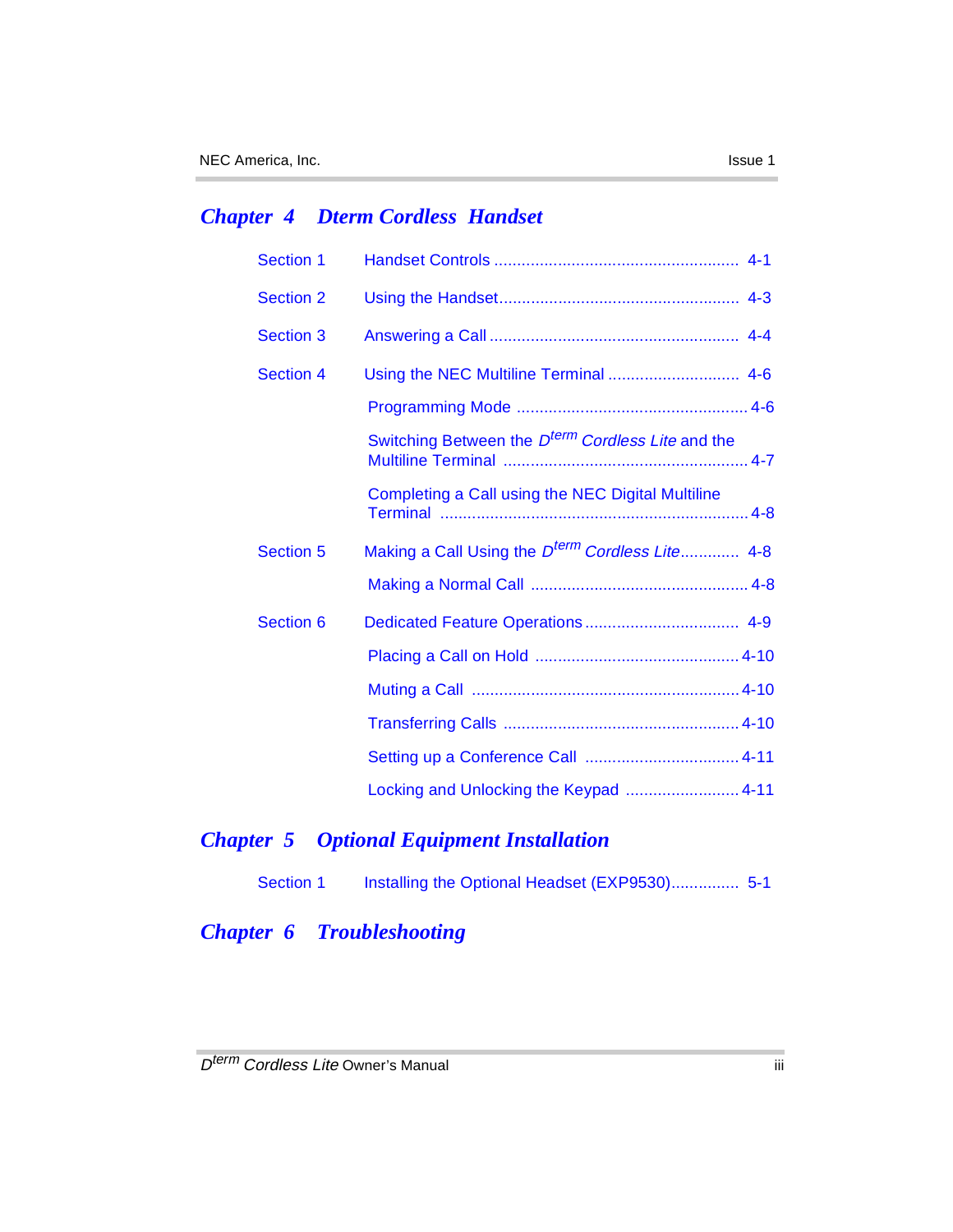### *Chapter 4 Dterm Cordless Handset*

| <b>Section 1</b> |                                                               |
|------------------|---------------------------------------------------------------|
| <b>Section 2</b> |                                                               |
| <b>Section 3</b> |                                                               |
| <b>Section 4</b> |                                                               |
|                  |                                                               |
|                  | Switching Between the D <sup>term</sup> Cordless Lite and the |
|                  | <b>Completing a Call using the NEC Digital Multiline</b>      |
| <b>Section 5</b> | Making a Call Using the D <sup>term</sup> Cordless Lite 4-8   |
|                  |                                                               |
| Section 6        |                                                               |
|                  |                                                               |
|                  |                                                               |
|                  |                                                               |
|                  |                                                               |
|                  | Locking and Unlocking the Keypad  4-11                        |

### *Chapter 5 Optional Equipment Installation*

| Section 1 | Installing the Optional Headset (EXP9530) 5-1 |  |
|-----------|-----------------------------------------------|--|
|           |                                               |  |

*Chapter 6 Troubleshooting*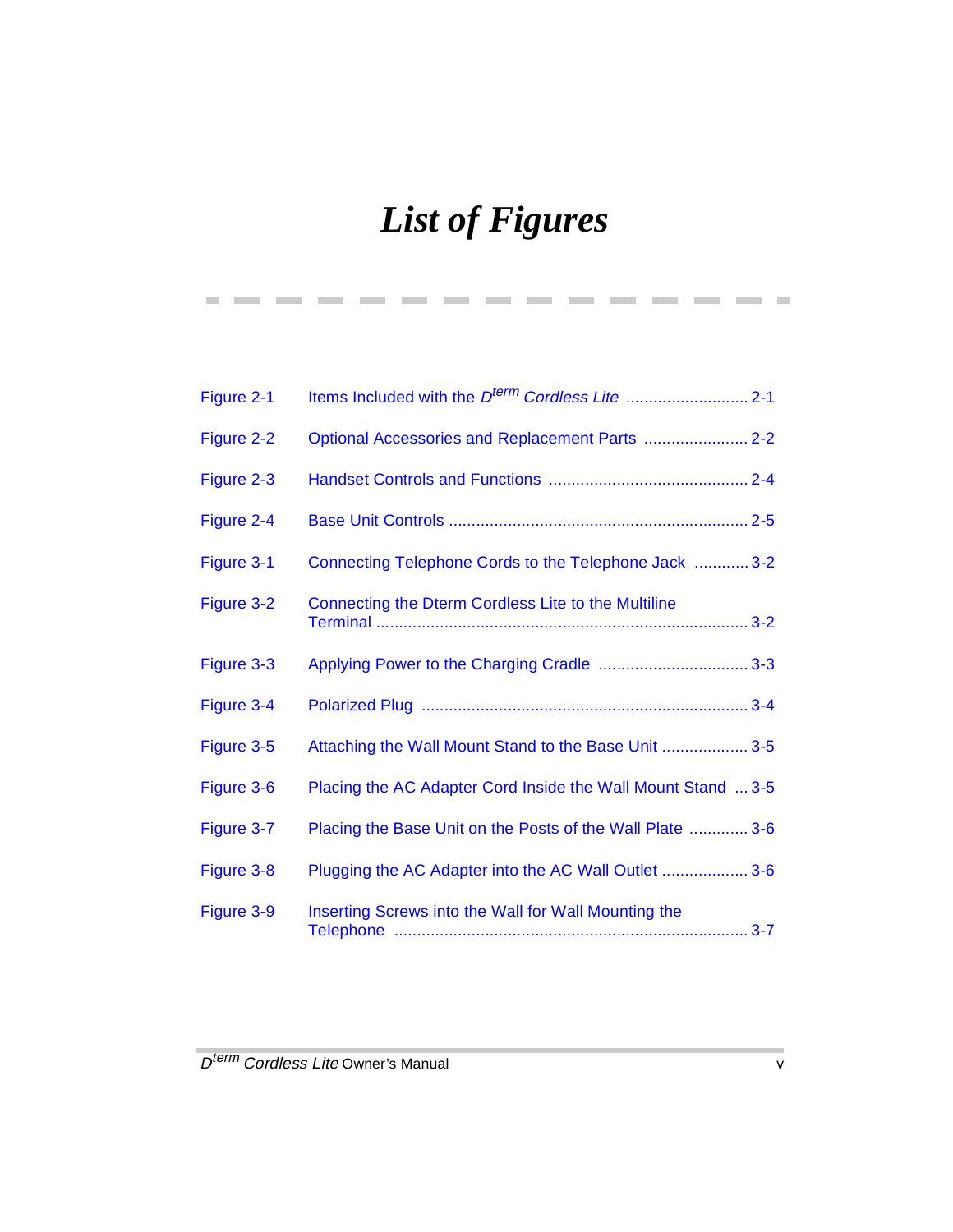## *List of Figures*

**Contract** 

-------

--------

 $\mathcal{L}^{\mathcal{L}}$ 

**Contract** 

| Figure 2-1 |                                                              |  |
|------------|--------------------------------------------------------------|--|
| Figure 2-2 | Optional Accessories and Replacement Parts  2-2              |  |
| Figure 2-3 |                                                              |  |
| Figure 2-4 |                                                              |  |
| Figure 3-1 | Connecting Telephone Cords to the Telephone Jack  3-2        |  |
| Figure 3-2 | Connecting the Dterm Cordless Lite to the Multiline          |  |
| Figure 3-3 |                                                              |  |
| Figure 3-4 |                                                              |  |
| Figure 3-5 | Attaching the Wall Mount Stand to the Base Unit  3-5         |  |
| Figure 3-6 | Placing the AC Adapter Cord Inside the Wall Mount Stand  3-5 |  |
| Figure 3-7 | Placing the Base Unit on the Posts of the Wall Plate  3-6    |  |
| Figure 3-8 | Plugging the AC Adapter into the AC Wall Outlet  3-6         |  |
| Figure 3-9 | Inserting Screws into the Wall for Wall Mounting the         |  |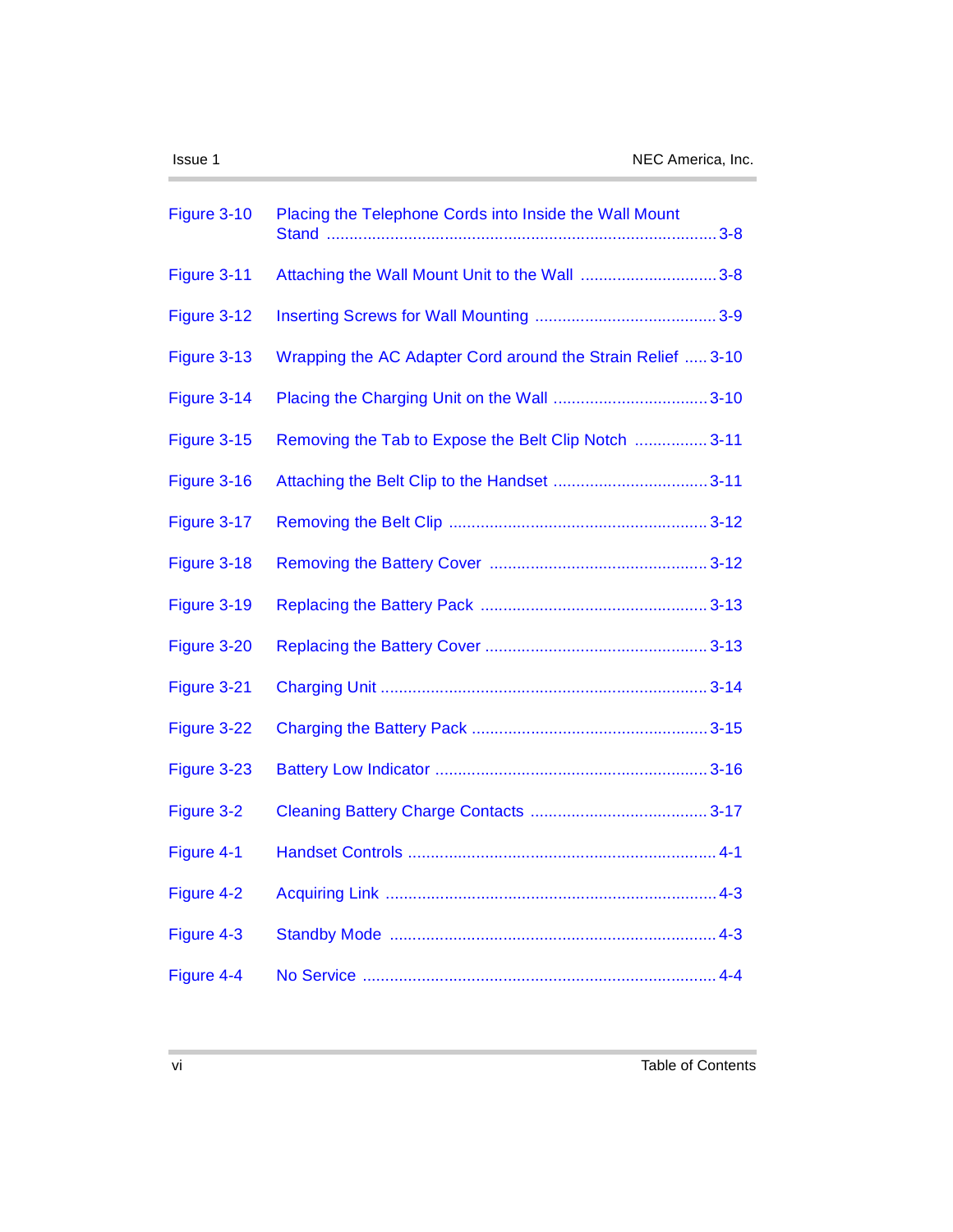| Figure 3-10 | Placing the Telephone Cords into Inside the Wall Mount      |
|-------------|-------------------------------------------------------------|
| Figure 3-11 | Attaching the Wall Mount Unit to the Wall 3-8               |
| Figure 3-12 |                                                             |
| Figure 3-13 | Wrapping the AC Adapter Cord around the Strain Relief  3-10 |
| Figure 3-14 |                                                             |
| Figure 3-15 | Removing the Tab to Expose the Belt Clip Notch  3-11        |
| Figure 3-16 |                                                             |
| Figure 3-17 |                                                             |
| Figure 3-18 |                                                             |
| Figure 3-19 |                                                             |
| Figure 3-20 |                                                             |
| Figure 3-21 |                                                             |
| Figure 3-22 |                                                             |
| Figure 3-23 |                                                             |
| Figure 3-2  |                                                             |
| Figure 4-1  |                                                             |
| Figure 4-2  |                                                             |
| Figure 4-3  |                                                             |
| Figure 4-4  |                                                             |

 $\sim$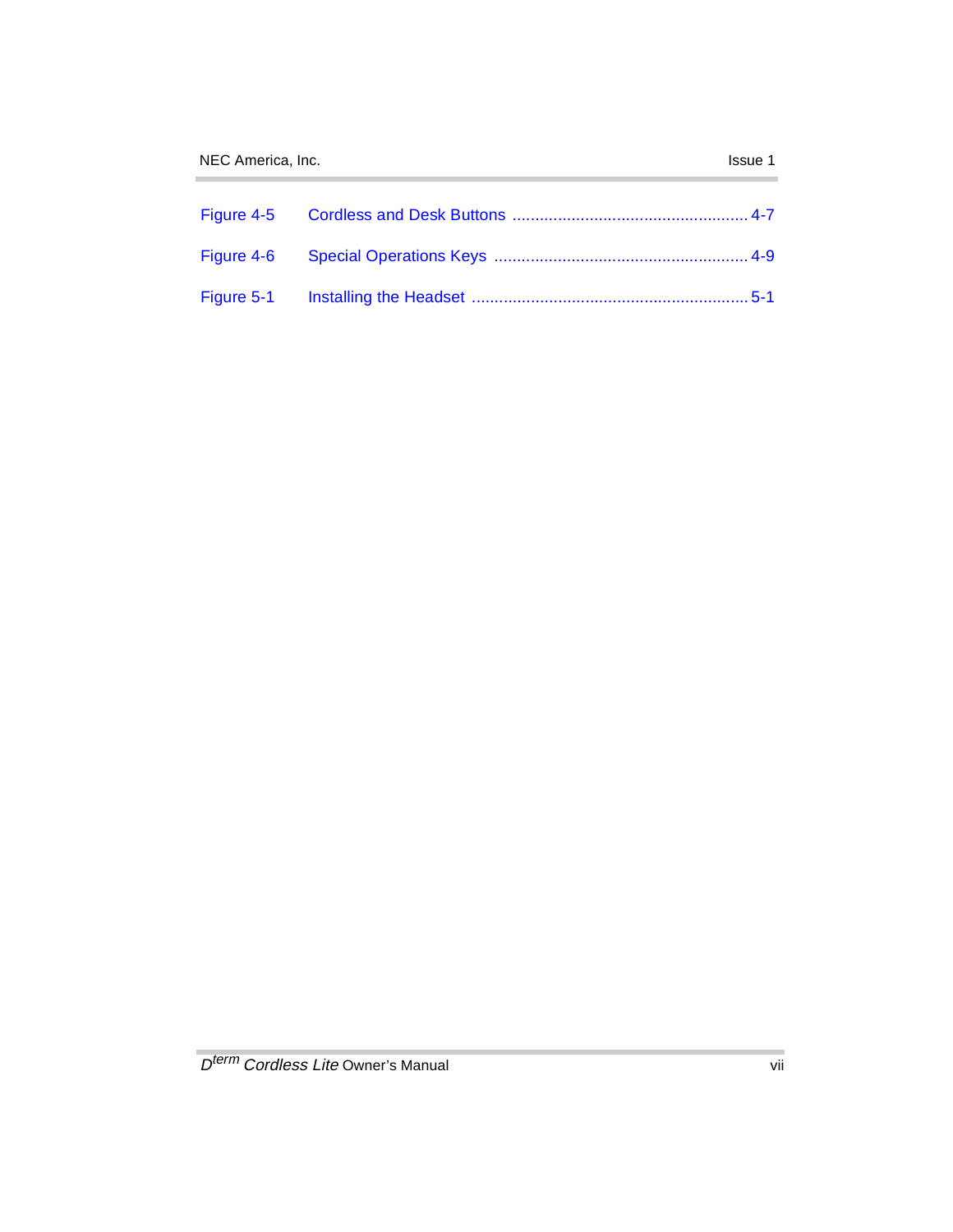$\sim$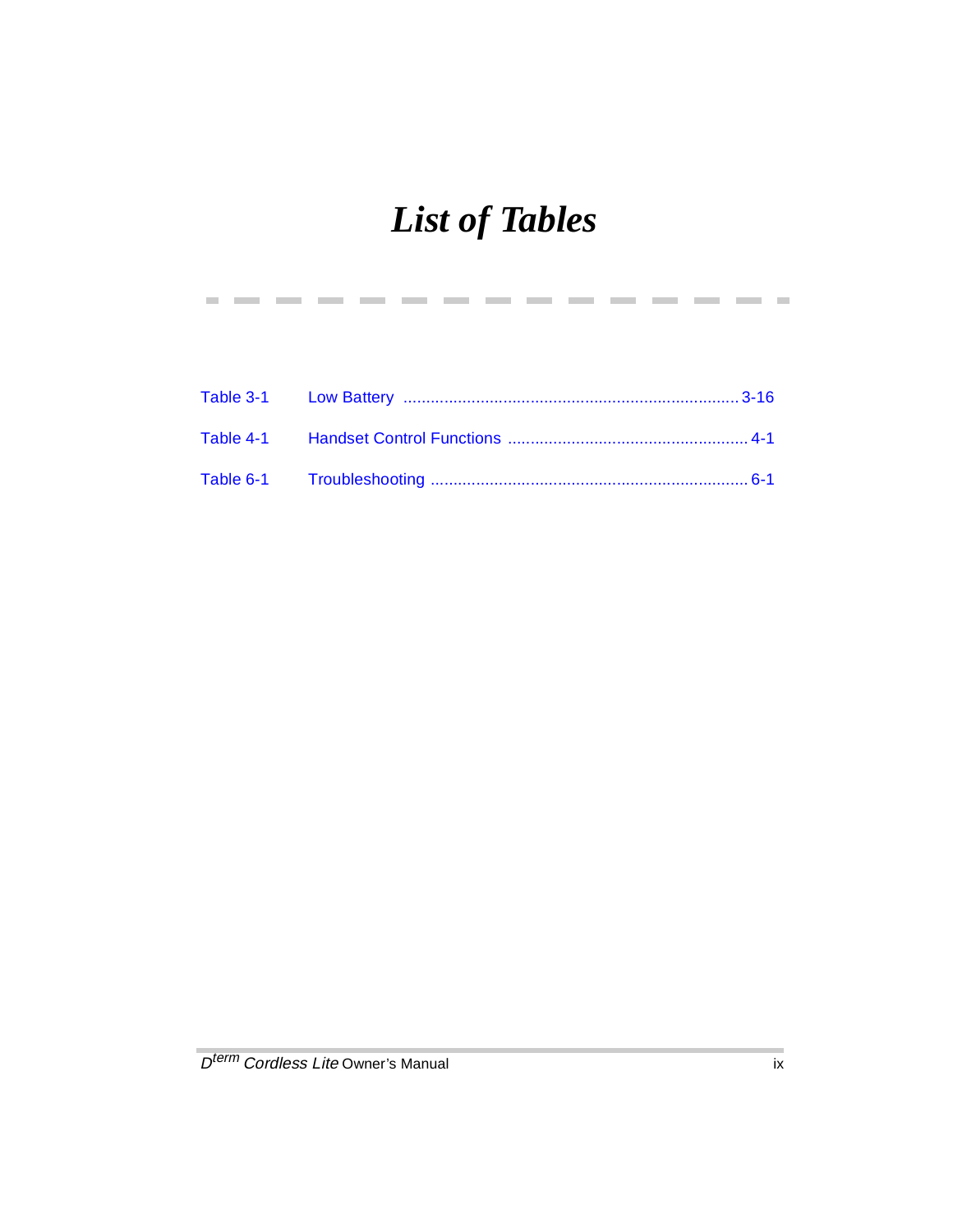## *List of Tables*

--------

 $\mathcal{L}^{\mathcal{L}}$ 

**Contract** 

**Contract Contract** 

**Contract**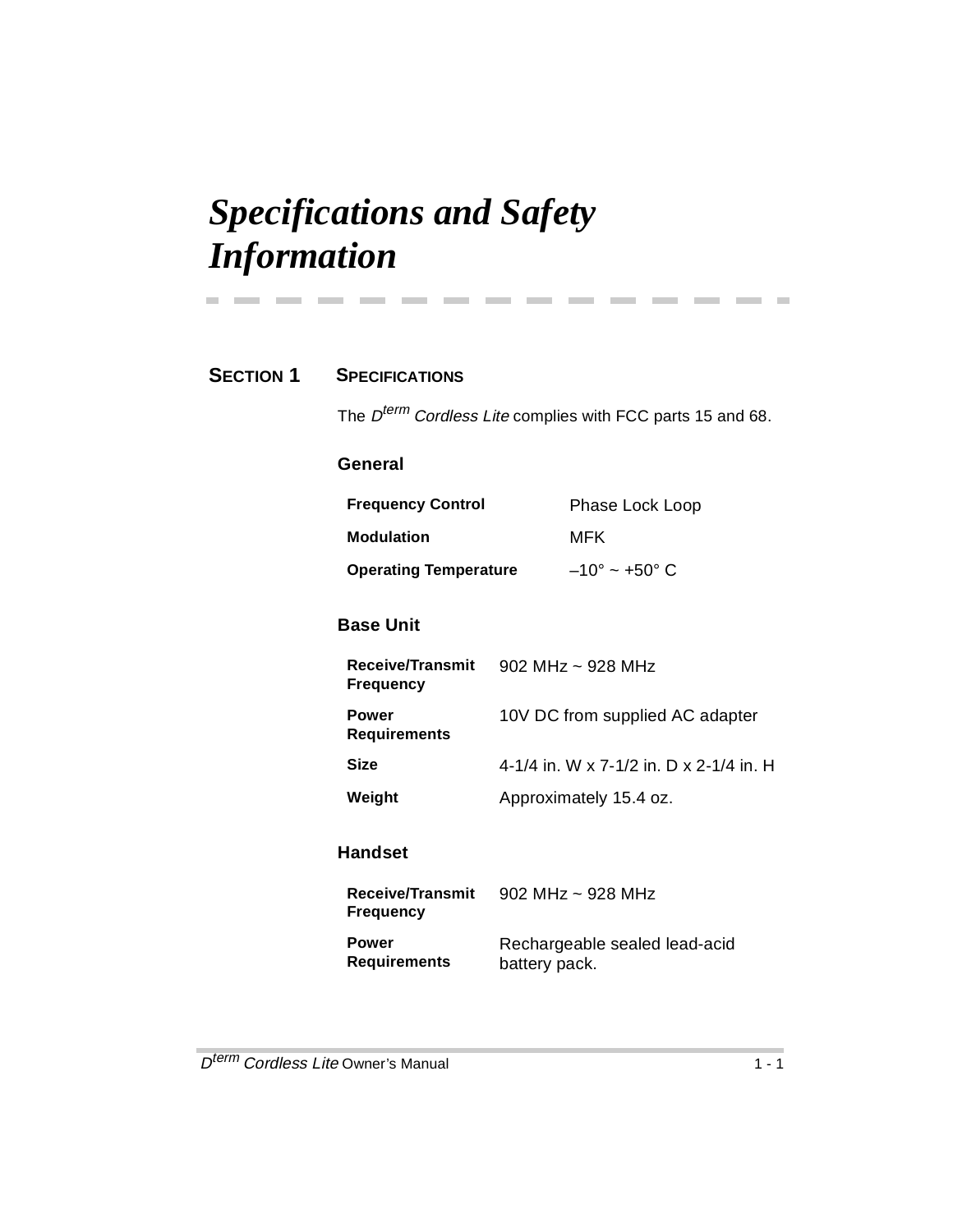## *Specifications and Safety Information*

### **SECTION 1 SPECIFICATIONS**

**Contract Contract** 

The  $D^{term}$  Cordless Lite complies with FCC parts 15 and 68.

### **General**

| <b>Frequency Control</b>     | Phase Lock Loop        |
|------------------------------|------------------------|
| <b>Modulation</b>            | MFK                    |
| <b>Operating Temperature</b> | $-10^{\circ}$ ~ +50° C |

-------------

### **Base Unit**

| Receive/Transmit<br><b>Frequency</b> | 902 MHz $\sim$ 928 MHz                  |
|--------------------------------------|-----------------------------------------|
| Power<br>Requirements                | 10V DC from supplied AC adapter         |
| Size                                 | 4-1/4 in. W x 7-1/2 in. D x 2-1/4 in. H |
| Weight                               | Approximately 15.4 oz.                  |

### **Handset**

| Receive/Transmit<br>Frequencv | $902$ MHz ~ 928 MHz           |
|-------------------------------|-------------------------------|
| Power                         | Rechargeable sealed lead-acid |
| Requirements                  | battery pack.                 |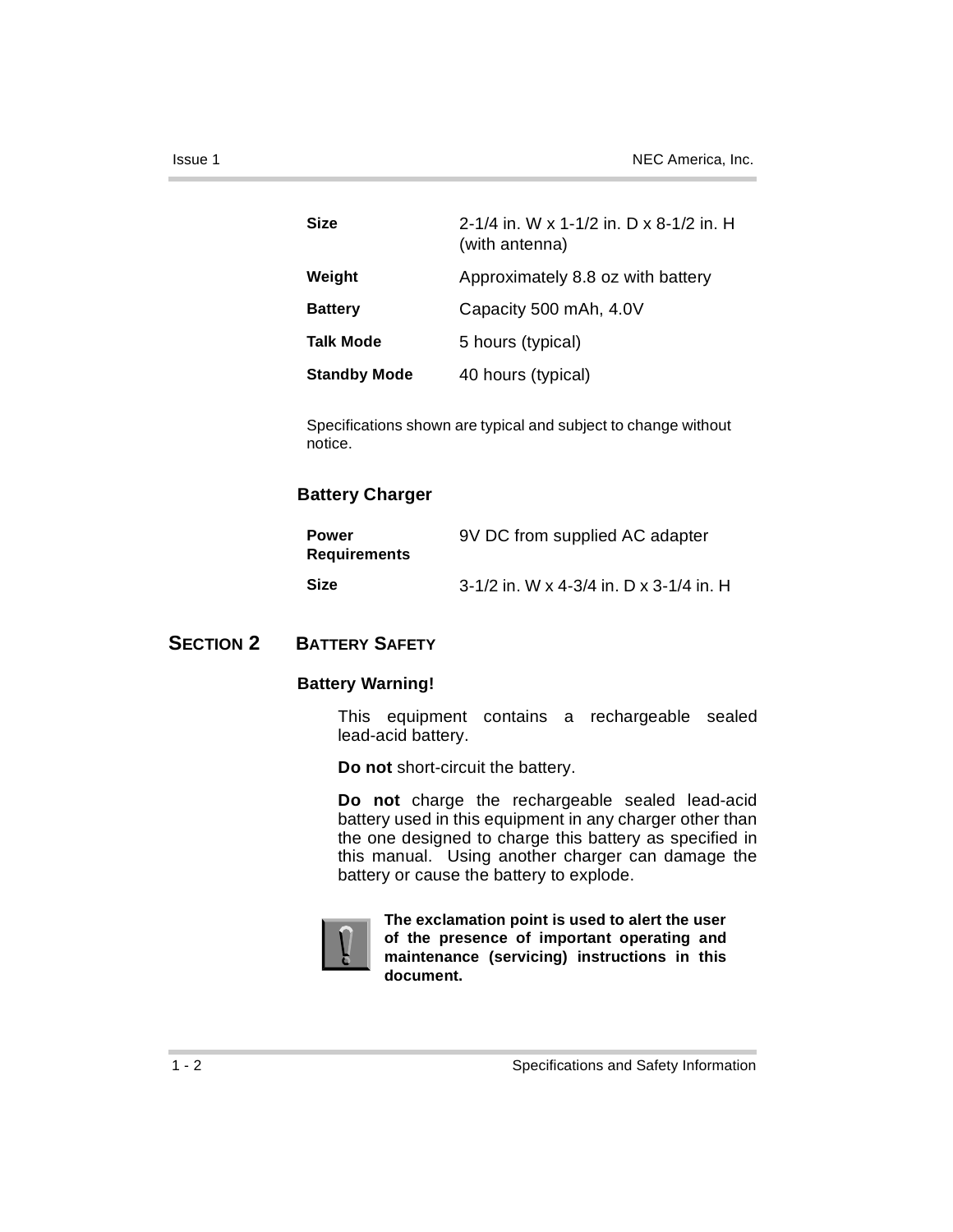| <b>Size</b>         | 2-1/4 in. W x 1-1/2 in. D x 8-1/2 in. H<br>(with antenna) |  |
|---------------------|-----------------------------------------------------------|--|
| Weight              | Approximately 8.8 oz with battery                         |  |
| <b>Battery</b>      | Capacity 500 mAh, 4.0V                                    |  |
| <b>Talk Mode</b>    | 5 hours (typical)                                         |  |
| <b>Standby Mode</b> | 40 hours (typical)                                        |  |

Specifications shown are typical and subject to change without notice.

### **Battery Charger**

| Power<br>Requirements | 9V DC from supplied AC adapter          |
|-----------------------|-----------------------------------------|
| Size                  | 3-1/2 in. W x 4-3/4 in. D x 3-1/4 in. H |

### **SECTION 2 BATTERY SAFETY**

#### **Battery Warning!**

This equipment contains a rechargeable sealed lead-acid battery.

**Do not** short-circuit the battery.

**Do not** charge the rechargeable sealed lead-acid battery used in this equipment in any charger other than the one designed to charge this battery as specified in this manual. Using another charger can damage the battery or cause the battery to explode.



**The exclamation point is used to alert the user of the presence of important operating and maintenance (servicing) instructions in this document.**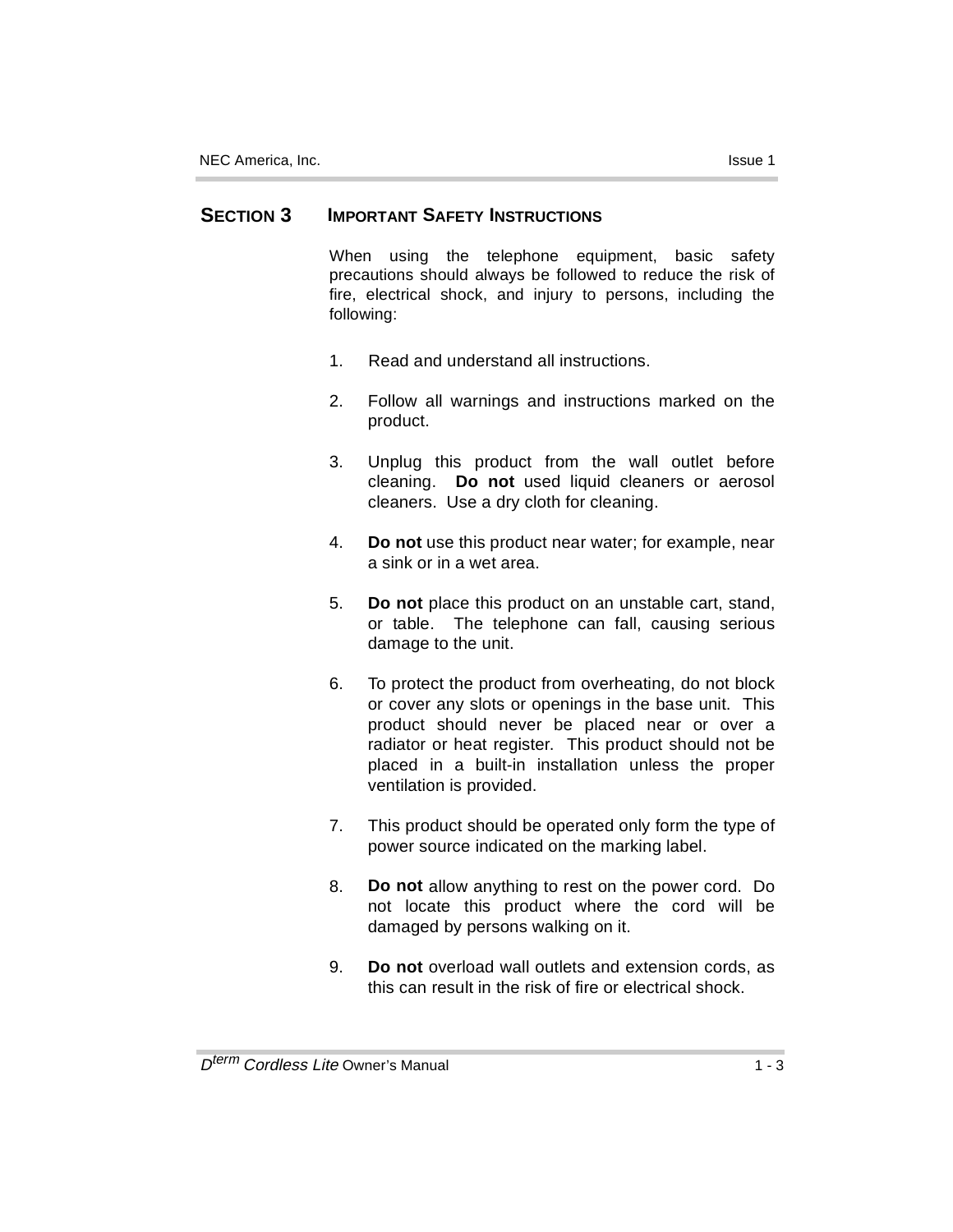### **SECTION 3 IMPORTANT SAFETY INSTRUCTIONS**

When using the telephone equipment, basic safety precautions should always be followed to reduce the risk of fire, electrical shock, and injury to persons, including the following:

- 1. Read and understand all instructions.
- 2. Follow all warnings and instructions marked on the product.
- 3. Unplug this product from the wall outlet before cleaning. **Do not** used liquid cleaners or aerosol cleaners. Use a dry cloth for cleaning.
- 4. **Do not** use this product near water; for example, near a sink or in a wet area.
- 5. **Do not** place this product on an unstable cart, stand, or table. The telephone can fall, causing serious damage to the unit.
- 6. To protect the product from overheating, do not block or cover any slots or openings in the base unit. This product should never be placed near or over a radiator or heat register. This product should not be placed in a built-in installation unless the proper ventilation is provided.
- 7. This product should be operated only form the type of power source indicated on the marking label.
- 8. **Do not** allow anything to rest on the power cord. Do not locate this product where the cord will be damaged by persons walking on it.
- 9. **Do not** overload wall outlets and extension cords, as this can result in the risk of fire or electrical shock.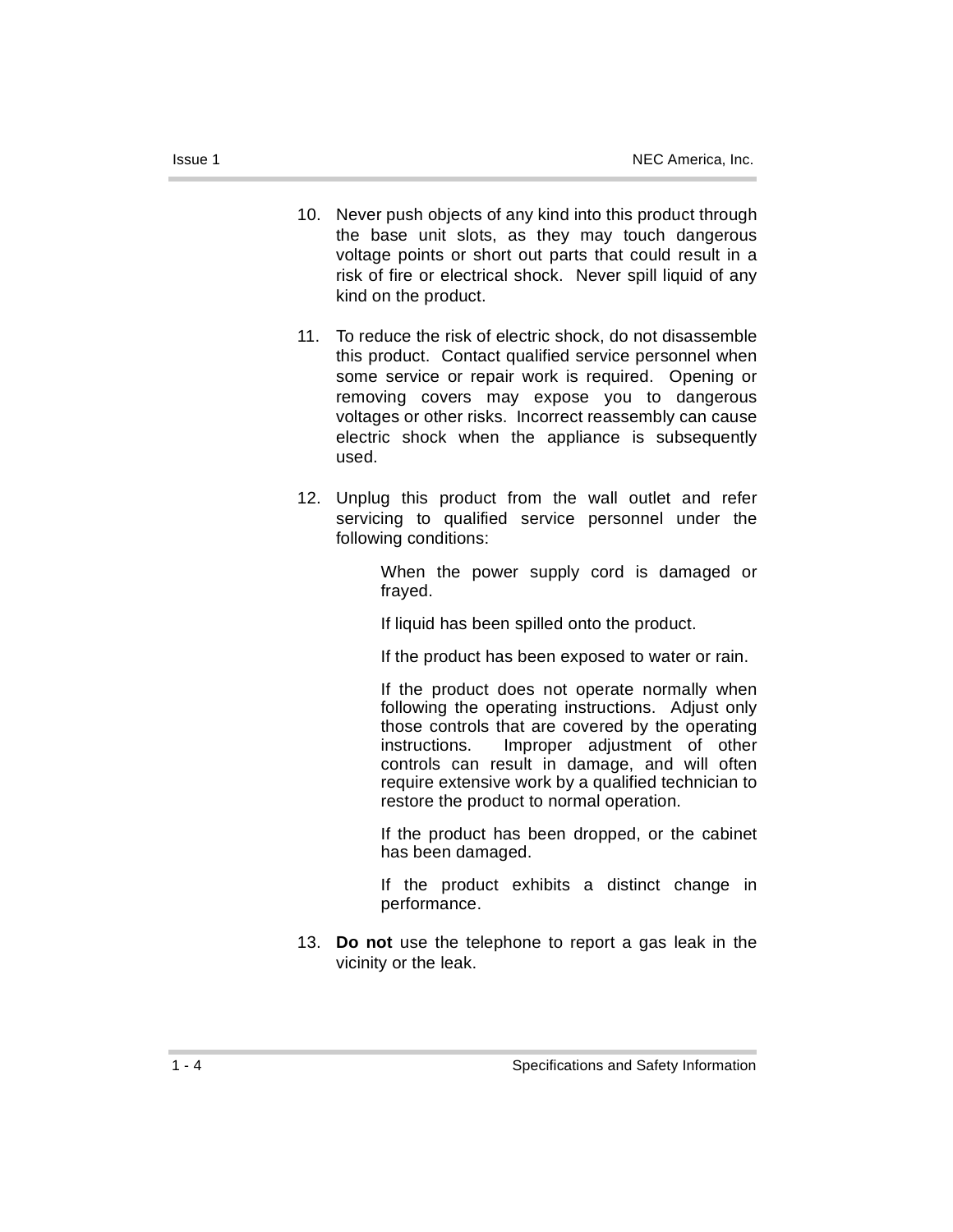- 10. Never push objects of any kind into this product through the base unit slots, as they may touch dangerous voltage points or short out parts that could result in a risk of fire or electrical shock. Never spill liquid of any kind on the product.
- 11. To reduce the risk of electric shock, do not disassemble this product. Contact qualified service personnel when some service or repair work is required. Opening or removing covers may expose you to dangerous voltages or other risks. Incorrect reassembly can cause electric shock when the appliance is subsequently used.
- 12. Unplug this product from the wall outlet and refer servicing to qualified service personnel under the following conditions:

When the power supply cord is damaged or frayed.

If liquid has been spilled onto the product.

If the product has been exposed to water or rain.

If the product does not operate normally when following the operating instructions. Adjust only those controls that are covered by the operating instructions. Improper adjustment of other controls can result in damage, and will often require extensive work by a qualified technician to restore the product to normal operation.

If the product has been dropped, or the cabinet has been damaged.

If the product exhibits a distinct change in performance.

13. **Do not** use the telephone to report a gas leak in the vicinity or the leak.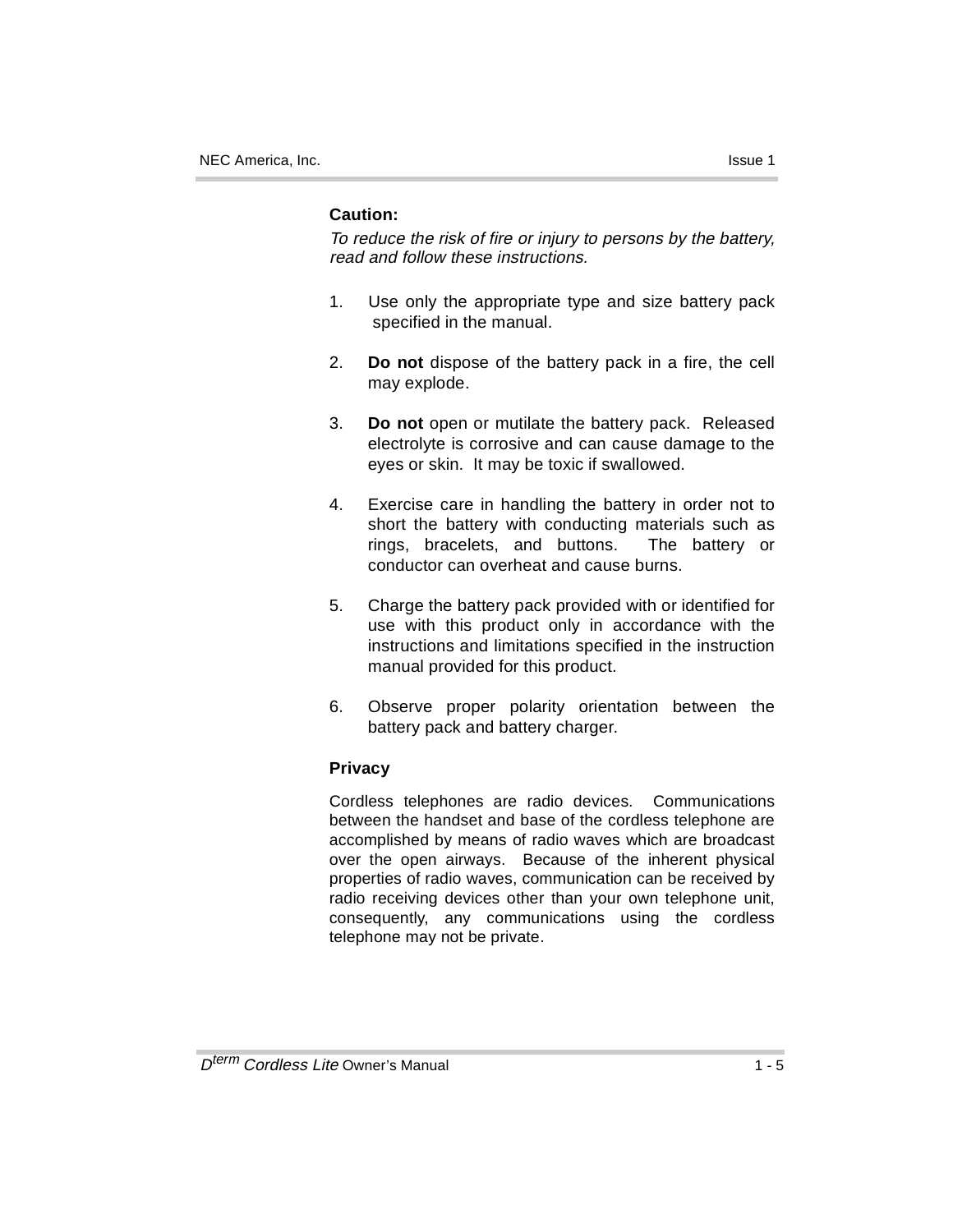### **Caution:**

To reduce the risk of fire or injury to persons by the battery, read and follow these instructions.

- 1. Use only the appropriate type and size battery pack specified in the manual.
- 2. **Do not** dispose of the battery pack in a fire, the cell may explode.
- 3. **Do not** open or mutilate the battery pack. Released electrolyte is corrosive and can cause damage to the eyes or skin. It may be toxic if swallowed.
- 4. Exercise care in handling the battery in order not to short the battery with conducting materials such as rings, bracelets, and buttons. The battery or conductor can overheat and cause burns.
- 5. Charge the battery pack provided with or identified for use with this product only in accordance with the instructions and limitations specified in the instruction manual provided for this product.
- 6. Observe proper polarity orientation between the battery pack and battery charger.

### **Privacy**

Cordless telephones are radio devices. Communications between the handset and base of the cordless telephone are accomplished by means of radio waves which are broadcast over the open airways. Because of the inherent physical properties of radio waves, communication can be received by radio receiving devices other than your own telephone unit, consequently, any communications using the cordless telephone may not be private.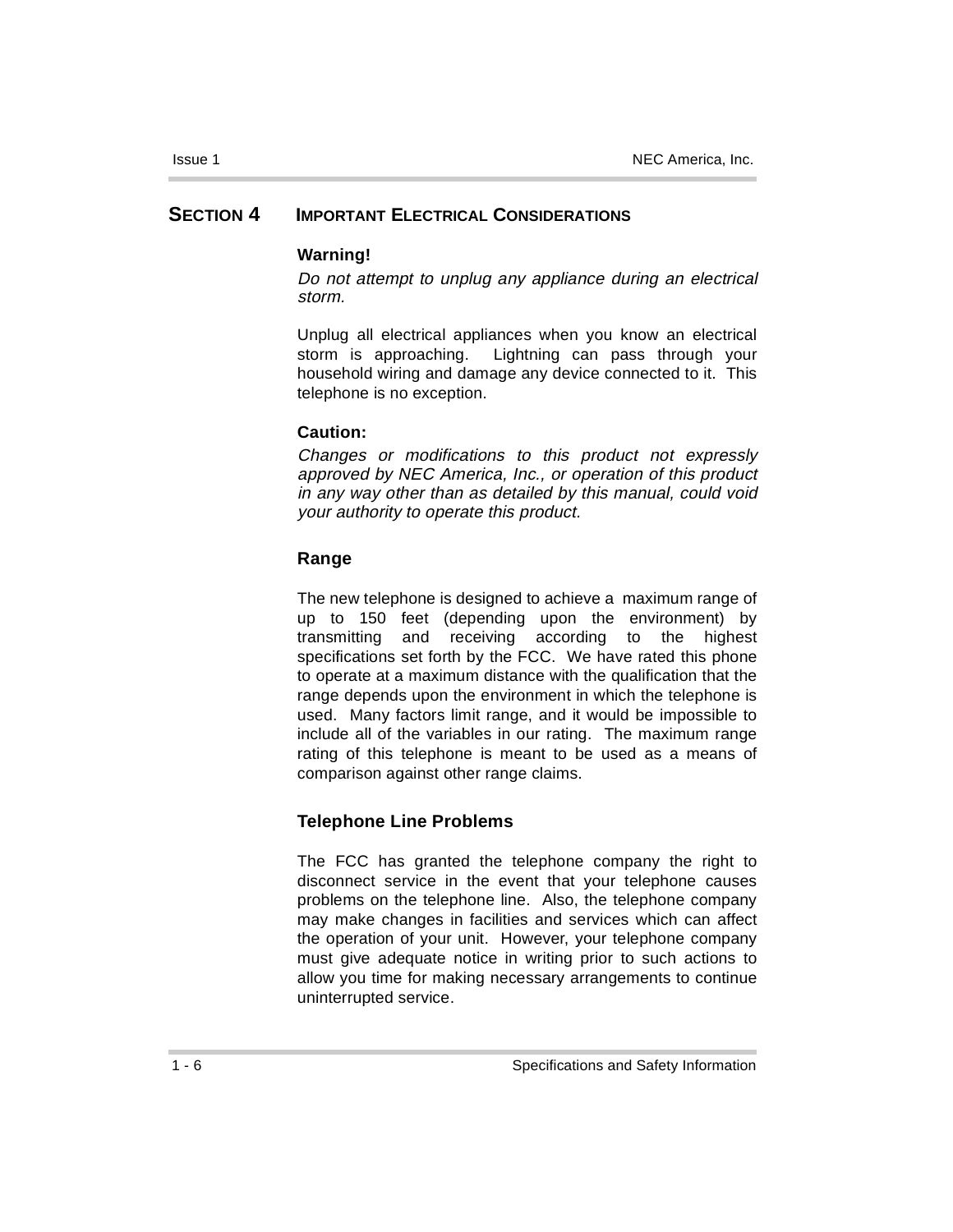### **SECTION 4 IMPORTANT ELECTRICAL CONSIDERATIONS**

#### **Warning!**

Do not attempt to unplug any appliance during an electrical storm.

Unplug all electrical appliances when you know an electrical storm is approaching. Lightning can pass through your household wiring and damage any device connected to it. This telephone is no exception.

### **Caution:**

Changes or modifications to this product not expressly approved by NEC America, Inc., or operation of this product in any way other than as detailed by this manual, could void your authority to operate this product.

### **Range**

The new telephone is designed to achieve a maximum range of up to 150 feet (depending upon the environment) by transmitting and receiving according to the highest specifications set forth by the FCC. We have rated this phone to operate at a maximum distance with the qualification that the range depends upon the environment in which the telephone is used. Many factors limit range, and it would be impossible to include all of the variables in our rating. The maximum range rating of this telephone is meant to be used as a means of comparison against other range claims.

### **Telephone Line Problems**

The FCC has granted the telephone company the right to disconnect service in the event that your telephone causes problems on the telephone line. Also, the telephone company may make changes in facilities and services which can affect the operation of your unit. However, your telephone company must give adequate notice in writing prior to such actions to allow you time for making necessary arrangements to continue uninterrupted service.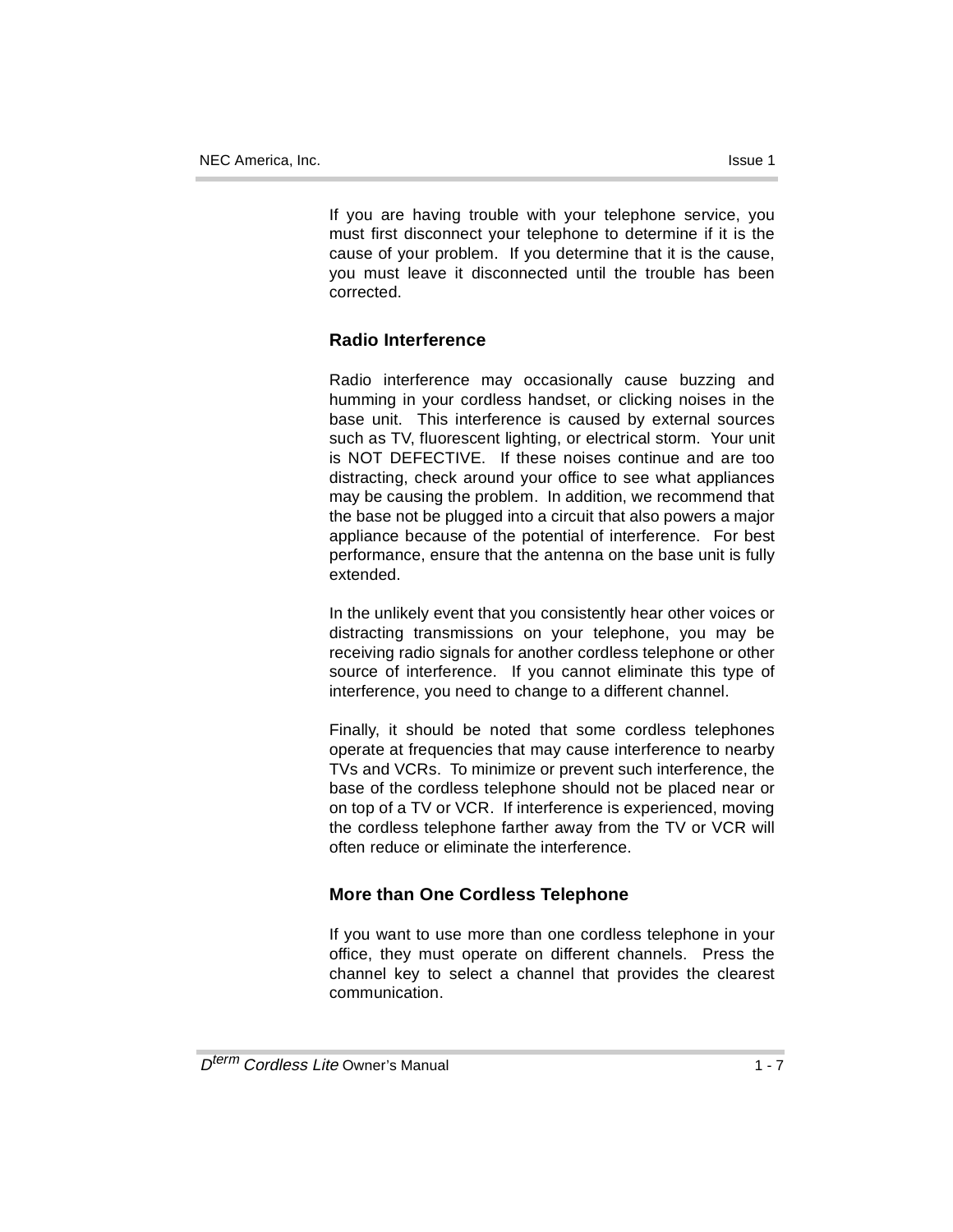If you are having trouble with your telephone service, you must first disconnect your telephone to determine if it is the cause of your problem. If you determine that it is the cause, you must leave it disconnected until the trouble has been corrected.

### **Radio Interference**

Radio interference may occasionally cause buzzing and humming in your cordless handset, or clicking noises in the base unit. This interference is caused by external sources such as TV, fluorescent lighting, or electrical storm. Your unit is NOT DEFECTIVE. If these noises continue and are too distracting, check around your office to see what appliances may be causing the problem. In addition, we recommend that the base not be plugged into a circuit that also powers a major appliance because of the potential of interference. For best performance, ensure that the antenna on the base unit is fully extended.

In the unlikely event that you consistently hear other voices or distracting transmissions on your telephone, you may be receiving radio signals for another cordless telephone or other source of interference. If you cannot eliminate this type of interference, you need to change to a different channel.

Finally, it should be noted that some cordless telephones operate at frequencies that may cause interference to nearby TVs and VCRs. To minimize or prevent such interference, the base of the cordless telephone should not be placed near or on top of a TV or VCR. If interference is experienced, moving the cordless telephone farther away from the TV or VCR will often reduce or eliminate the interference.

### **More than One Cordless Telephone**

If you want to use more than one cordless telephone in your office, they must operate on different channels. Press the channel key to select a channel that provides the clearest communication.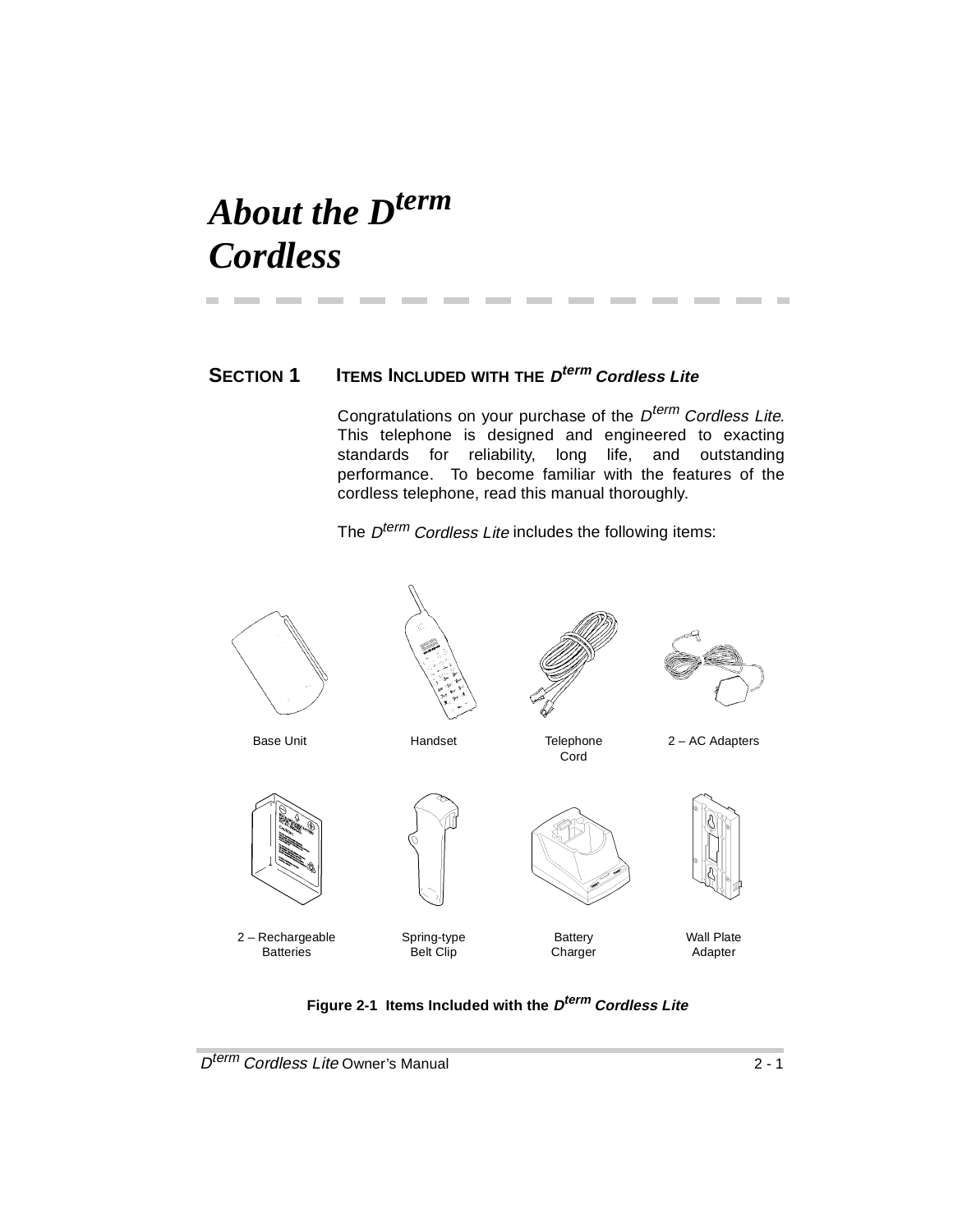## *About the Dterm Cordless*

### **SECTION 1 ITEMS INCLUDED WITH THE <sup>D</sup>term Cordless Lite**

**Contract Contract** 

**COLLEGE** 

**Contract Contract** 

**Contract Contract** 

**Contract Contract** 

Congratulations on your purchase of the  $D^{term}$  Cordless Lite. This telephone is designed and engineered to exacting standards for reliability, long life, and outstanding performance. To become familiar with the features of the cordless telephone, read this manual thoroughly.

The D<sup>term</sup> Cordless Lite includes the following items:



**Figure 2-1 Items Included with the Dterm Cordless Lite**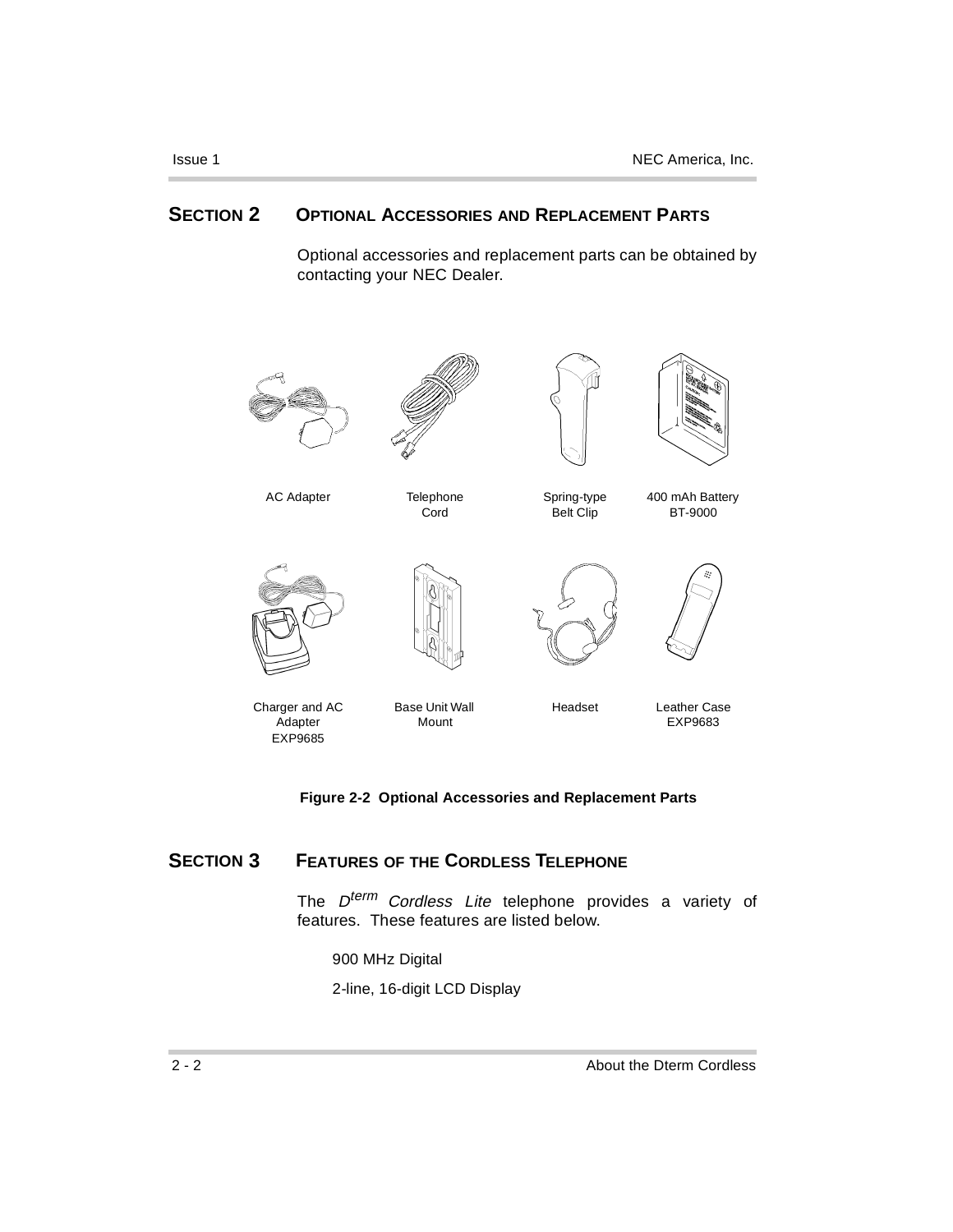### **SECTION 2 OPTIONAL ACCESSORIES AND REPLACEMENT PARTS**

Optional accessories and replacement parts can be obtained by contacting your NEC Dealer.



#### **Figure 2-2 Optional Accessories and Replacement Parts**

### **SECTION 3 FEATURES OF THE CORDLESS TELEPHONE**

The D<sup>term</sup> Cordless Lite telephone provides a variety of features. These features are listed below.

900 MHz Digital

2-line, 16-digit LCD Display

×.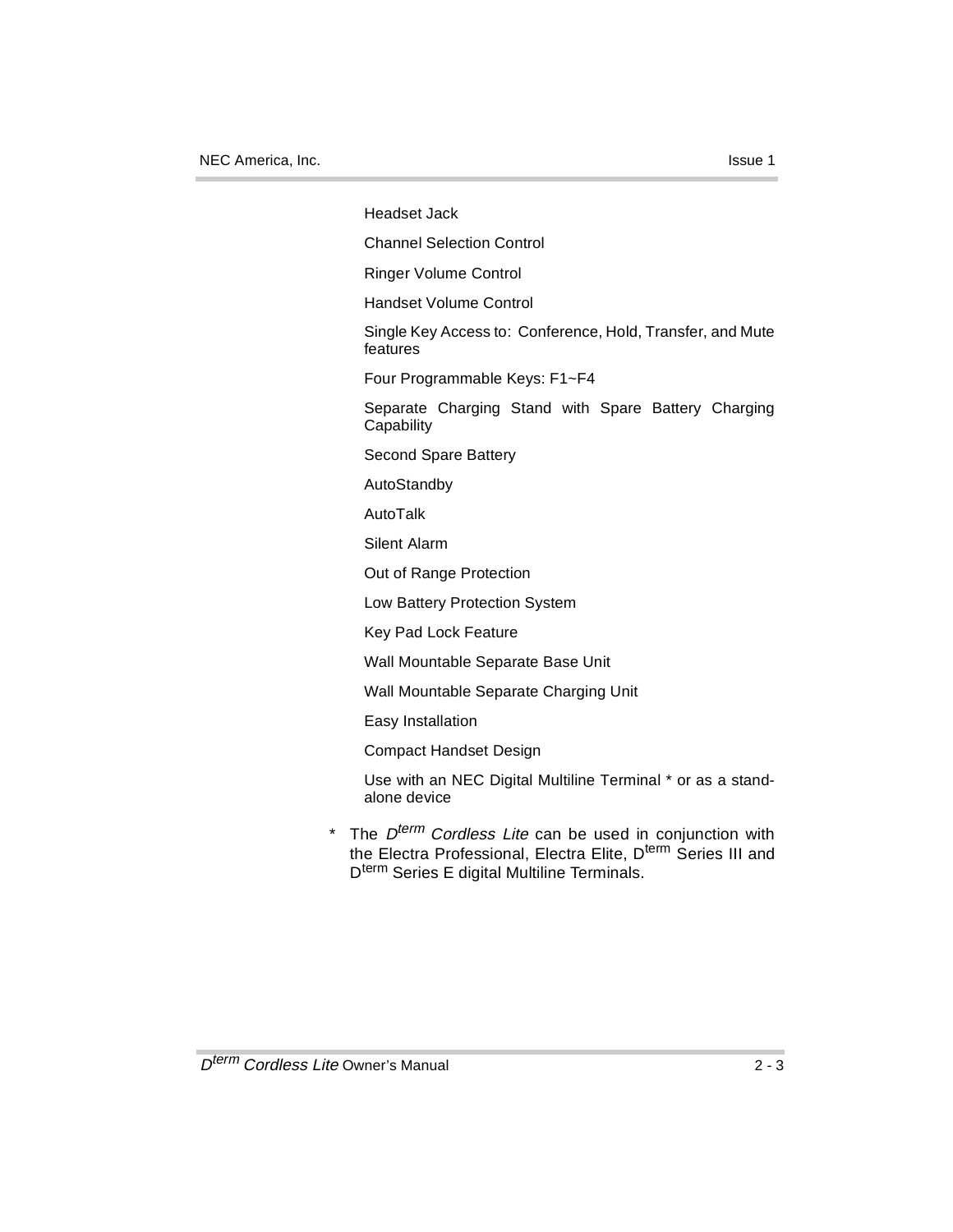Headset Jack

Channel Selection Control

Ringer Volume Control

Handset Volume Control

Single Key Access to: Conference, Hold, Transfer, and Mute features

Four Programmable Keys: F1~F4

Separate Charging Stand with Spare Battery Charging **Capability** 

Second Spare Battery

AutoStandby

AutoTalk

Silent Alarm

Out of Range Protection

Low Battery Protection System

Key Pad Lock Feature

Wall Mountable Separate Base Unit

Wall Mountable Separate Charging Unit

Easy Installation

Compact Handset Design

Use with an NEC Digital Multiline Terminal \* or as a standalone device

\* The  $D^{term}$  Cordless Lite can be used in conjunction with the Electra Professional, Electra Elite, D<sup>term</sup> Series III and D<sup>term</sup> Series E digital Multiline Terminals.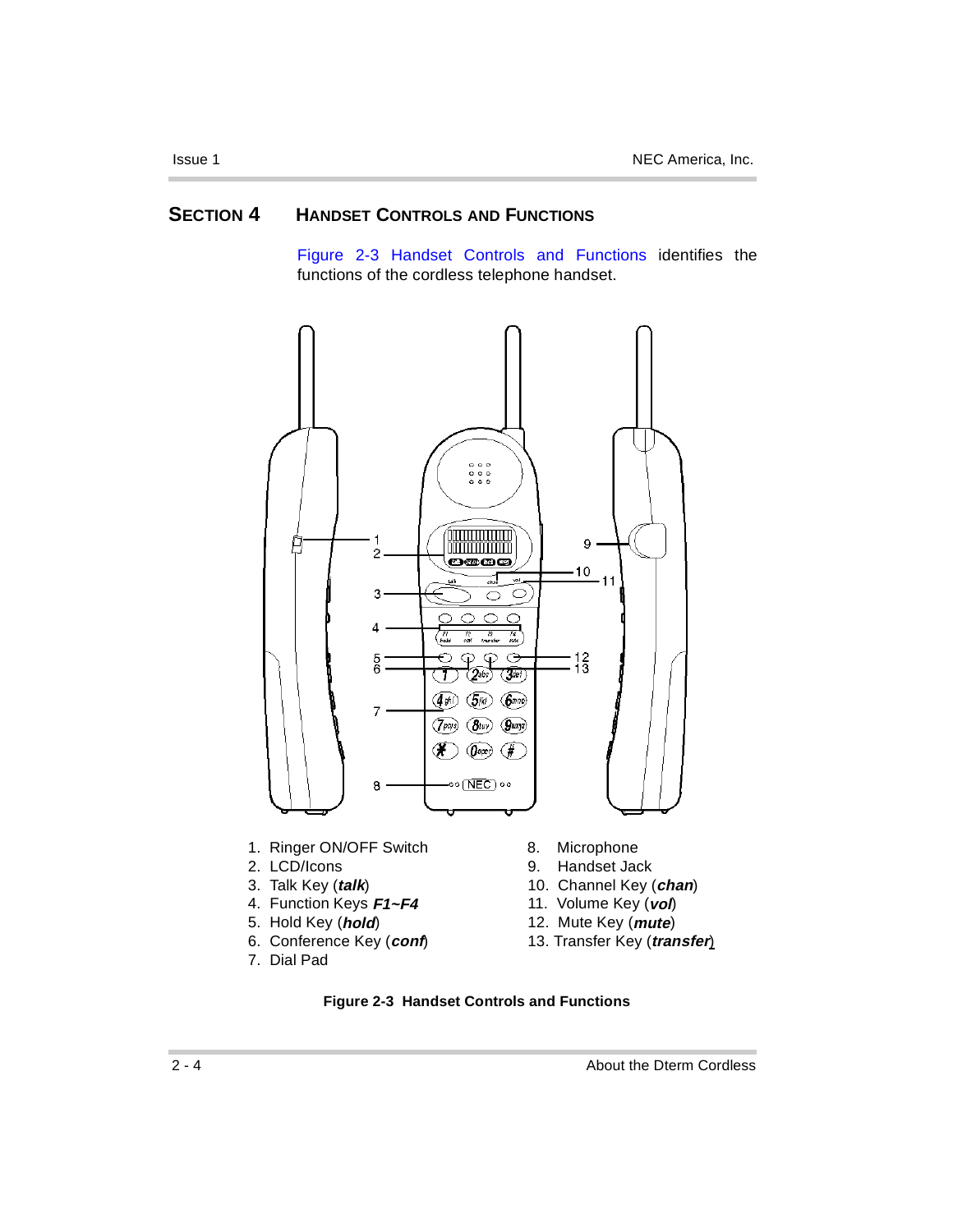### **SECTION 4 HANDSET CONTROLS AND FUNCTIONS**

Figure 2-3 Handset Controls and Functions identifies the functions of the cordless telephone handset.



- 
- 
- 
- 4. Function Keys **F1~F4**
- 
- 
- 7. Dial Pad
- 
- 2. LCD/Icons 9. Handset Jack
- 3. Talk Key (*talk*) 10. Channel Key (*chan*)<br>4. Function Keys **F1~F4** 11. Volume Key (*vol*)
	-
- 5. Hold Key (**hold**) 12. Mute Key (**mute**)
- 6. Conference Key (**conf**) 13. Transfer Key (**transfer**)



×.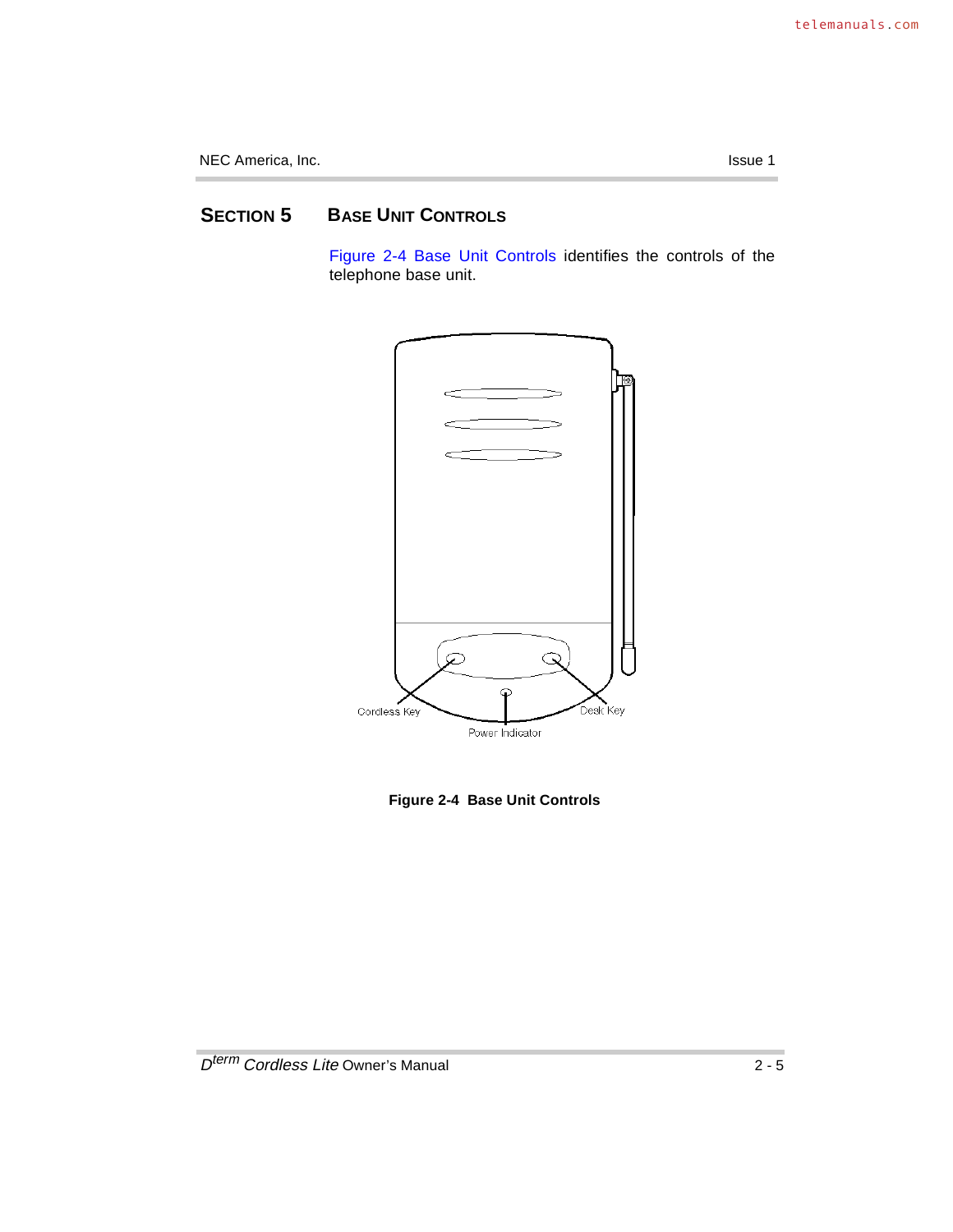### **SECTION 5 BASE UNIT CONTROLS**

Figure 2-4 Base Unit Controls identifies the controls of the telephone base unit.



**Figure 2-4 Base Unit Controls**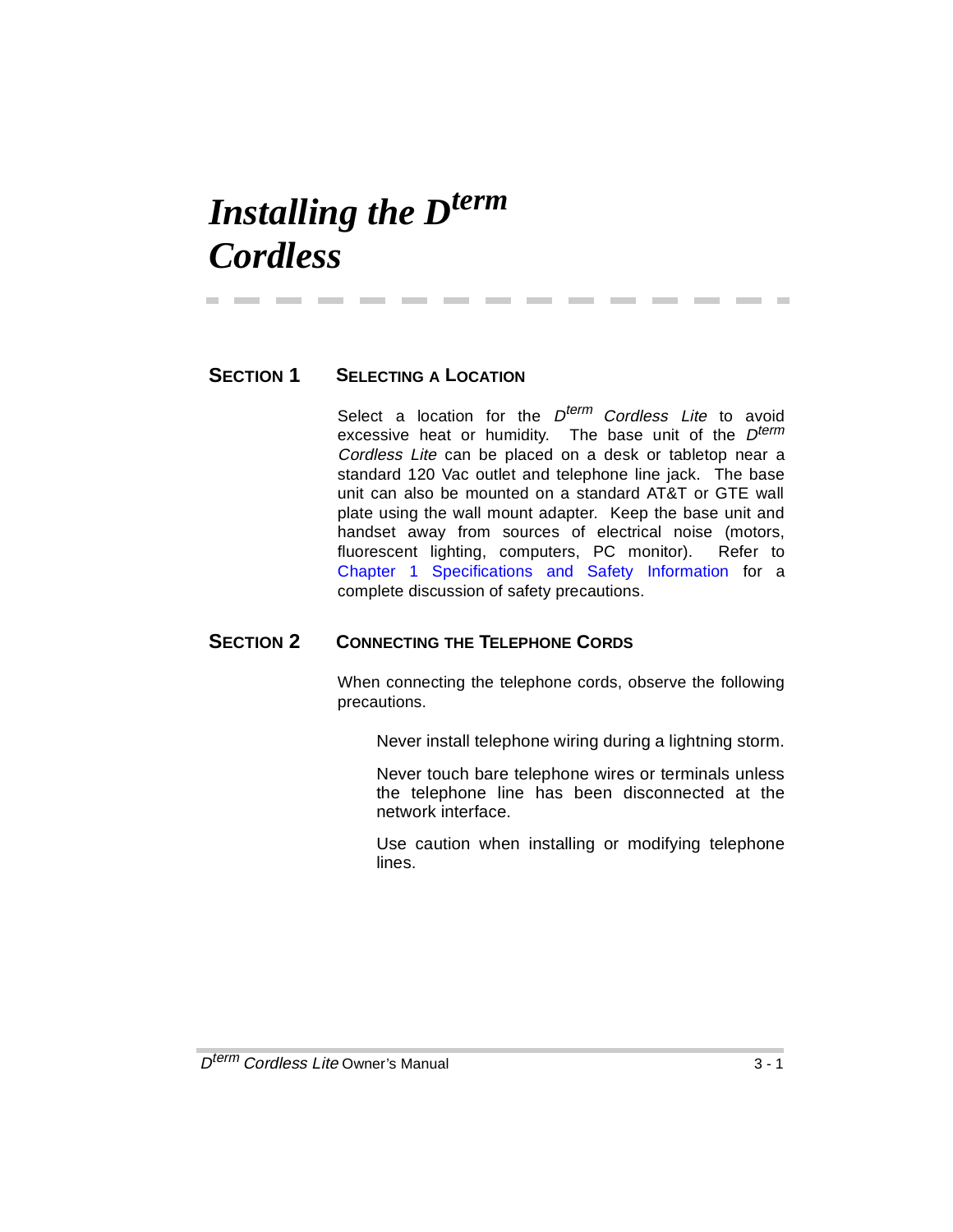## *Installing the Dterm Cordless*

### **SECTION 1 SELECTING A LOCATION**

Select a location for the  $D^{term}$  Cordless Lite to avoid excessive heat or humidity. The base unit of the  $D^{term}$ Cordless Lite can be placed on a desk or tabletop near a standard 120 Vac outlet and telephone line jack. The base unit can also be mounted on a standard AT&T or GTE wall plate using the wall mount adapter. Keep the base unit and handset away from sources of electrical noise (motors, fluorescent lighting, computers, PC monitor). Refer to Chapter 1 Specifications and Safety Information for a complete discussion of safety precautions.

-------------

### **SECTION 2 CONNECTING THE TELEPHONE CORDS**

When connecting the telephone cords, observe the following precautions.

Never install telephone wiring during a lightning storm.

Never touch bare telephone wires or terminals unless the telephone line has been disconnected at the network interface.

Use caution when installing or modifying telephone lines.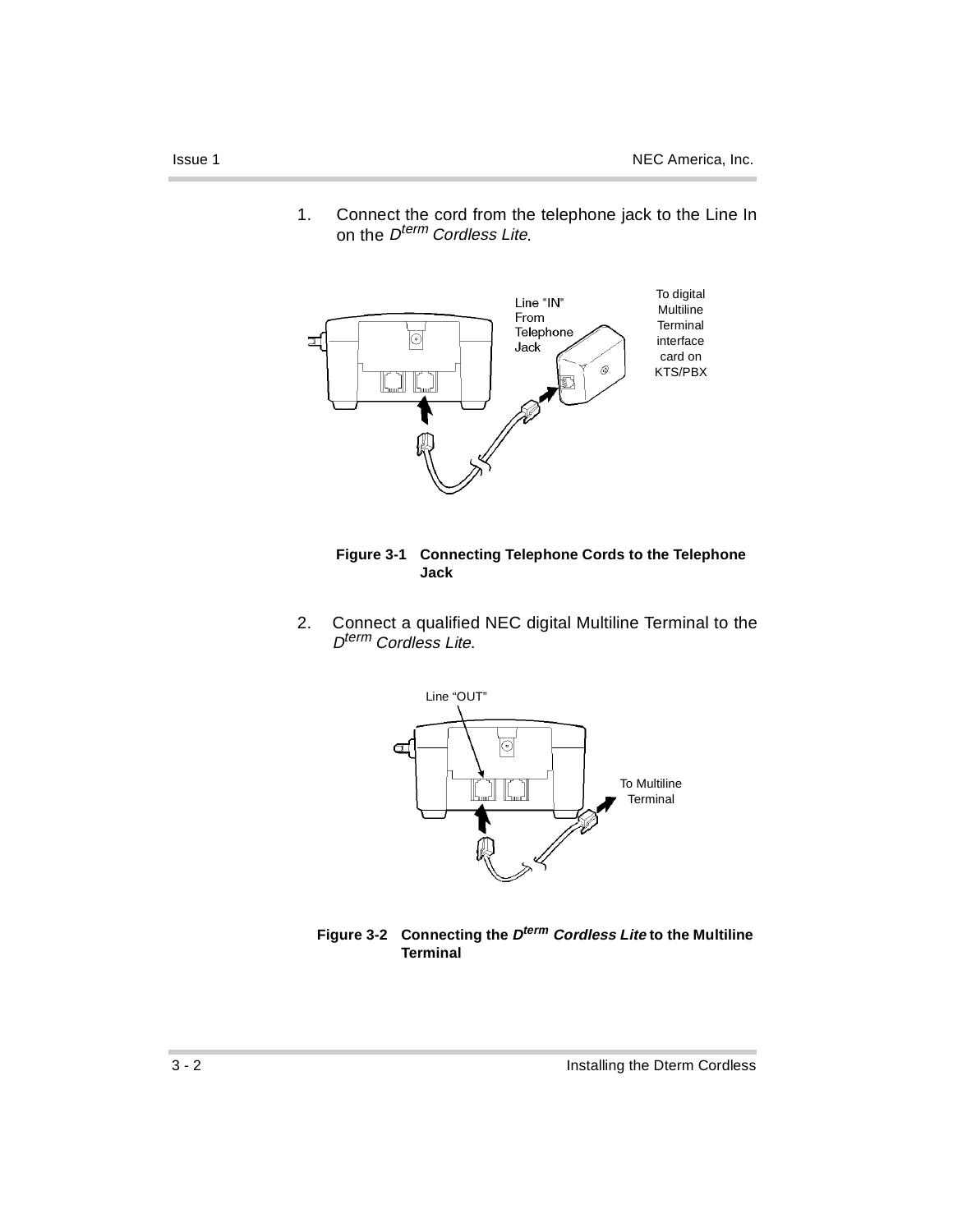

1. Connect the cord from the telephone jack to the Line In on the *D<sup>term</sup> Cordless Lite*.



2. Connect a qualified NEC digital Multiline Terminal to the D<sup>term</sup> Cordless Lite.





ř.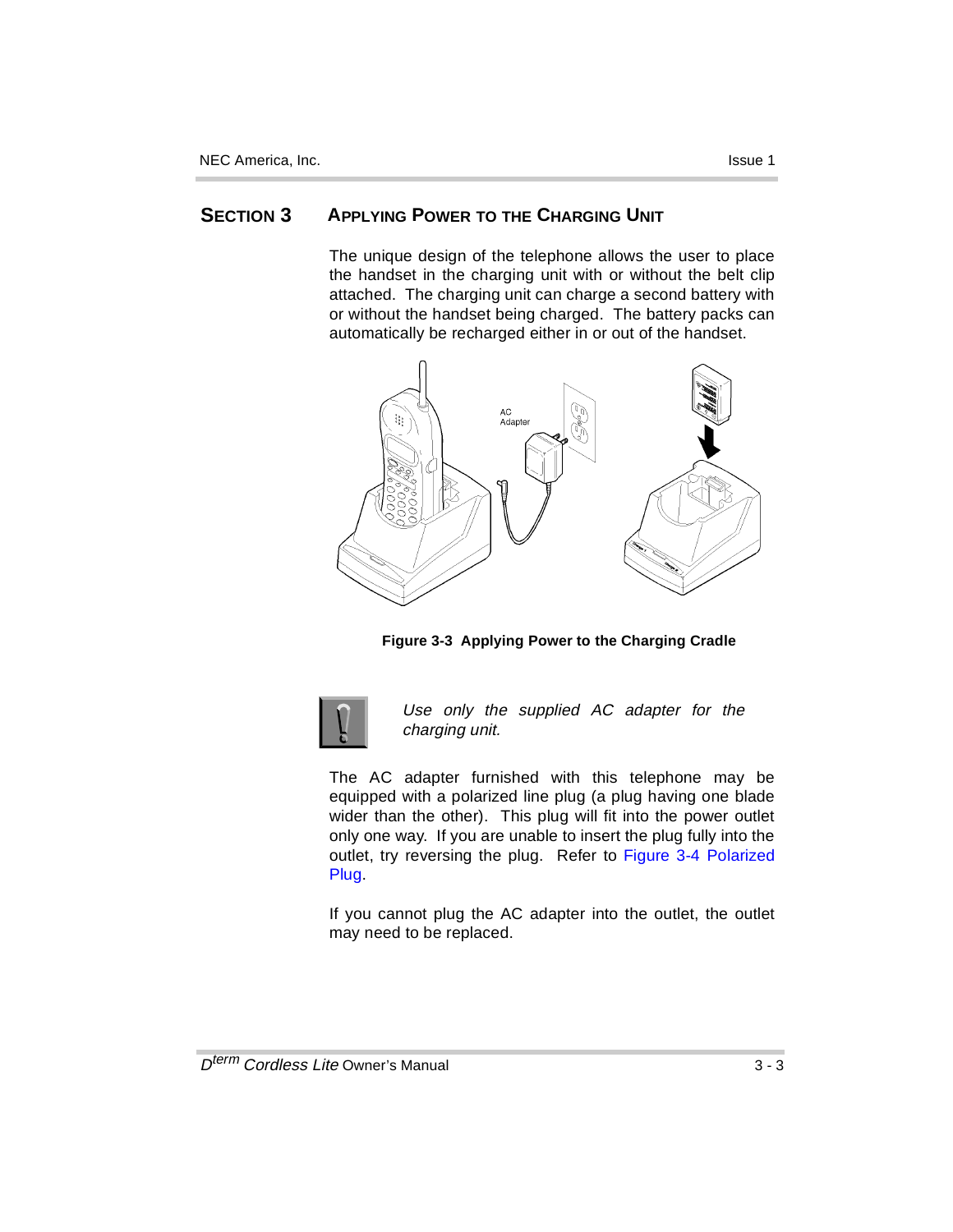### **SECTION 3 APPLYING POWER TO THE CHARGING UNIT**

The unique design of the telephone allows the user to place the handset in the charging unit with or without the belt clip attached. The charging unit can charge a second battery with or without the handset being charged. The battery packs can automatically be recharged either in or out of the handset.



**Figure 3-3 Applying Power to the Charging Cradle**



Use only the supplied AC adapter for the charging unit.

The AC adapter furnished with this telephone may be equipped with a polarized line plug (a plug having one blade wider than the other). This plug will fit into the power outlet only one way. If you are unable to insert the plug fully into the outlet, try reversing the plug. Refer to Figure 3-4 Polarized Plug.

If you cannot plug the AC adapter into the outlet, the outlet may need to be replaced.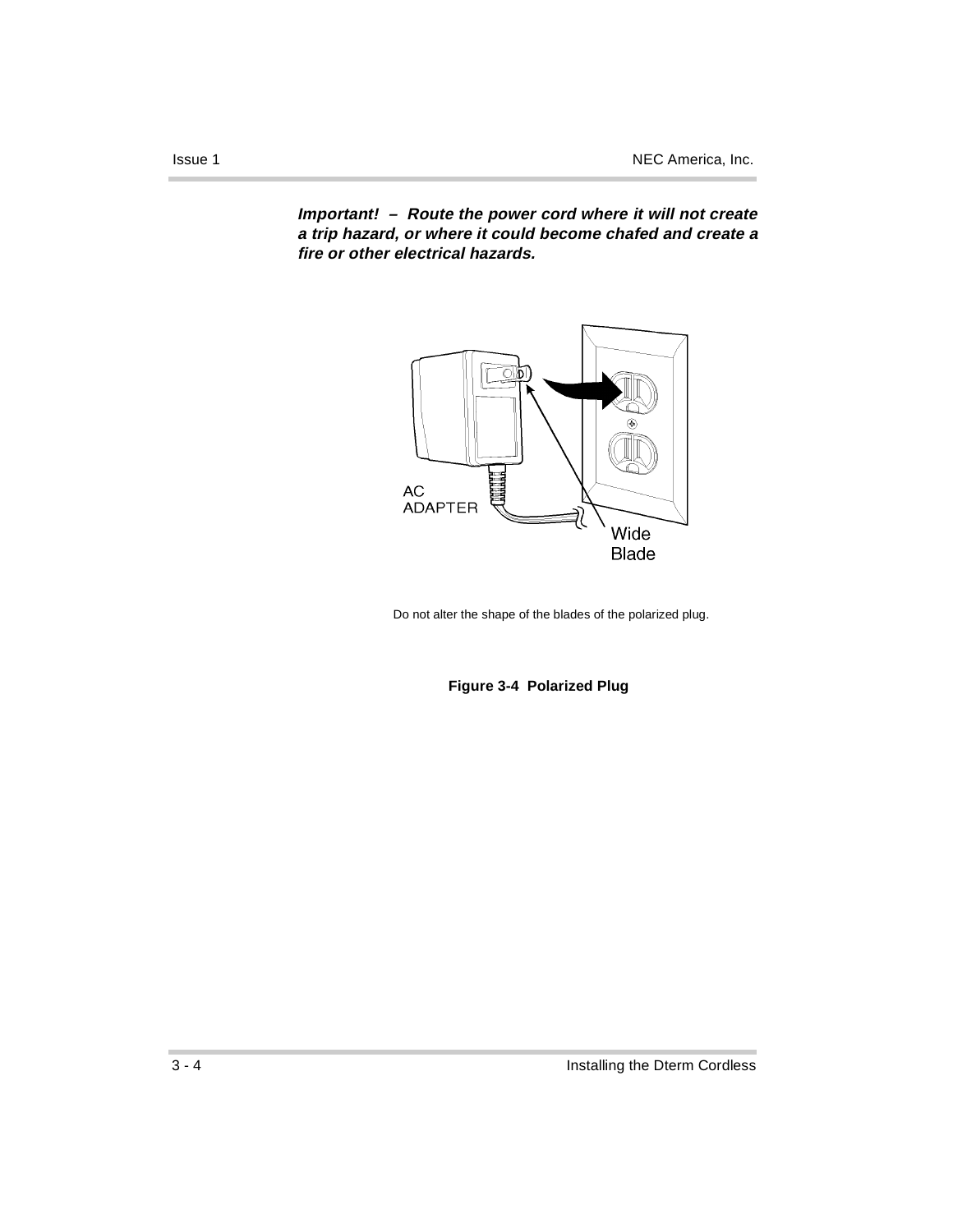**Important! – Route the power cord where it will not create a trip hazard, or where it could become chafed and create a fire or other electrical hazards.** 



Do not alter the shape of the blades of the polarized plug.

**Figure 3-4 Polarized Plug**

ř.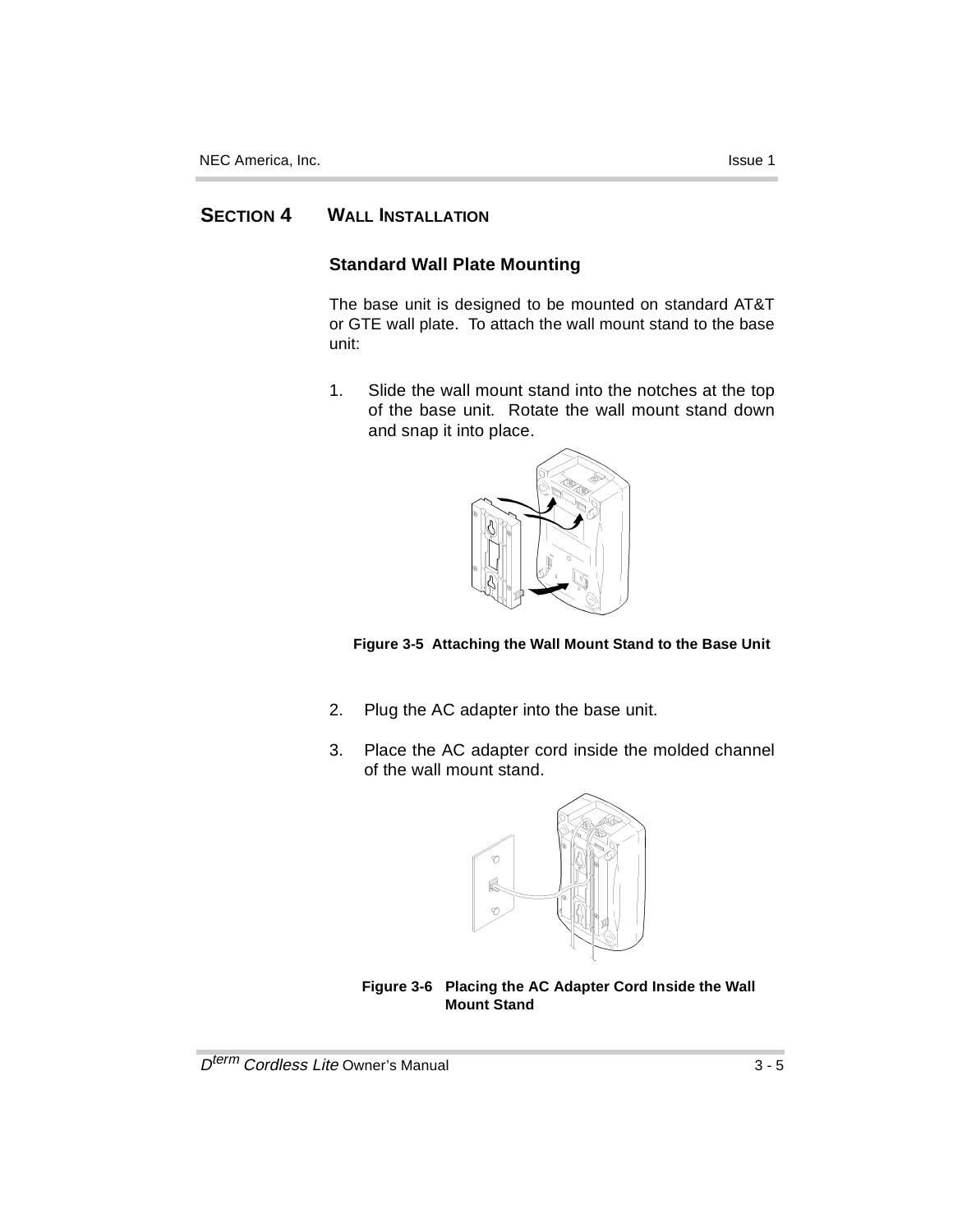### **SECTION 4 WALL INSTALLATION**

### **Standard Wall Plate Mounting**

The base unit is designed to be mounted on standard AT&T or GTE wall plate. To attach the wall mount stand to the base unit:

1. Slide the wall mount stand into the notches at the top of the base unit. Rotate the wall mount stand down and snap it into place.





- 2. Plug the AC adapter into the base unit.
- 3. Place the AC adapter cord inside the molded channel of the wall mount stand.



**Figure 3-6 Placing the AC Adapter Cord Inside the Wall Mount Stand**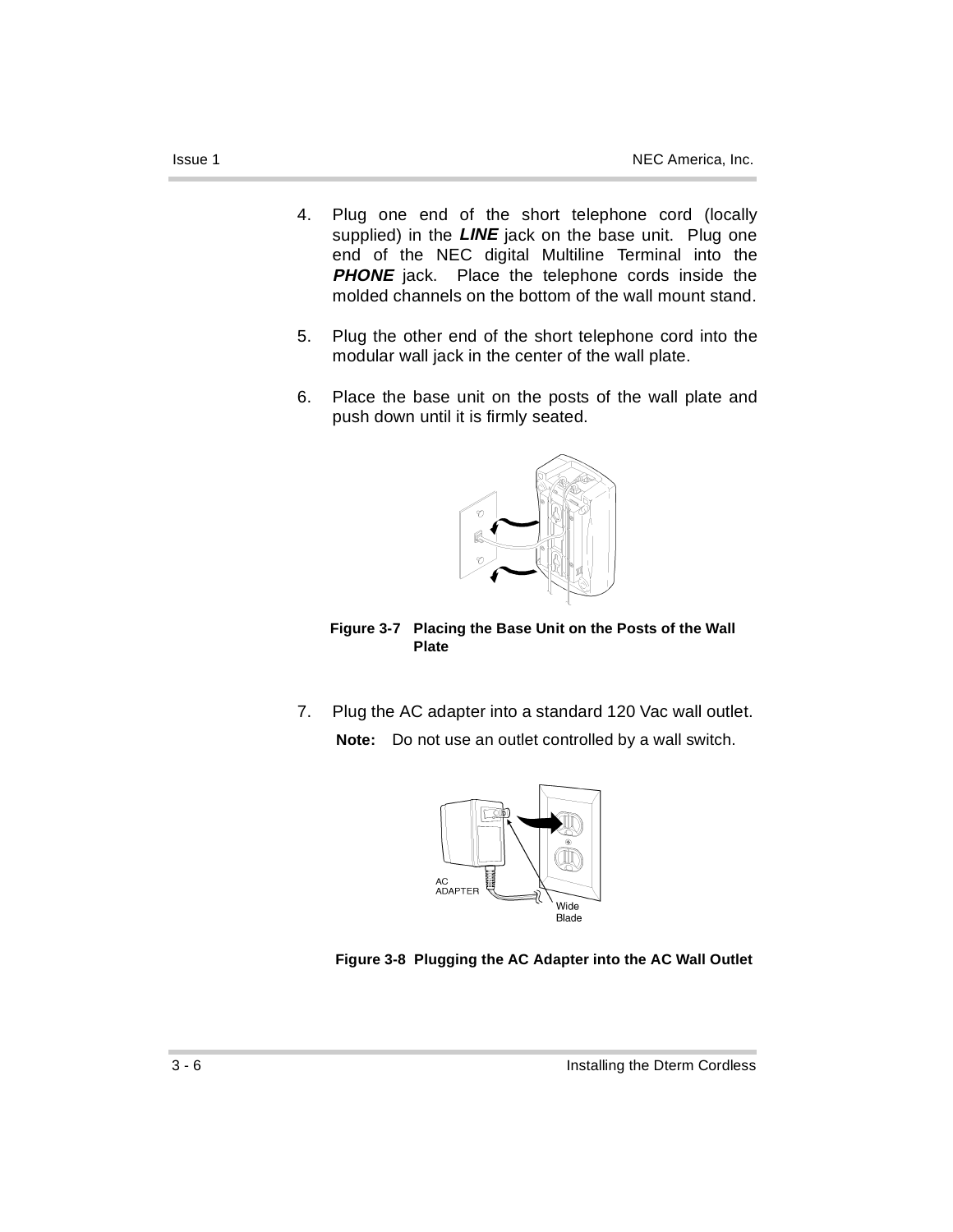- 4. Plug one end of the short telephone cord (locally supplied) in the **LINE** jack on the base unit. Plug one end of the NEC digital Multiline Terminal into the **PHONE** jack. Place the telephone cords inside the molded channels on the bottom of the wall mount stand.
- 5. Plug the other end of the short telephone cord into the modular wall jack in the center of the wall plate.
- 6. Place the base unit on the posts of the wall plate and push down until it is firmly seated.



**Figure 3-7 Placing the Base Unit on the Posts of the Wall Plate**

7. Plug the AC adapter into a standard 120 Vac wall outlet. **Note:** Do not use an outlet controlled by a wall switch.



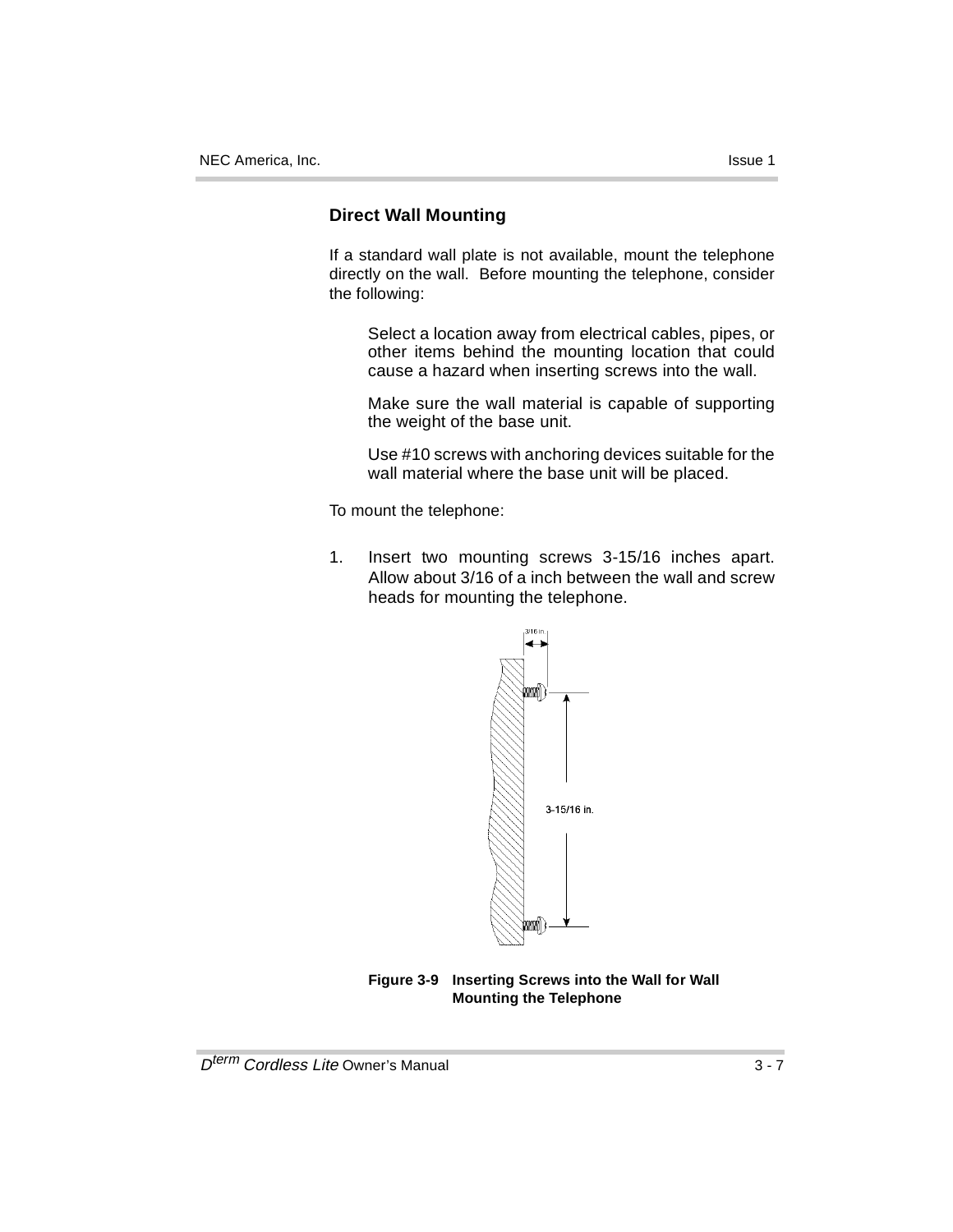### **Direct Wall Mounting**

If a standard wall plate is not available, mount the telephone directly on the wall. Before mounting the telephone, consider the following:

Select a location away from electrical cables, pipes, or other items behind the mounting location that could cause a hazard when inserting screws into the wall.

Make sure the wall material is capable of supporting the weight of the base unit.

Use #10 screws with anchoring devices suitable for the wall material where the base unit will be placed.

To mount the telephone:

1. Insert two mounting screws 3-15/16 inches apart. Allow about 3/16 of a inch between the wall and screw heads for mounting the telephone.



**Figure 3-9 Inserting Screws into the Wall for Wall Mounting the Telephone**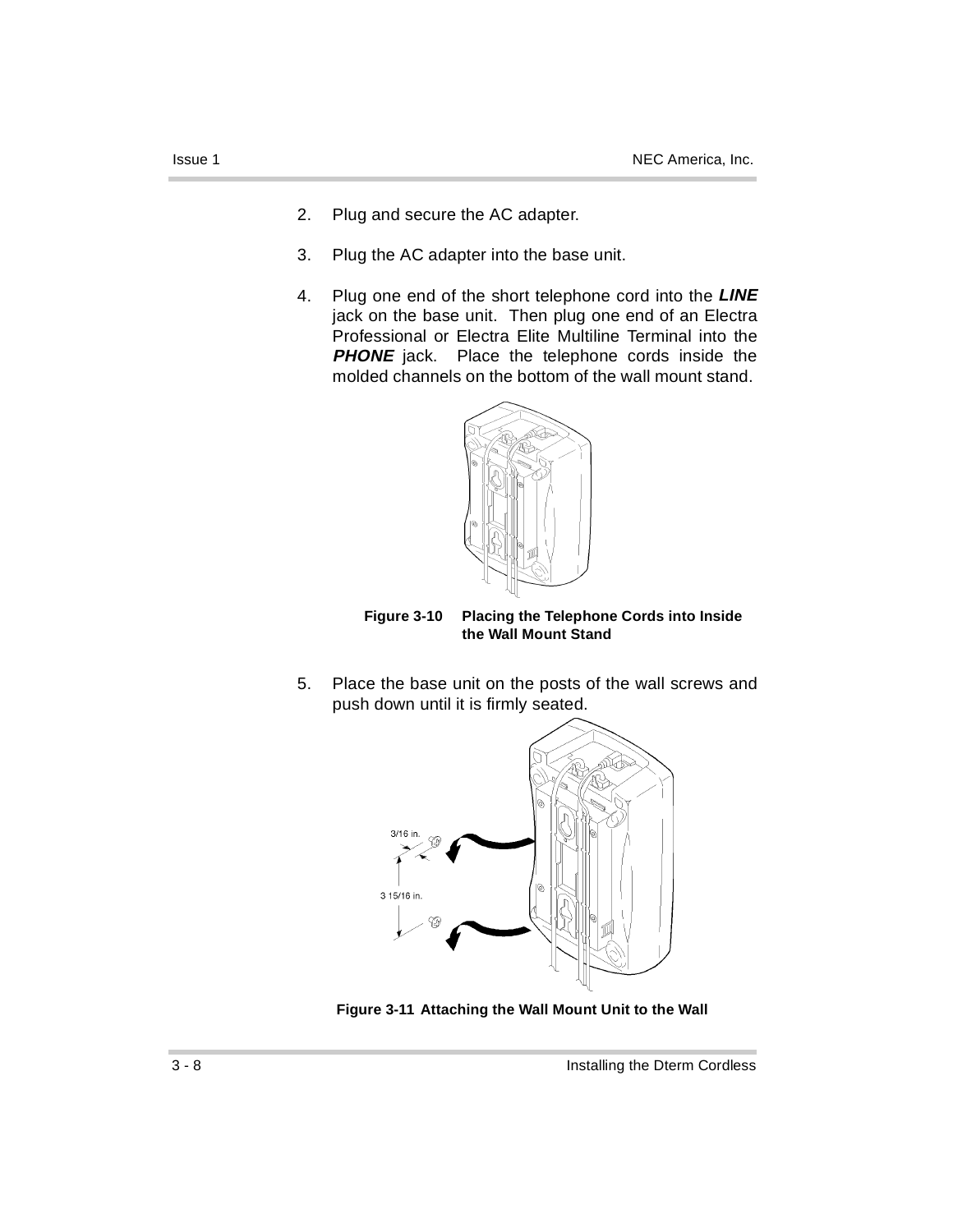- 
- 2. Plug and secure the AC adapter.
- 3. Plug the AC adapter into the base unit.
- 4. Plug one end of the short telephone cord into the **LINE** jack on the base unit. Then plug one end of an Electra Professional or Electra Elite Multiline Terminal into the **PHONE** jack. Place the telephone cords inside the molded channels on the bottom of the wall mount stand.



**Figure 3-10 Placing the Telephone Cords into Inside the Wall Mount Stand**

5. Place the base unit on the posts of the wall screws and push down until it is firmly seated.



**Figure 3-11 Attaching the Wall Mount Unit to the Wall**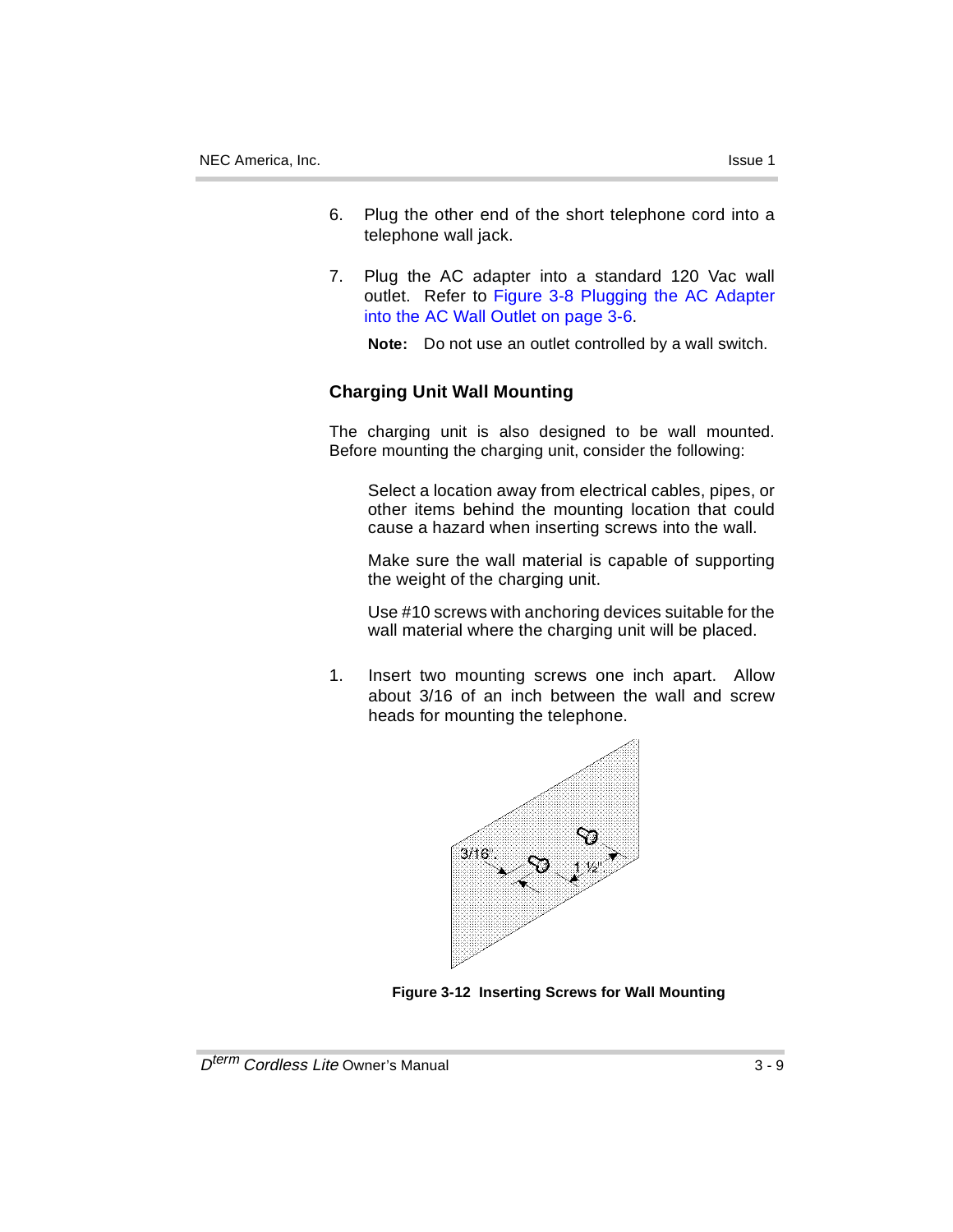- 6. Plug the other end of the short telephone cord into a telephone wall jack.
- 7. Plug the AC adapter into a standard 120 Vac wall outlet. Refer to Figure 3-8 Plugging the AC Adapter into the AC Wall Outlet on page 3-6.

**Note:** Do not use an outlet controlled by a wall switch.

### **Charging Unit Wall Mounting**

The charging unit is also designed to be wall mounted. Before mounting the charging unit, consider the following:

Select a location away from electrical cables, pipes, or other items behind the mounting location that could cause a hazard when inserting screws into the wall.

Make sure the wall material is capable of supporting the weight of the charging unit.

Use #10 screws with anchoring devices suitable for the wall material where the charging unit will be placed.

1. Insert two mounting screws one inch apart. Allow about 3/16 of an inch between the wall and screw heads for mounting the telephone.



**Figure 3-12 Inserting Screws for Wall Mounting**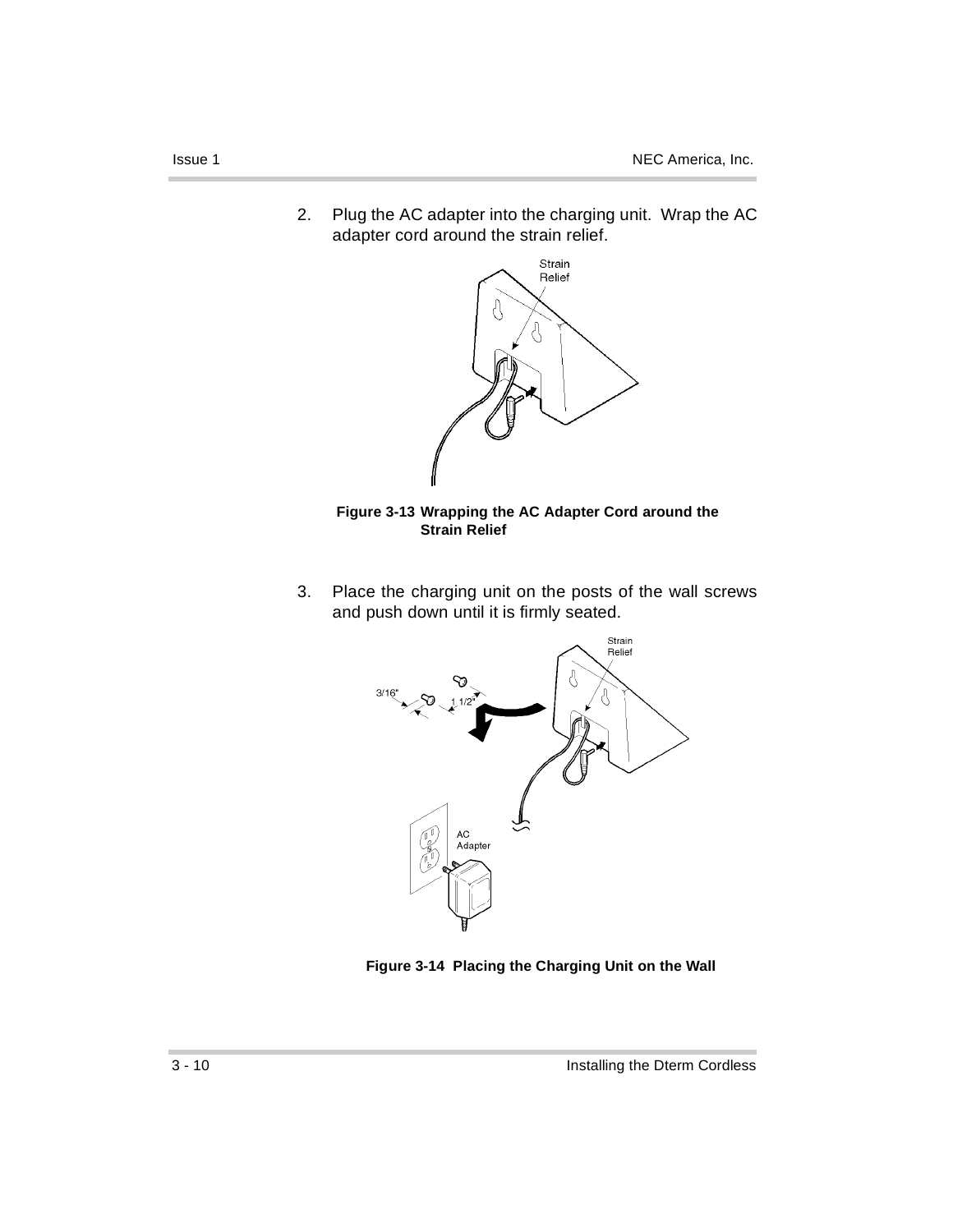2. Plug the AC adapter into the charging unit. Wrap the AC adapter cord around the strain relief.



**Figure 3-13 Wrapping the AC Adapter Cord around the Strain Relief**

3. Place the charging unit on the posts of the wall screws and push down until it is firmly seated.



**Figure 3-14 Placing the Charging Unit on the Wall**

ř.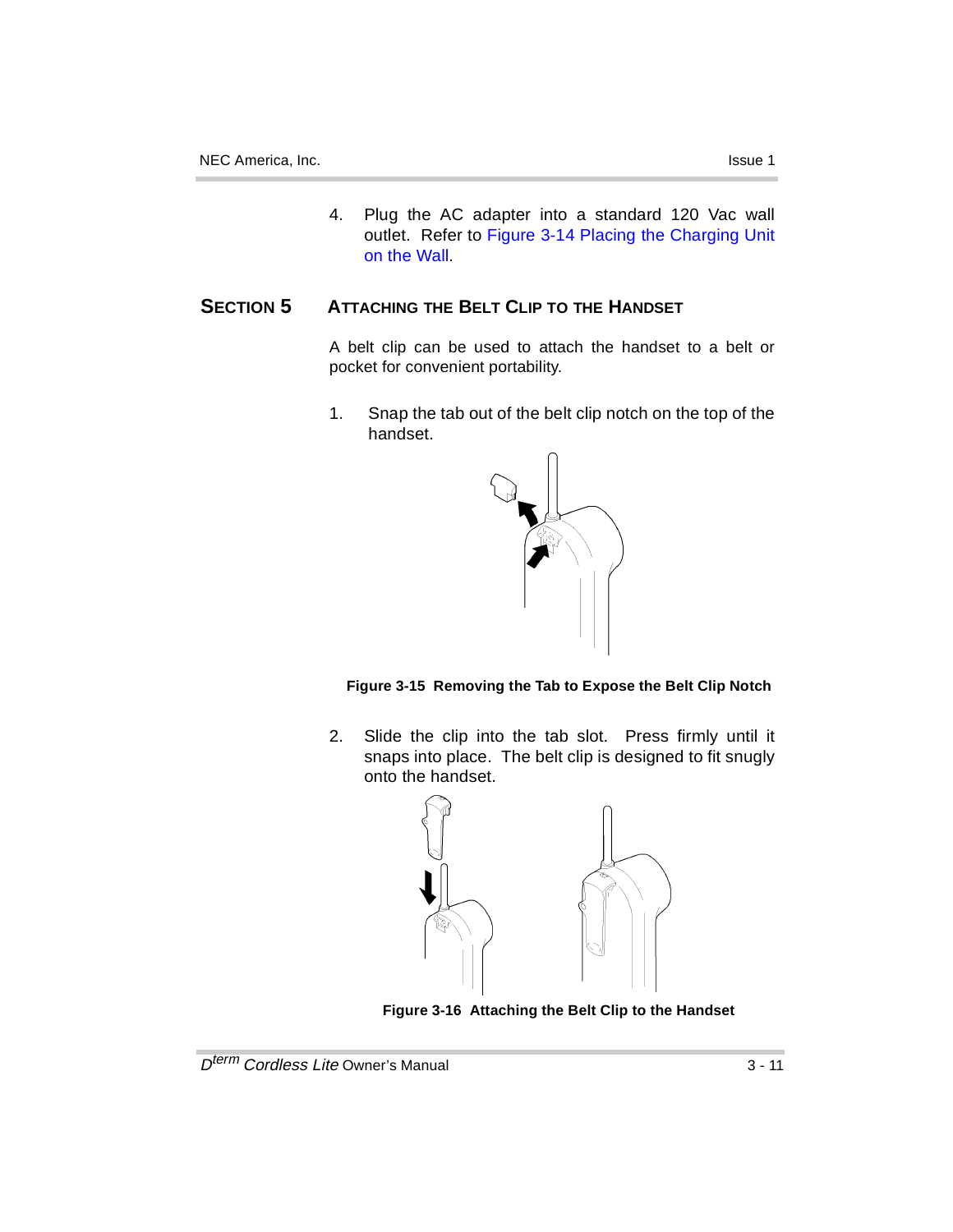4. Plug the AC adapter into a standard 120 Vac wall outlet. Refer to Figure 3-14 Placing the Charging Unit on the Wall.

### **SECTION 5 ATTACHING THE BELT CLIP TO THE HANDSET**

A belt clip can be used to attach the handset to a belt or pocket for convenient portability.

1. Snap the tab out of the belt clip notch on the top of the handset.



**Figure 3-15 Removing the Tab to Expose the Belt Clip Notch**

2. Slide the clip into the tab slot. Press firmly until it snaps into place. The belt clip is designed to fit snugly onto the handset.



**Figure 3-16 Attaching the Belt Clip to the Handset**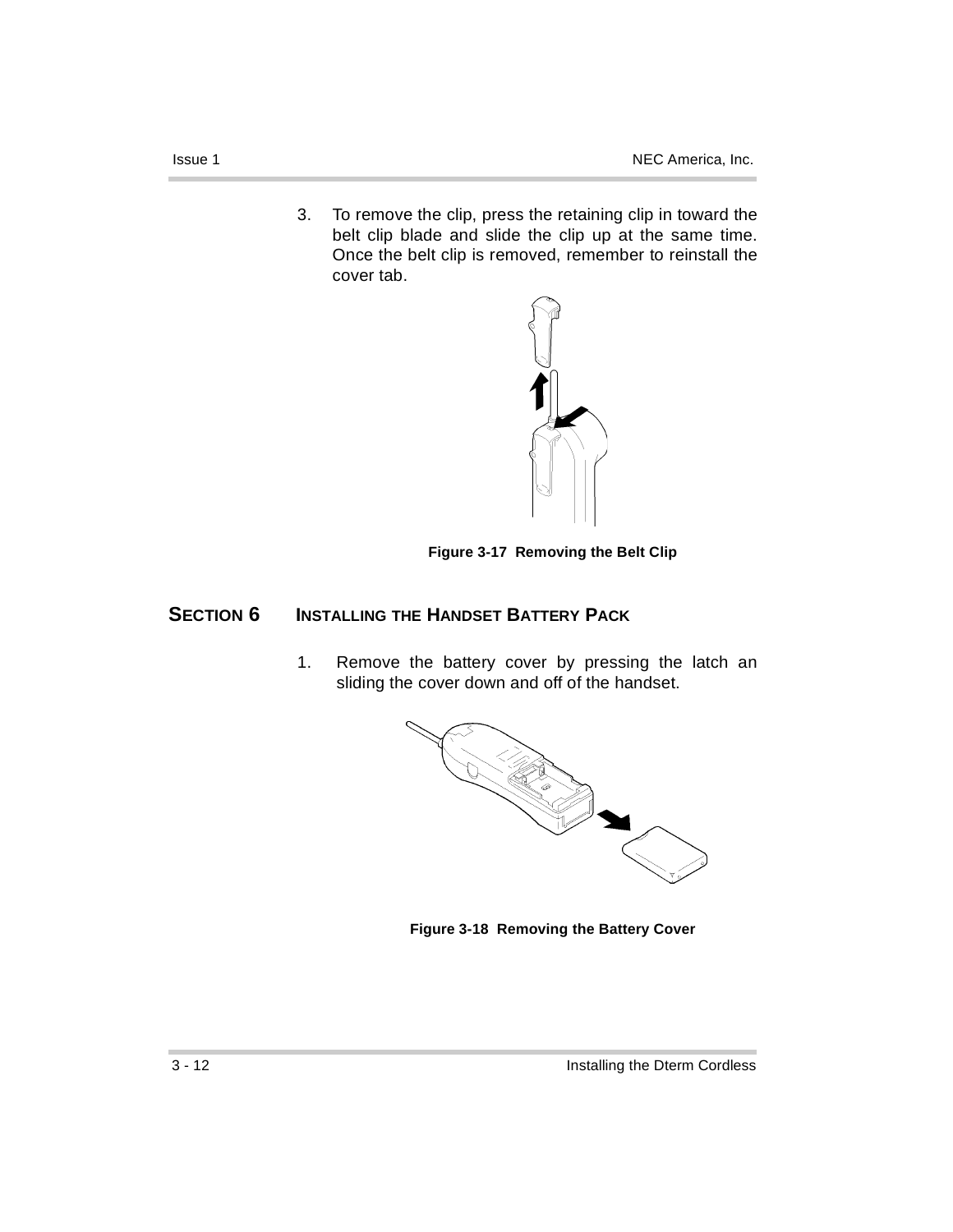3. To remove the clip, press the retaining clip in toward the belt clip blade and slide the clip up at the same time. Once the belt clip is removed, remember to reinstall the cover tab.



**Figure 3-17 Removing the Belt Clip**

### **SECTION 6 INSTALLING THE HANDSET BATTERY PACK**

1. Remove the battery cover by pressing the latch an sliding the cover down and off of the handset.



**Figure 3-18 Removing the Battery Cover**

×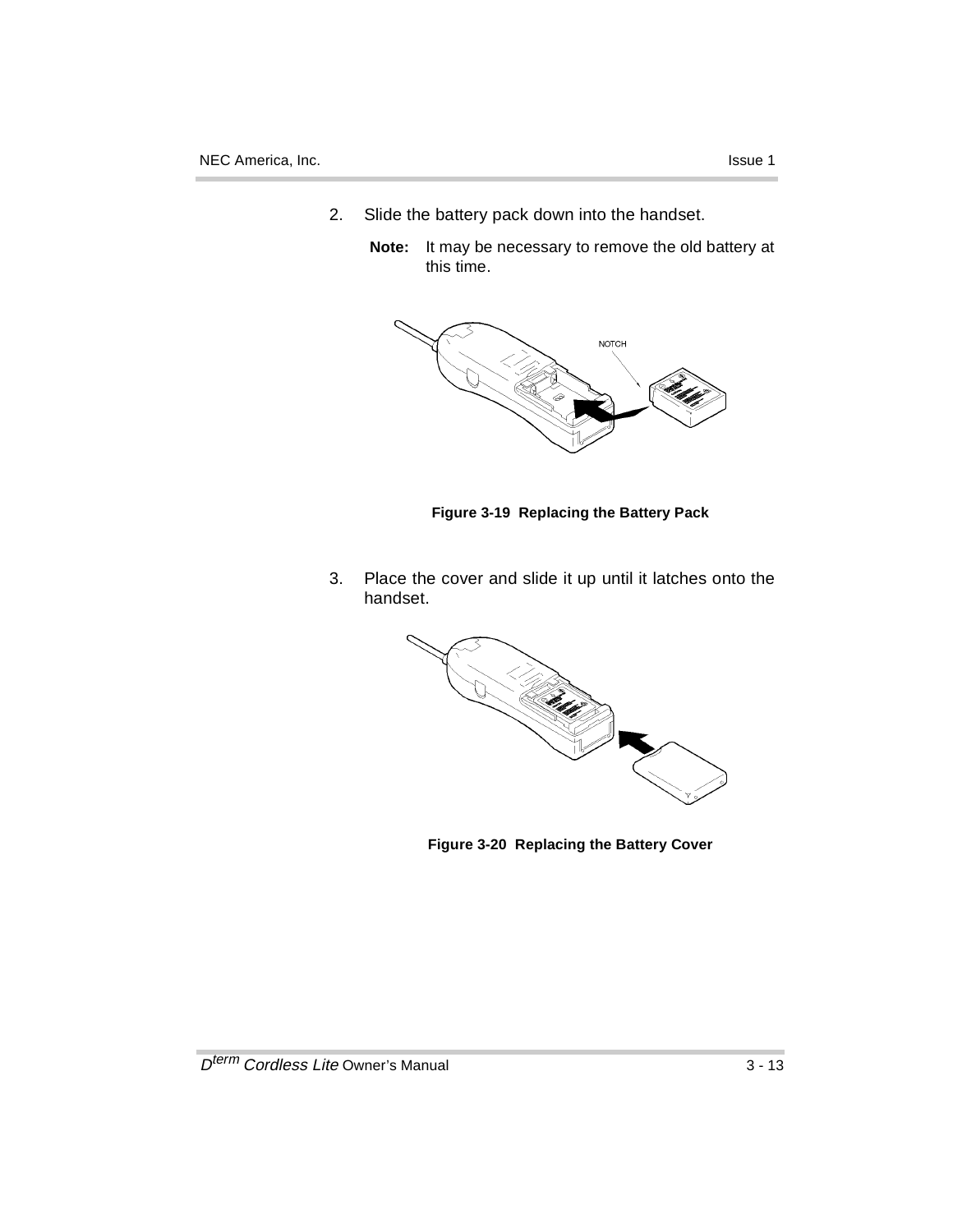- 2. Slide the battery pack down into the handset.
	- **Note:** It may be necessary to remove the old battery at this time.



**Figure 3-19 Replacing the Battery Pack**

3. Place the cover and slide it up until it latches onto the handset.



**Figure 3-20 Replacing the Battery Cover**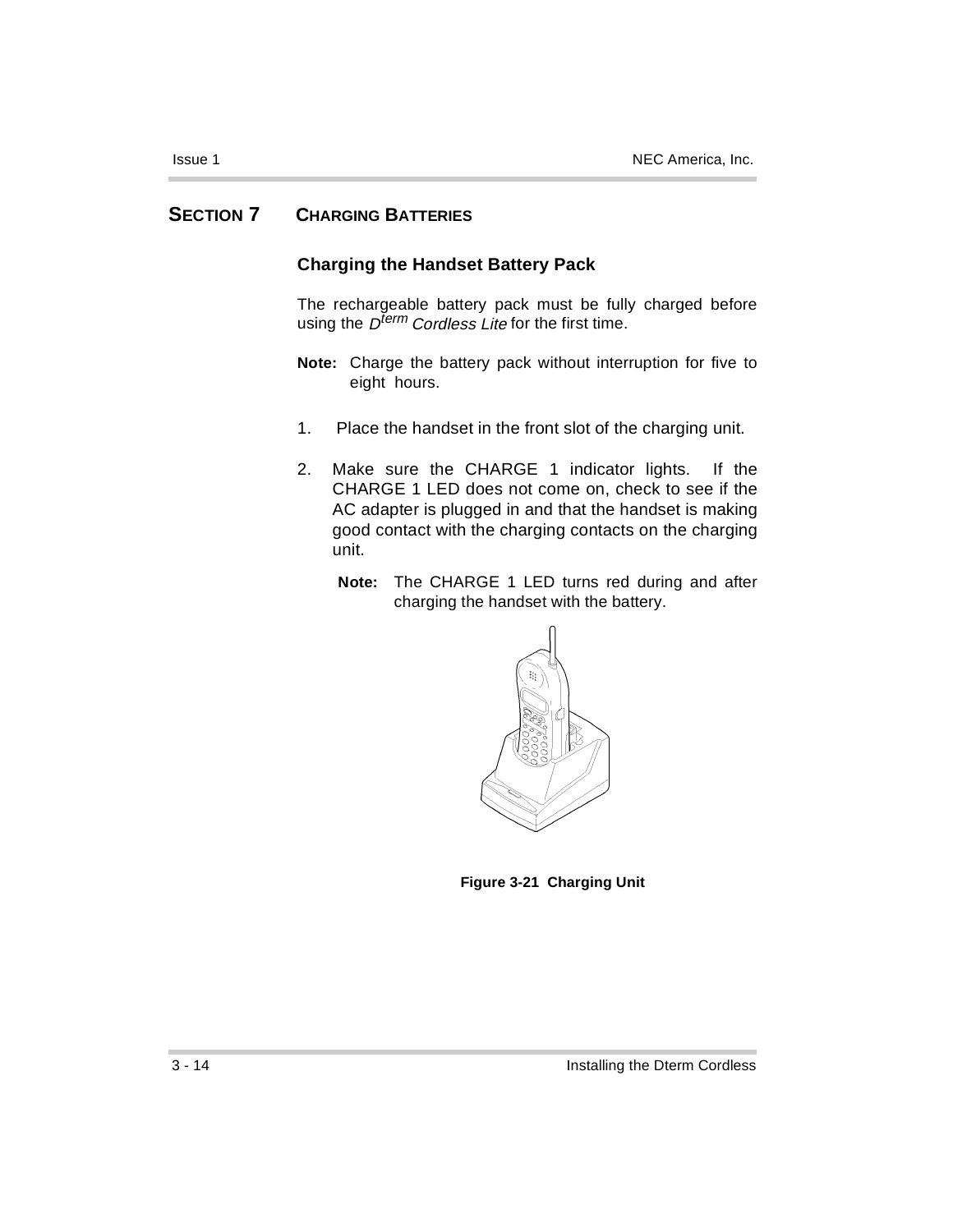### **SECTION 7 CHARGING BATTERIES**

### **Charging the Handset Battery Pack**

The rechargeable battery pack must be fully charged before using the  $D^{term}$  Cordless Lite for the first time.

- **Note:** Charge the battery pack without interruption for five to eight hours.
- 1. Place the handset in the front slot of the charging unit.
- 2. Make sure the CHARGE 1 indicator lights. If the CHARGE 1 LED does not come on, check to see if the AC adapter is plugged in and that the handset is making good contact with the charging contacts on the charging unit.
	- **Note:** The CHARGE 1 LED turns red during and after charging the handset with the battery.



**Figure 3-21 Charging Unit**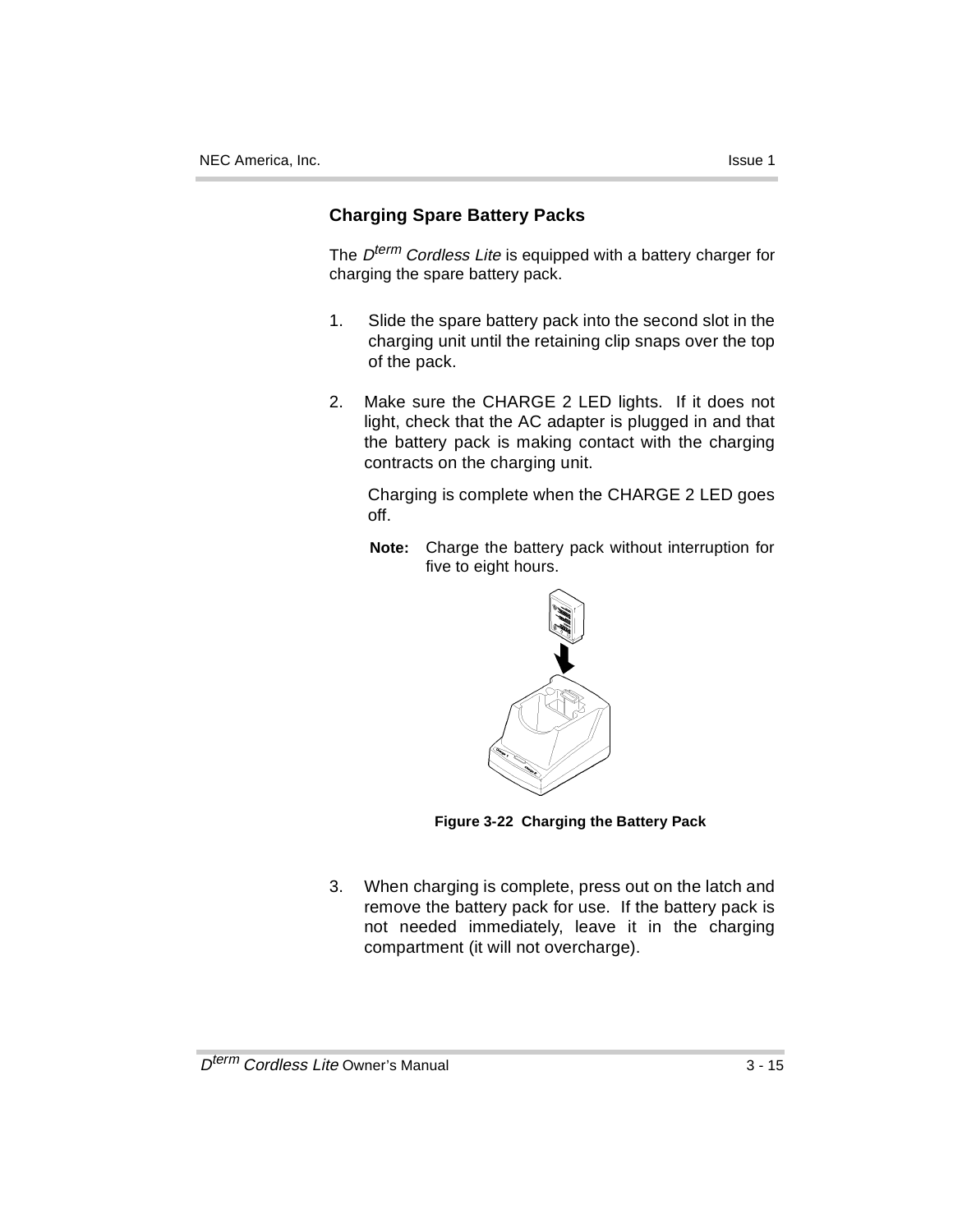### **Charging Spare Battery Packs**

The  $D^{term}$  Cordless Lite is equipped with a battery charger for charging the spare battery pack.

- 1. Slide the spare battery pack into the second slot in the charging unit until the retaining clip snaps over the top of the pack.
- 2. Make sure the CHARGE 2 LED lights. If it does not light, check that the AC adapter is plugged in and that the battery pack is making contact with the charging contracts on the charging unit.

Charging is complete when the CHARGE 2 LED goes off.

**Note:** Charge the battery pack without interruption for five to eight hours.



**Figure 3-22 Charging the Battery Pack**

3. When charging is complete, press out on the latch and remove the battery pack for use. If the battery pack is not needed immediately, leave it in the charging compartment (it will not overcharge).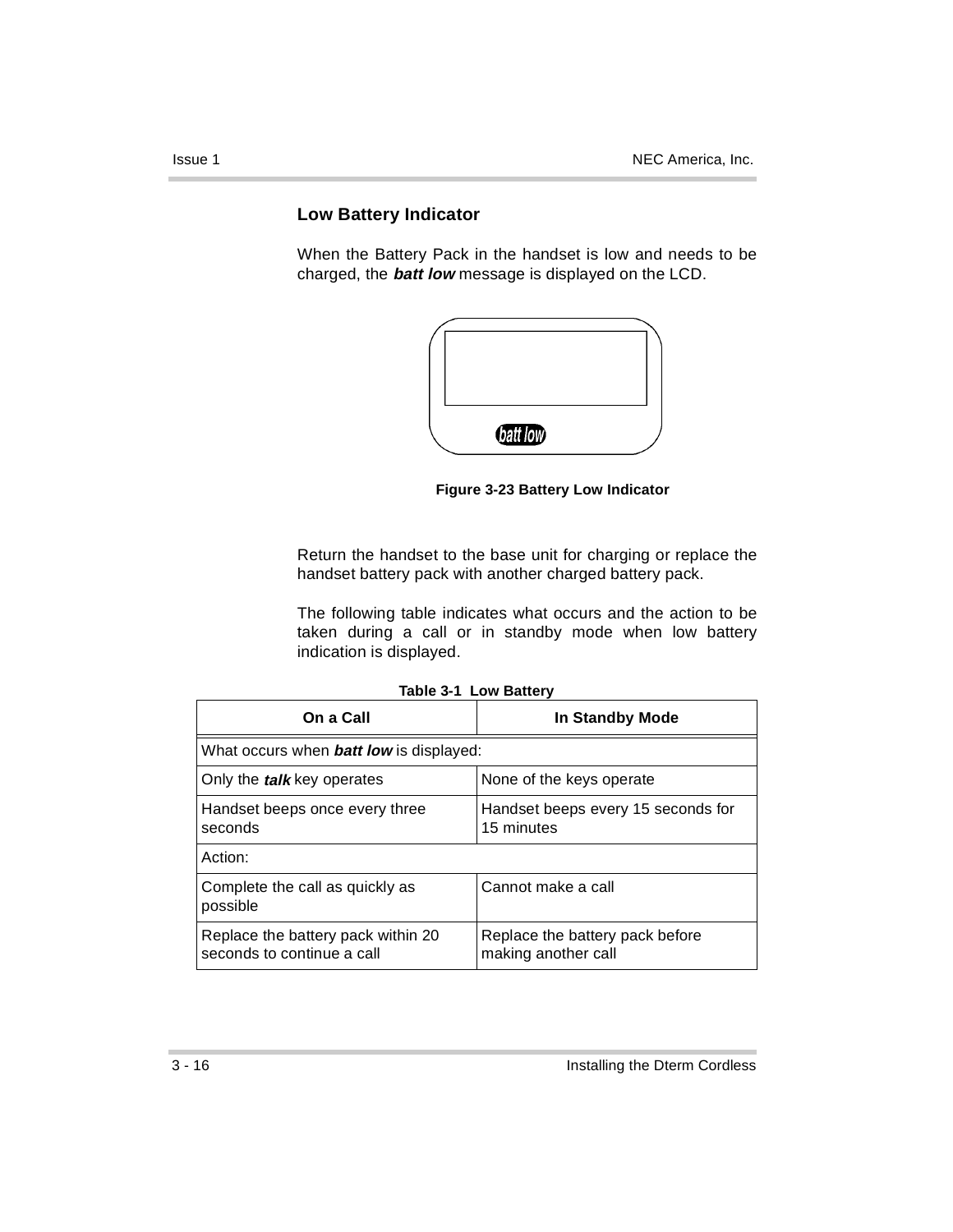### **Low Battery Indicator**

When the Battery Pack in the handset is low and needs to be charged, the **batt low** message is displayed on the LCD.



**Figure 3-23 Battery Low Indicator**

Return the handset to the base unit for charging or replace the handset battery pack with another charged battery pack.

The following table indicates what occurs and the action to be taken during a call or in standby mode when low battery indication is displayed.

| On a Call                                                        | <b>In Standby Mode</b>                                 |  |
|------------------------------------------------------------------|--------------------------------------------------------|--|
| What occurs when <b>batt low</b> is displayed:                   |                                                        |  |
| Only the <i>talk</i> key operates                                | None of the keys operate                               |  |
| Handset beeps once every three<br>seconds                        | Handset beeps every 15 seconds for<br>15 minutes       |  |
| Action:                                                          |                                                        |  |
| Complete the call as quickly as<br>possible                      | Cannot make a call                                     |  |
| Replace the battery pack within 20<br>seconds to continue a call | Replace the battery pack before<br>making another call |  |

ř.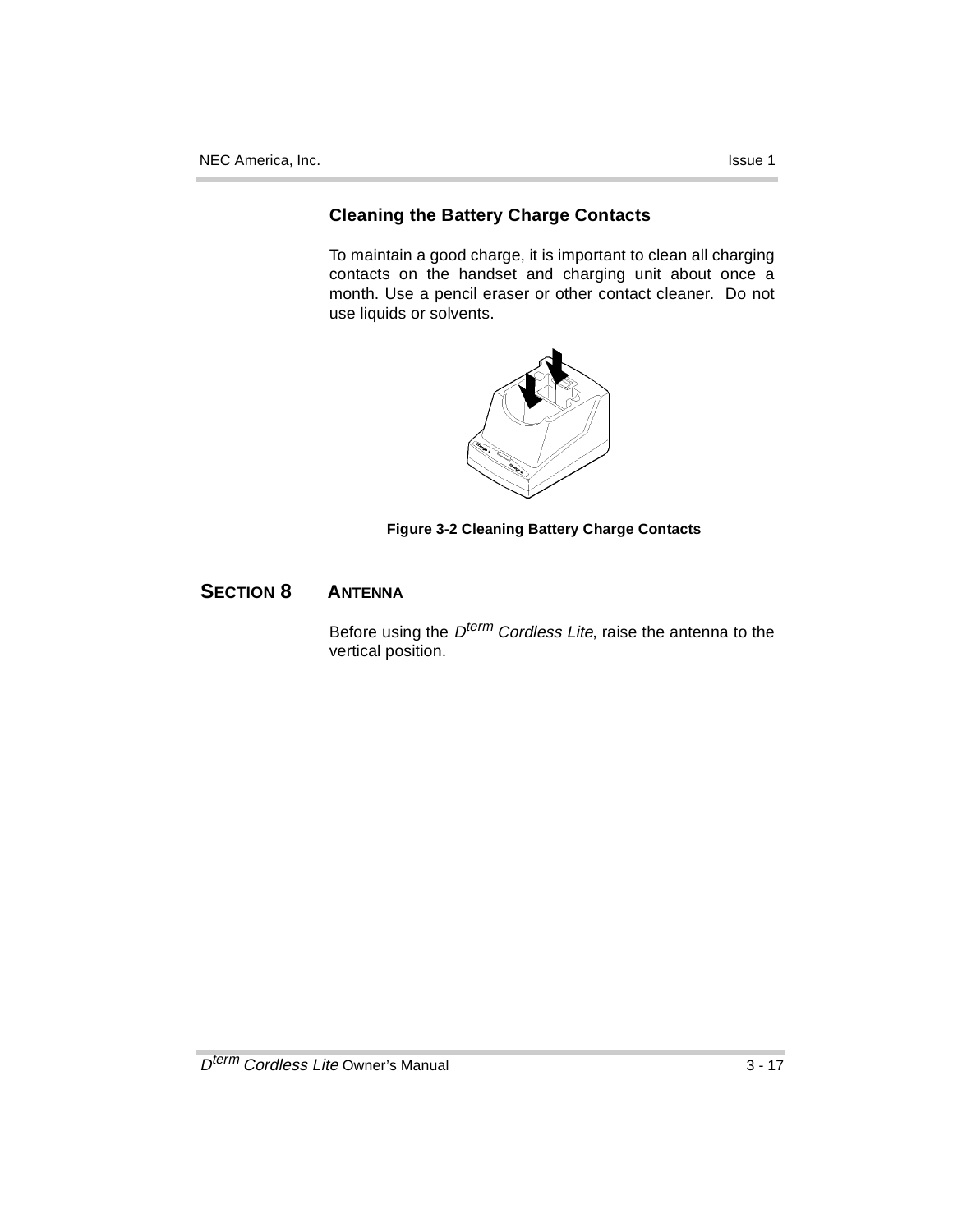### **Cleaning the Battery Charge Contacts**

To maintain a good charge, it is important to clean all charging contacts on the handset and charging unit about once a month. Use a pencil eraser or other contact cleaner. Do not use liquids or solvents.



### **Figure 3-2 Cleaning Battery Charge Contacts**

### **SECTION 8 ANTENNA**

Before using the D<sup>term</sup> Cordless Lite, raise the antenna to the vertical position.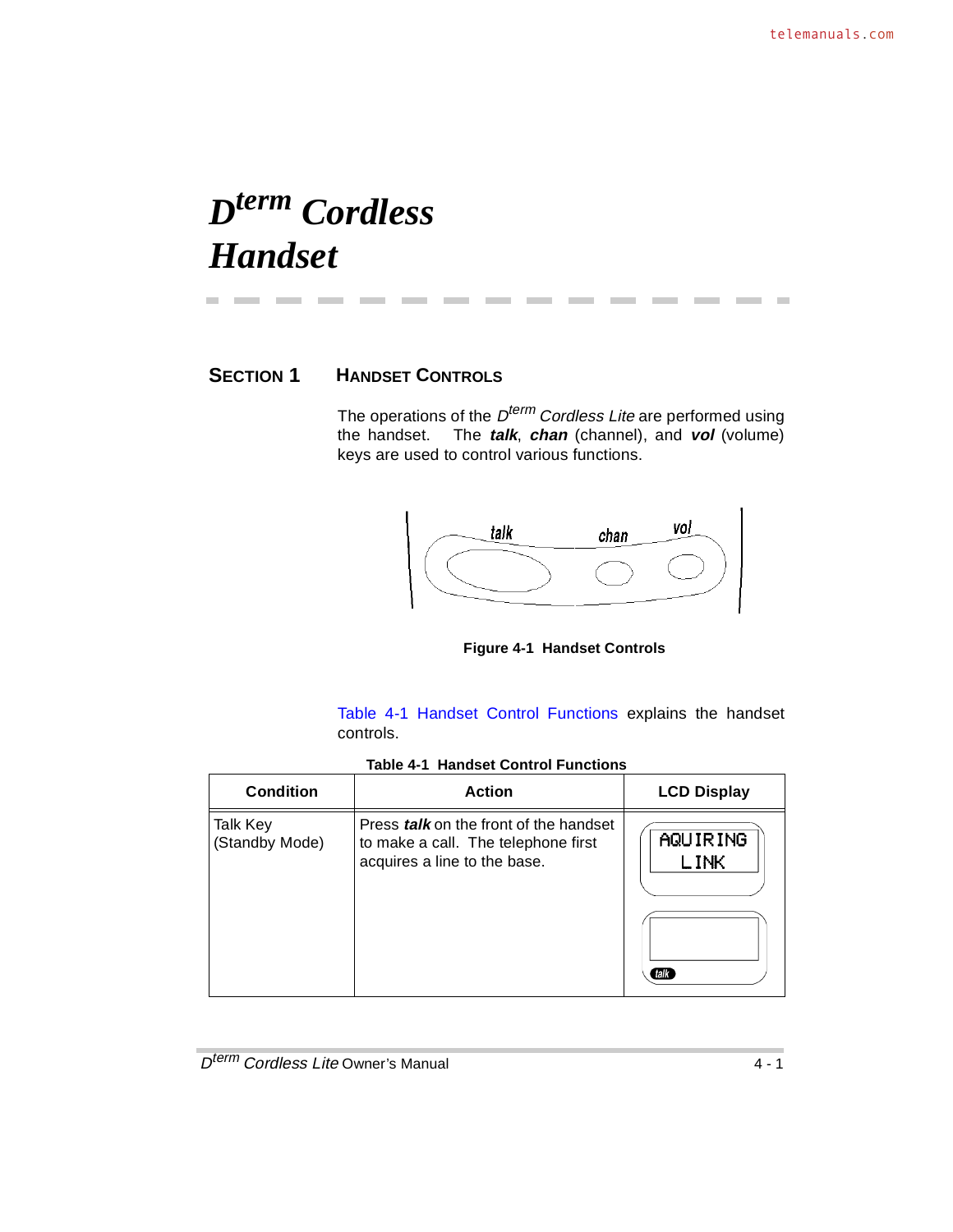## *Dterm Cordless Handset*

---

m.

### **SECTION 1 HANDSET CONTROLS**

The operations of the  $D^{term}$  Cordless Lite are performed using the handset. The **talk**, **chan** (channel), and **vol** (volume) keys are used to control various functions.

------------



**Figure 4-1 Handset Controls**

Table 4-1 Handset Control Functions explains the handset controls.

|  |  |  | <b>Table 4-1 Handset Control Functions</b> |
|--|--|--|--------------------------------------------|
|--|--|--|--------------------------------------------|

| <b>Condition</b>           | <b>Action</b>                                                                                                        | <b>LCD Display</b>               |
|----------------------------|----------------------------------------------------------------------------------------------------------------------|----------------------------------|
| Talk Key<br>(Standby Mode) | Press <i>talk</i> on the front of the handset<br>to make a call. The telephone first<br>acquires a line to the base. | AQUIRING<br><b>LINK</b><br>(talk |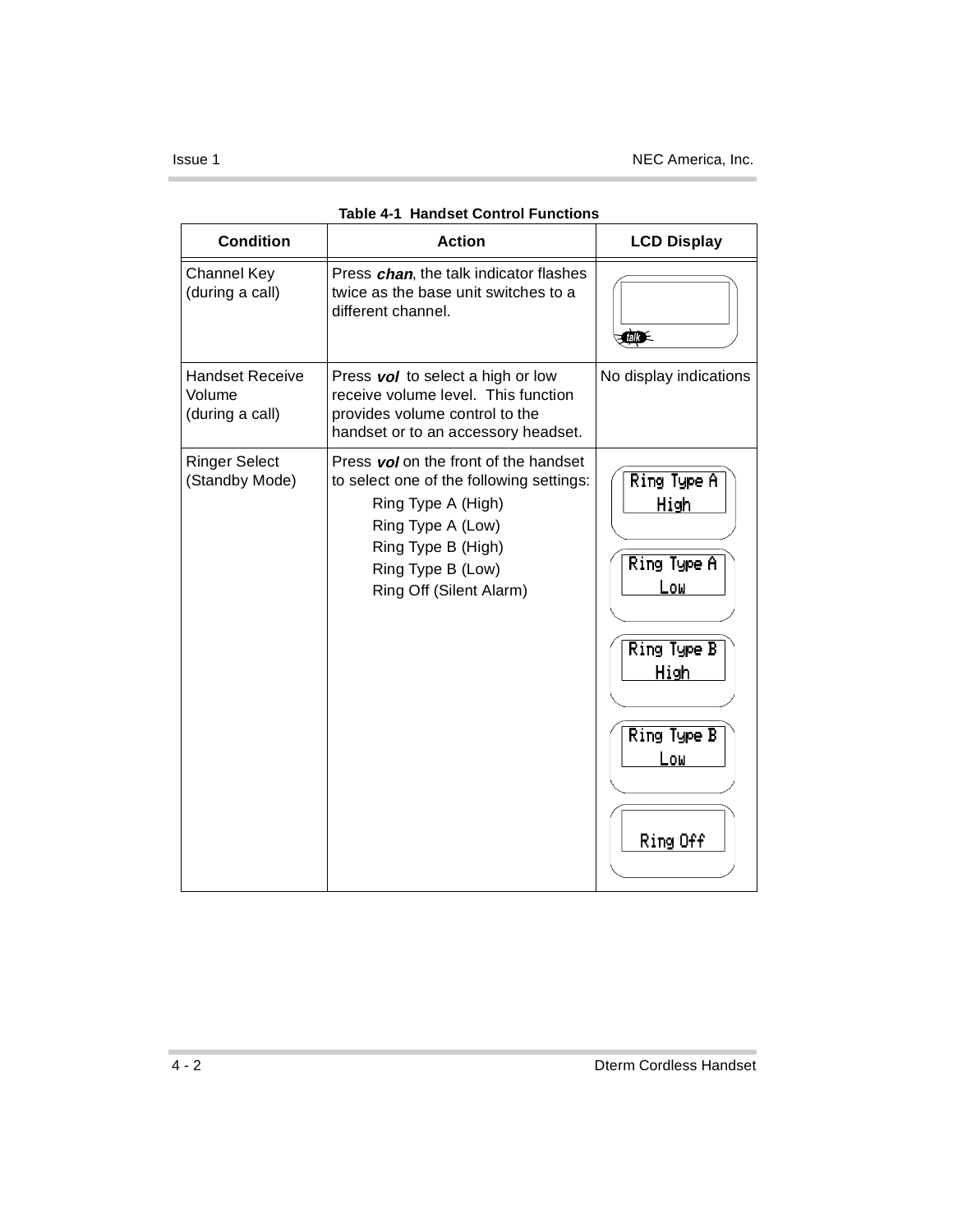| <b>Condition</b>                                    | <b>Action</b>                                                                                                                                                                                      | <b>LCD Display</b>                                                                                 |
|-----------------------------------------------------|----------------------------------------------------------------------------------------------------------------------------------------------------------------------------------------------------|----------------------------------------------------------------------------------------------------|
| <b>Channel Key</b><br>(during a call)               | Press chan, the talk indicator flashes<br>twice as the base unit switches to a<br>different channel.                                                                                               | <b>Cally</b>                                                                                       |
| <b>Handset Receive</b><br>Volume<br>(during a call) | Press vol to select a high or low<br>receive volume level. This function<br>provides volume control to the<br>handset or to an accessory headset.                                                  | No display indications                                                                             |
| <b>Ringer Select</b><br>(Standby Mode)              | Press vol on the front of the handset<br>to select one of the following settings:<br>Ring Type A (High)<br>Ring Type A (Low)<br>Ring Type B (High)<br>Ring Type B (Low)<br>Ring Off (Silent Alarm) | Ring Type A<br>High<br>Ring Type A<br>Low<br>Ring Type B<br>High<br>Ring Type B<br>Low<br>Ring Off |

| <b>Table 4-1 Handset Control Functions</b> |  |
|--------------------------------------------|--|
|                                            |  |

 $\sim$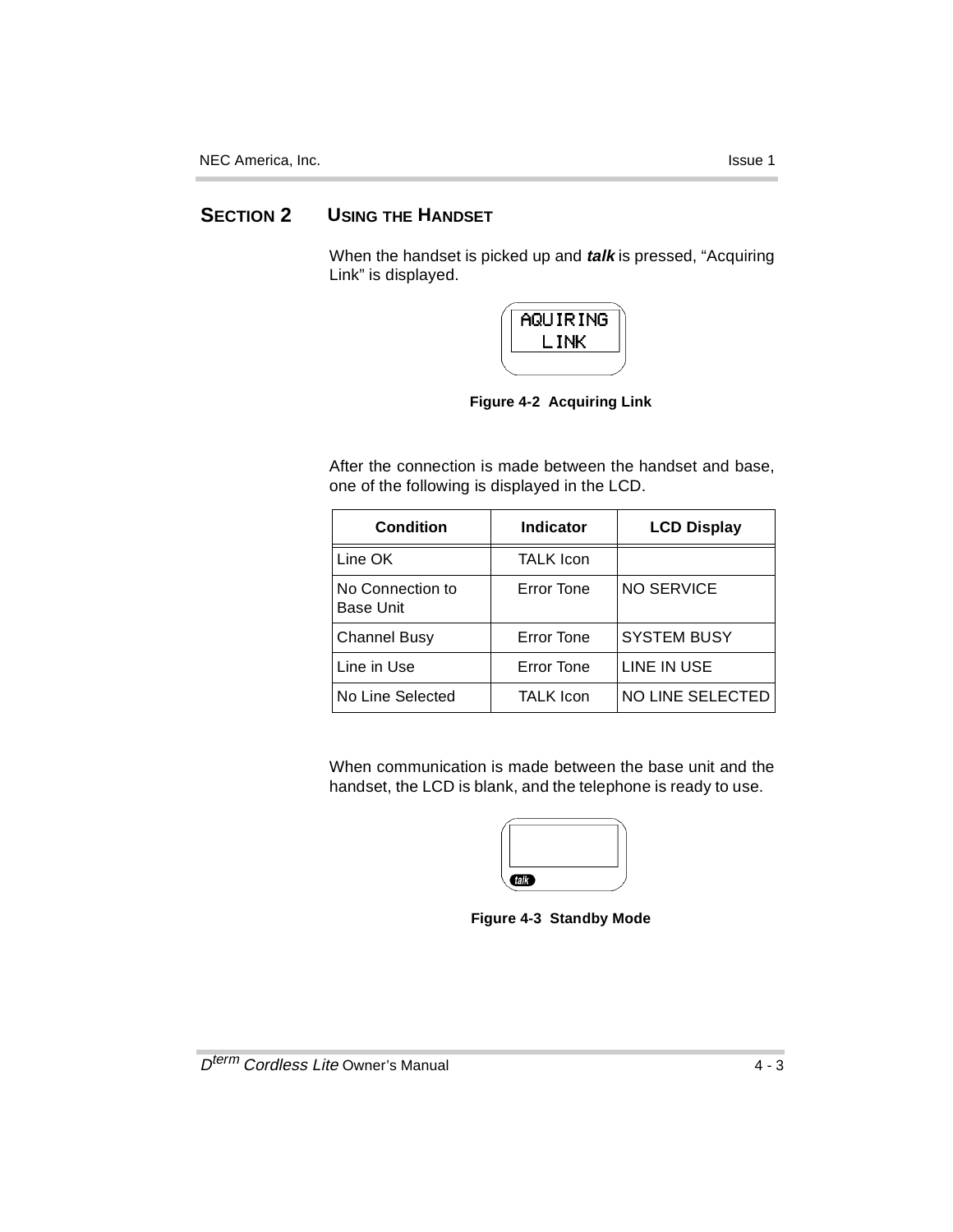### **SECTION 2 USING THE HANDSET**

When the handset is picked up and **talk** is pressed, "Acquiring Link" is displayed.



**Figure 4-2 Acquiring Link**

After the connection is made between the handset and base, one of the following is displayed in the LCD.

| <b>Condition</b>                     | Indicator         | <b>LCD Display</b> |
|--------------------------------------|-------------------|--------------------|
| Line OK                              | <b>TALK Icon</b>  |                    |
| No Connection to<br><b>Base Unit</b> | Error Tone        | <b>NO SERVICE</b>  |
| <b>Channel Busy</b>                  | <b>Error Tone</b> | <b>SYSTEM BUSY</b> |
| Line in Use                          | <b>Error Tone</b> | LINE IN USE        |
| No Line Selected                     | <b>TALK Icon</b>  | NO LINE SELECTED   |

When communication is made between the base unit and the handset, the LCD is blank, and the telephone is ready to use.

| <b>Call</b> |  |
|-------------|--|
|             |  |

**Figure 4-3 Standby Mode**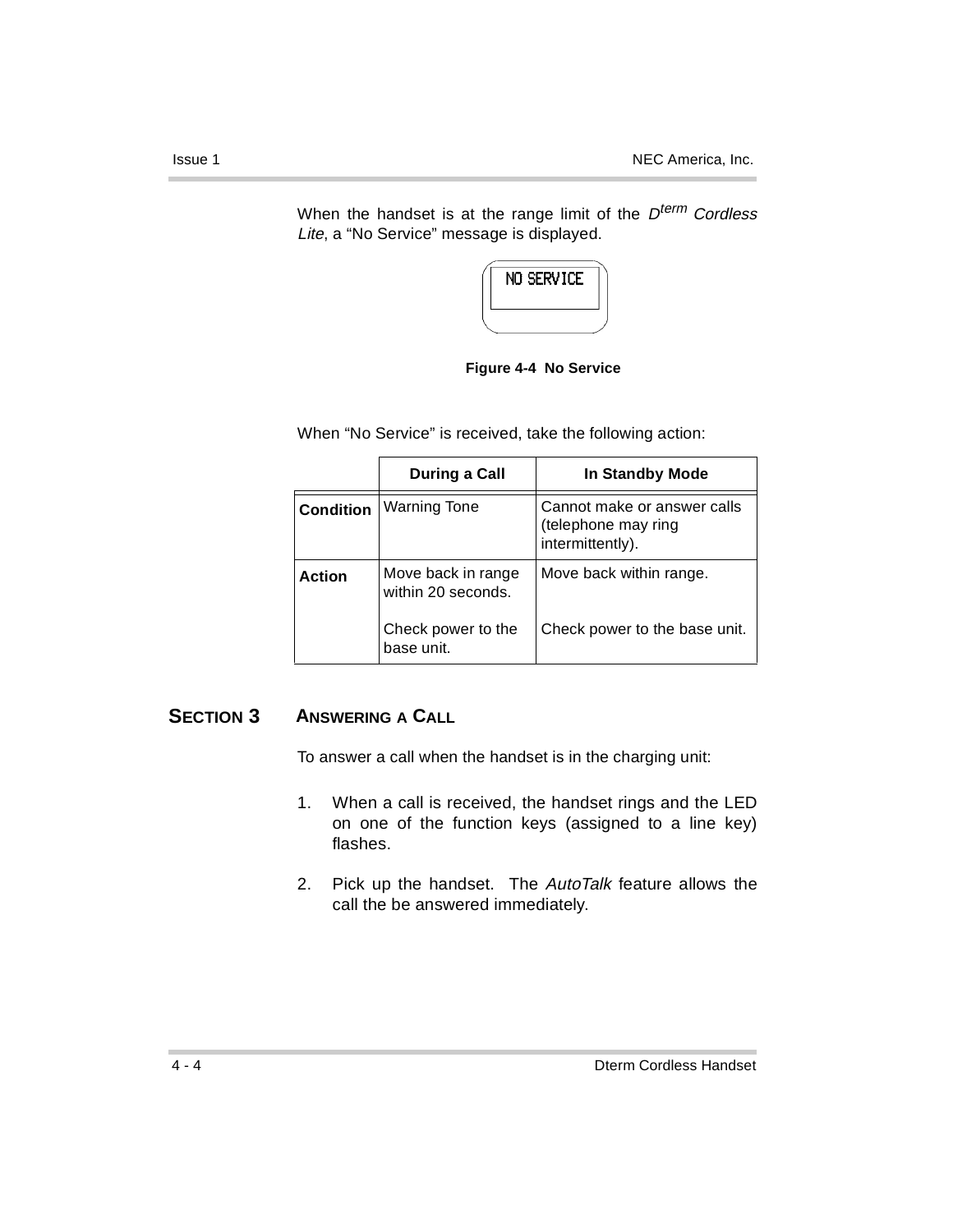When the handset is at the range limit of the  $D^{term}$  Cordless Lite, a "No Service" message is displayed.



**Figure 4-4 No Service**

When "No Service" is received, take the following action:

|                  | During a Call                            | In Standby Mode                                                        |
|------------------|------------------------------------------|------------------------------------------------------------------------|
| <b>Condition</b> | <b>Warning Tone</b>                      | Cannot make or answer calls<br>(telephone may ring<br>intermittently). |
| <b>Action</b>    | Move back in range<br>within 20 seconds. | Move back within range.                                                |
|                  | Check power to the<br>base unit.         | Check power to the base unit.                                          |

### **SECTION 3 ANSWERING A CALL**

To answer a call when the handset is in the charging unit:

- 1. When a call is received, the handset rings and the LED on one of the function keys (assigned to a line key) flashes.
- 2. Pick up the handset. The AutoTalk feature allows the call the be answered immediately.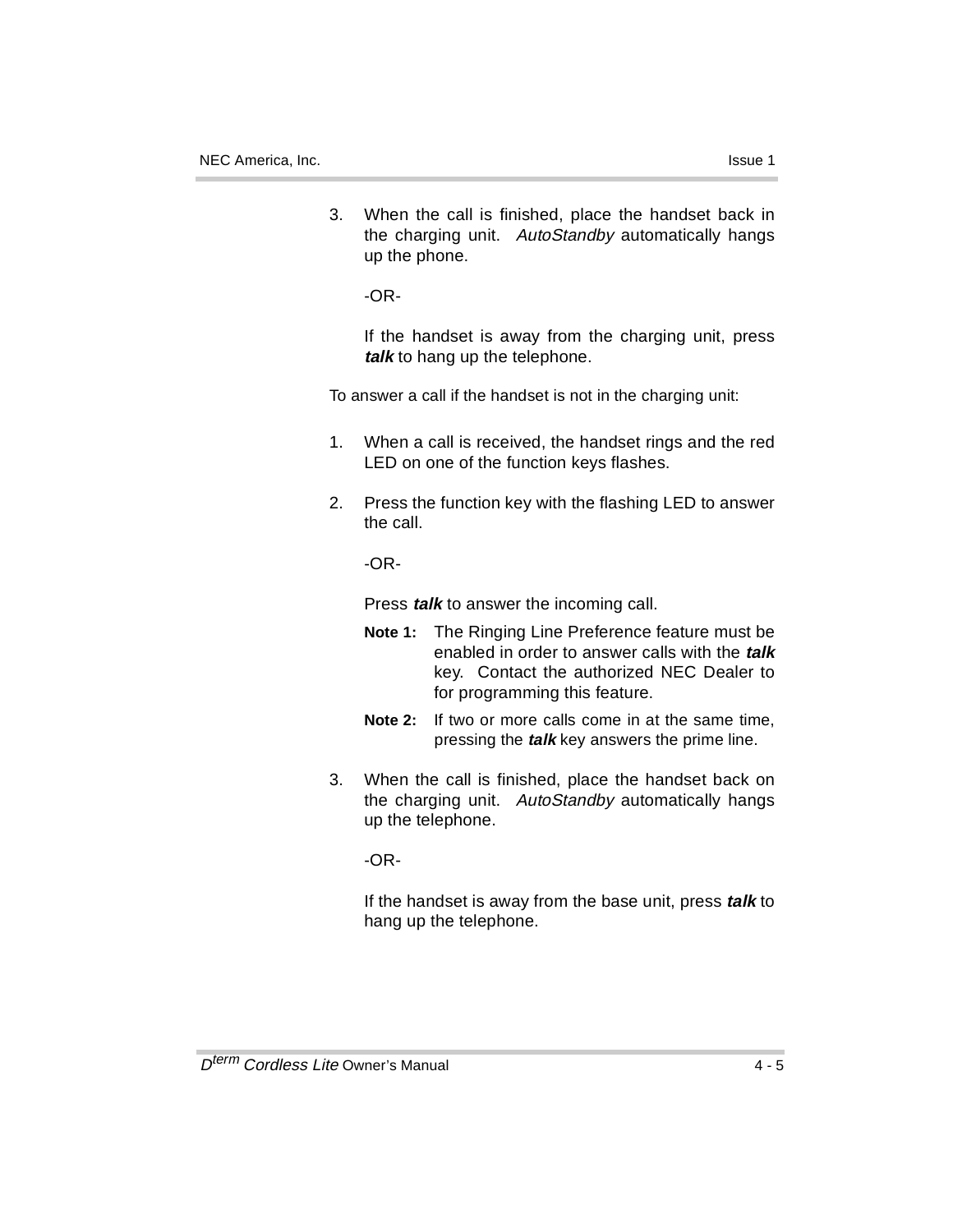3. When the call is finished, place the handset back in the charging unit. AutoStandby automatically hangs up the phone.

-OR-

If the handset is away from the charging unit, press **talk** to hang up the telephone.

To answer a call if the handset is not in the charging unit:

- 1. When a call is received, the handset rings and the red LED on one of the function keys flashes.
- 2. Press the function key with the flashing LED to answer the call.

-OR-

Press **talk** to answer the incoming call.

- **Note 1:** The Ringing Line Preference feature must be enabled in order to answer calls with the **talk** key. Contact the authorized NEC Dealer to for programming this feature.
- **Note 2:** If two or more calls come in at the same time, pressing the **talk** key answers the prime line.
- 3. When the call is finished, place the handset back on the charging unit. AutoStandby automatically hangs up the telephone.

-OR-

If the handset is away from the base unit, press **talk** to hang up the telephone.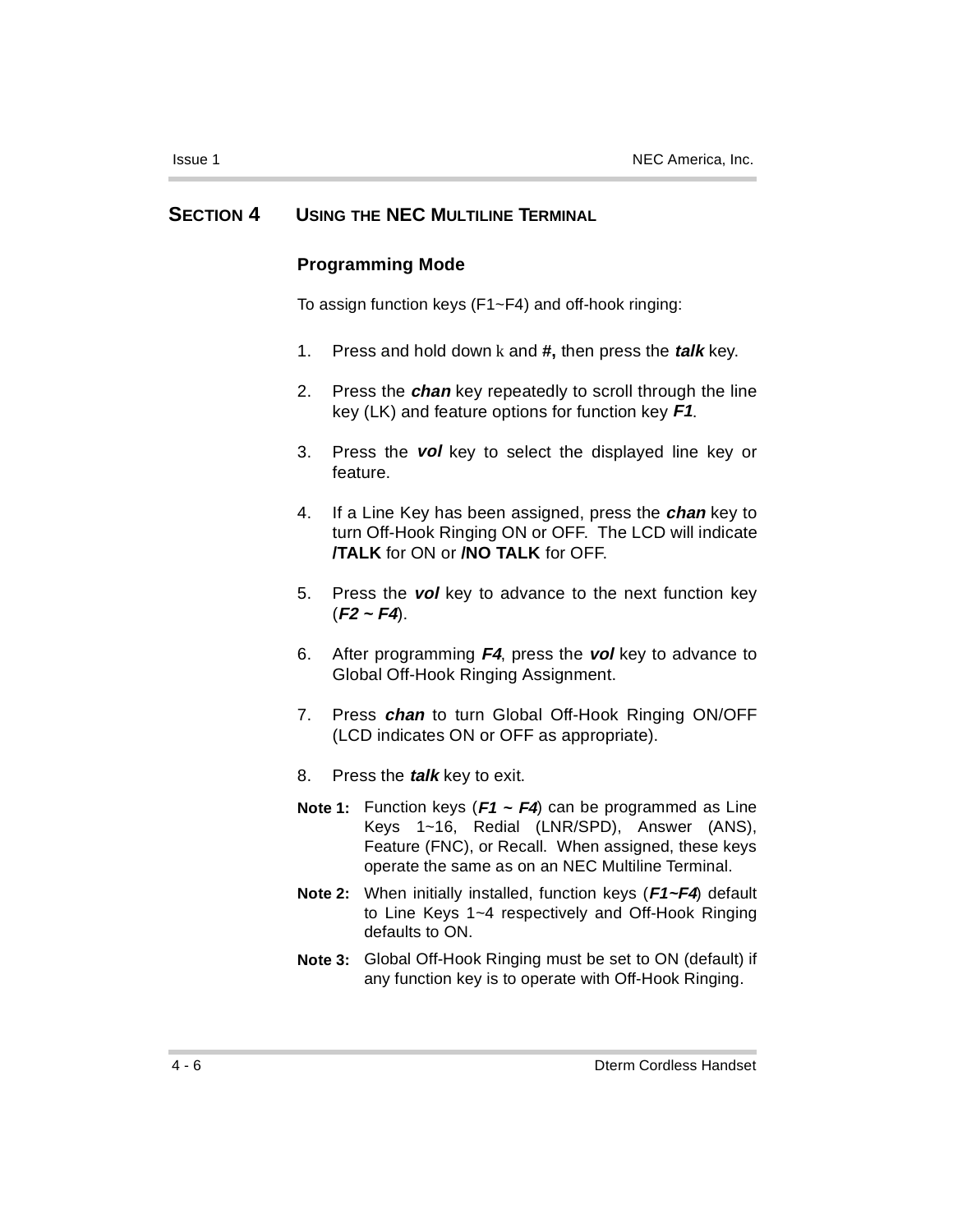### **SECTION 4 USING THE NEC MULTILINE TERMINAL**

### **Programming Mode**

To assign function keys (F1~F4) and off-hook ringing:

- 1. Press and hold down k and **#,** then press the **talk** key.
- 2. Press the **chan** key repeatedly to scroll through the line key (LK) and feature options for function key **F1**.
- 3. Press the **vol** key to select the displayed line key or feature.
- 4. If a Line Key has been assigned, press the **chan** key to turn Off-Hook Ringing ON or OFF. The LCD will indicate **/TALK** for ON or **/NO TALK** for OFF.
- 5. Press the **vol** key to advance to the next function key  $(F2 \sim F4)$ .
- 6. After programming **F4**, press the **vol** key to advance to Global Off-Hook Ringing Assignment.
- 7. Press **chan** to turn Global Off-Hook Ringing ON/OFF (LCD indicates ON or OFF as appropriate).
- 8. Press the **talk** key to exit.
- **Note 1:** Function keys (**F1 ~ F4**) can be programmed as Line Keys 1~16, Redial (LNR/SPD), Answer (ANS), Feature (FNC), or Recall. When assigned, these keys operate the same as on an NEC Multiline Terminal.
- **Note 2:** When initially installed, function keys (**F1~F4**) default to Line Keys 1~4 respectively and Off-Hook Ringing defaults to ON.
- **Note 3:** Global Off-Hook Ringing must be set to ON (default) if any function key is to operate with Off-Hook Ringing.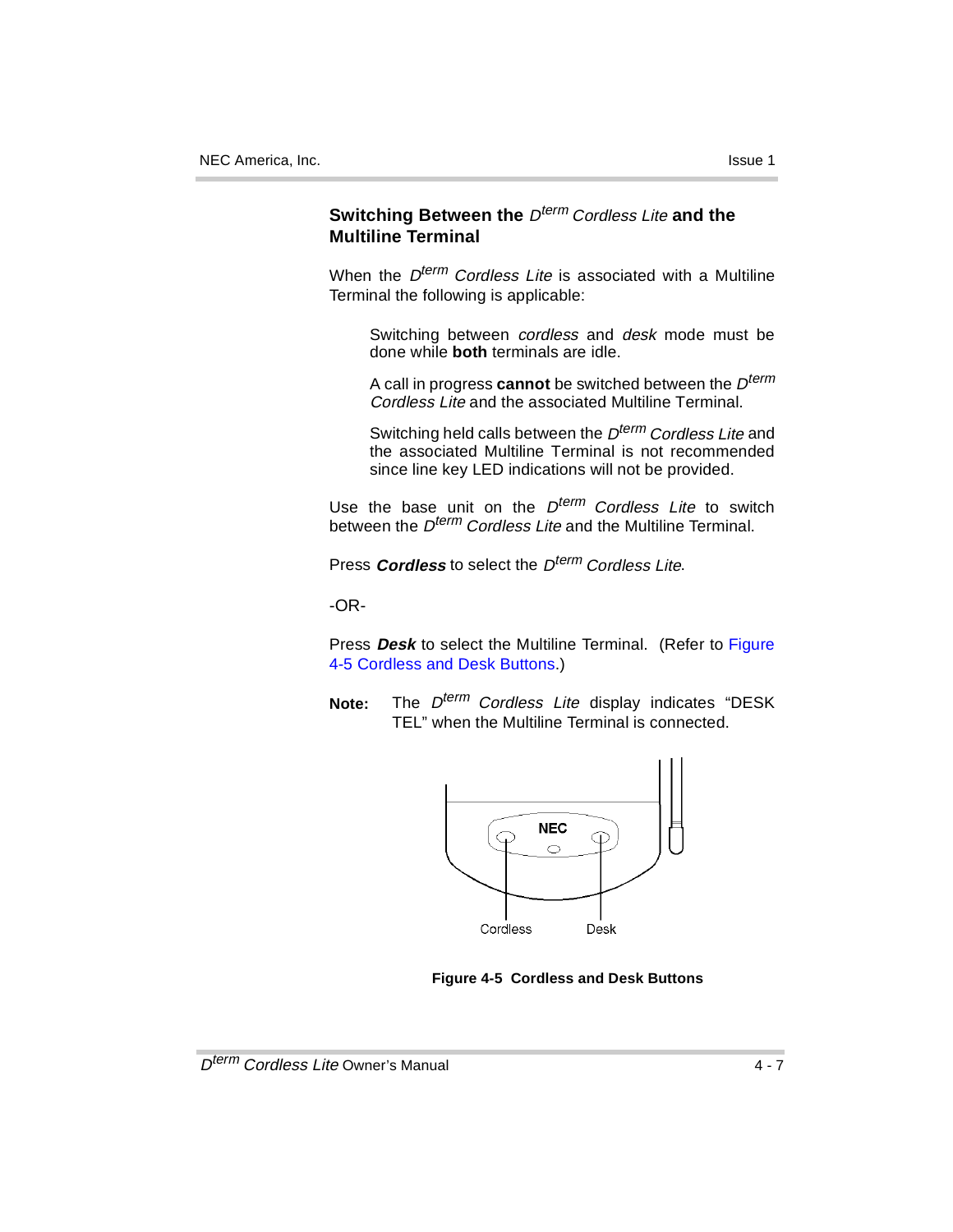### **Switching Between the Dterm Cordless Lite and the Multiline Terminal**

When the  $D^{term}$  Cordless Lite is associated with a Multiline Terminal the following is applicable:

Switching between cordless and desk mode must be done while **both** terminals are idle.

A call in progress **cannot** be switched between the  $D^{term}$ Cordless Lite and the associated Multiline Terminal.

Switching held calls between the D<sup>term</sup> Cordless Lite and the associated Multiline Terminal is not recommended since line key LED indications will not be provided.

Use the base unit on the  $D^{term}$  Cordless Lite to switch between the D<sup>term</sup> Cordless Lite and the Multiline Terminal.

Press **Cordless** to select the D<sup>term</sup> Cordless Lite.

-OR-

Press **Desk** to select the Multiline Terminal. (Refer to Figure 4-5 Cordless and Desk Buttons.)

Note: The D<sup>term</sup> Cordless Lite display indicates "DESK TEL" when the Multiline Terminal is connected.



**Figure 4-5 Cordless and Desk Buttons**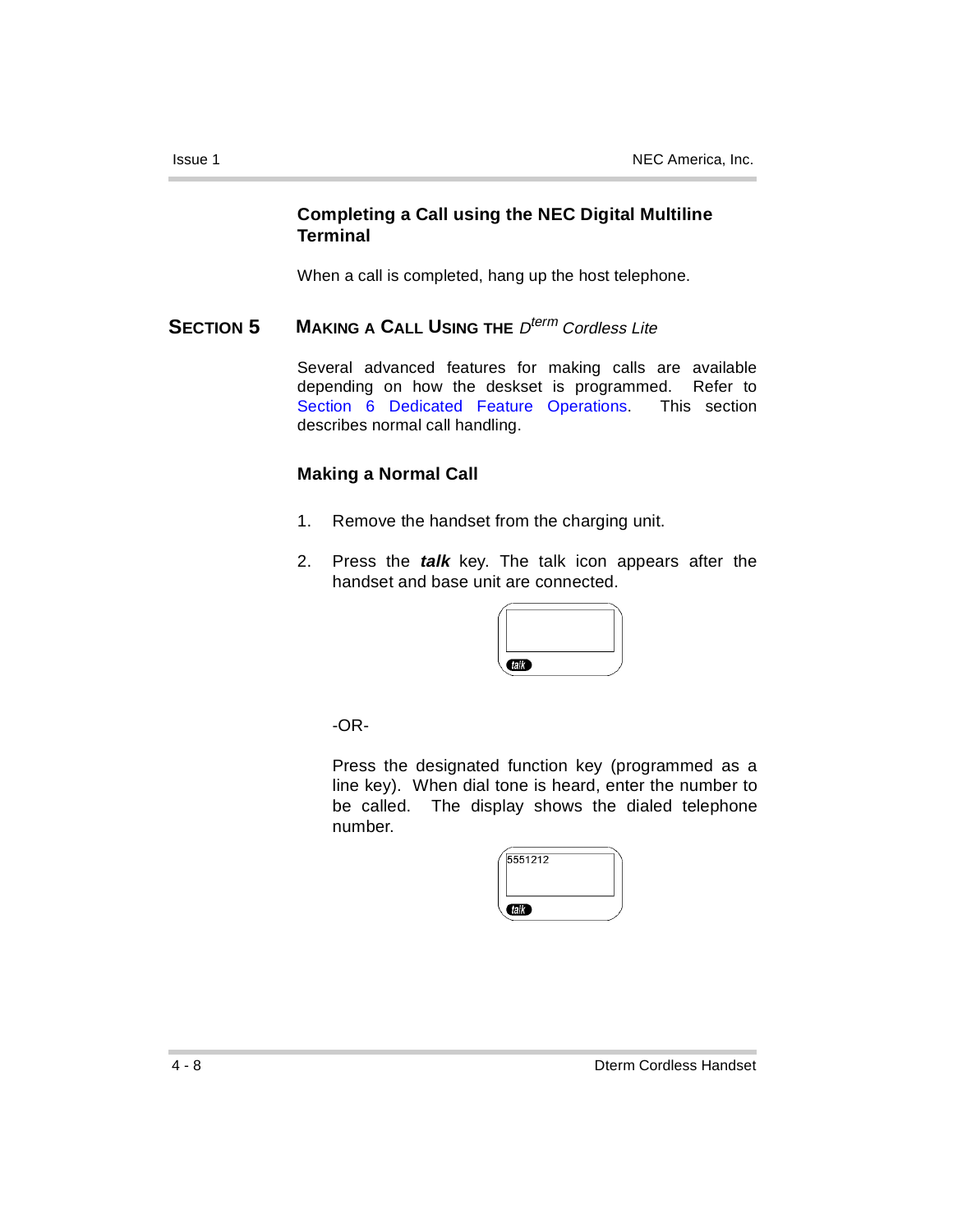### **Completing a Call using the NEC Digital Multiline Terminal**

When a call is completed, hang up the host telephone.

### **SECTION 5 MAKING A CALL USING THE**  $D^{term}$  Cordless Lite

Several advanced features for making calls are available depending on how the deskset is programmed. Refer to Section 6 Dedicated Feature Operations. This section describes normal call handling.

### **Making a Normal Call**

- 1. Remove the handset from the charging unit.
- 2. Press the **talk** key. The talk icon appears after the handset and base unit are connected.

| <b>CELL'S</b> |  |
|---------------|--|

-OR-

Press the designated function key (programmed as a line key). When dial tone is heard, enter the number to be called. The display shows the dialed telephone number.

| 5551212 |  |
|---------|--|
|         |  |
| talk    |  |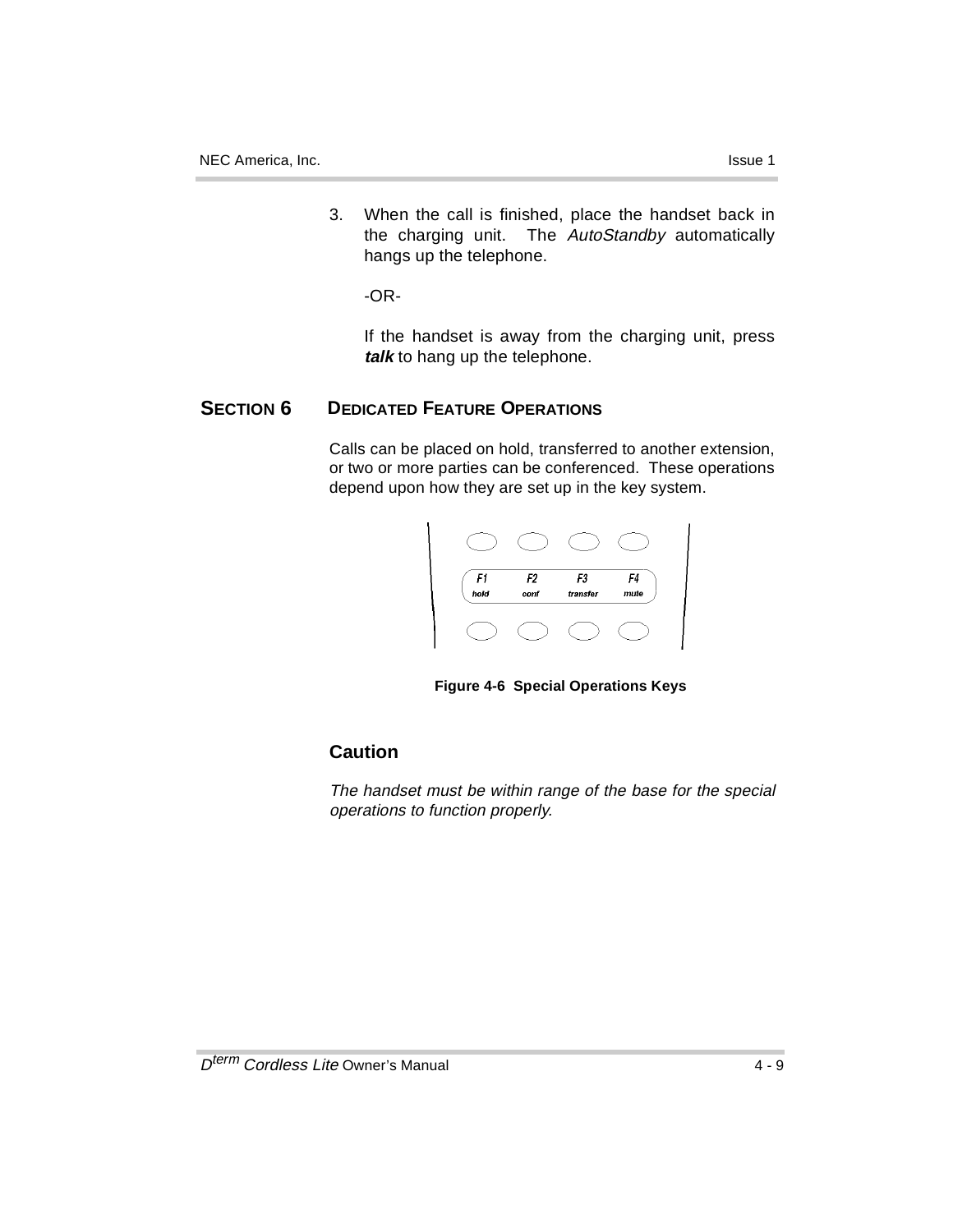3. When the call is finished, place the handset back in the charging unit. The AutoStandby automatically hangs up the telephone.

-OR-

If the handset is away from the charging unit, press **talk** to hang up the telephone.

### **SECTION 6 DEDICATED FEATURE OPERATIONS**

Calls can be placed on hold, transferred to another extension, or two or more parties can be conferenced. These operations depend upon how they are set up in the key system.



**Figure 4-6 Special Operations Keys**

### **Caution**

The handset must be within range of the base for the special operations to function properly.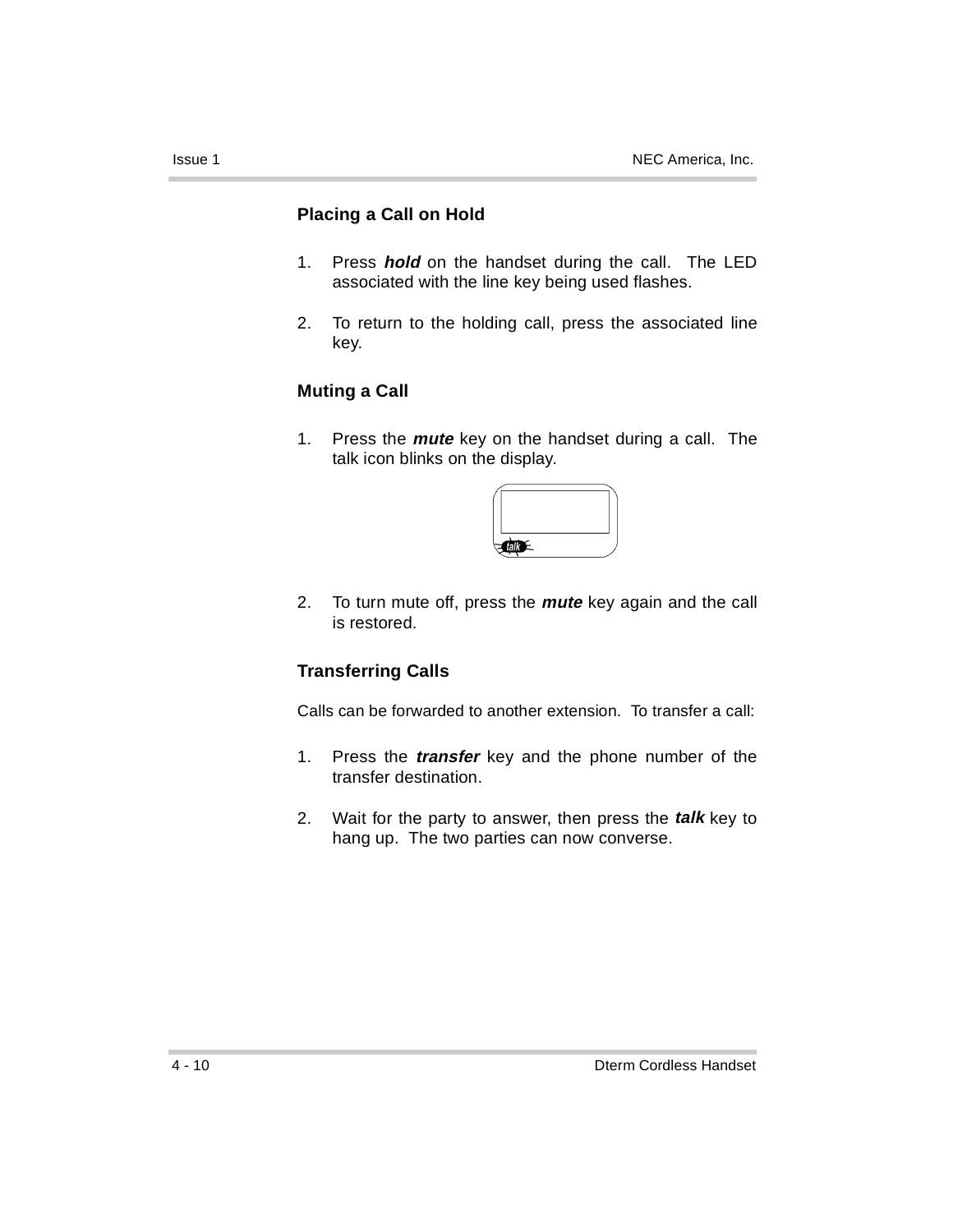### **Placing a Call on Hold**

- 1. Press **hold** on the handset during the call. The LED associated with the line key being used flashes.
- 2. To return to the holding call, press the associated line key.

### **Muting a Call**

1. Press the **mute** key on the handset during a call. The talk icon blinks on the display.



2. To turn mute off, press the **mute** key again and the call is restored.

### **Transferring Calls**

Calls can be forwarded to another extension. To transfer a call:

- 1. Press the **transfer** key and the phone number of the transfer destination.
- 2. Wait for the party to answer, then press the **talk** key to hang up. The two parties can now converse.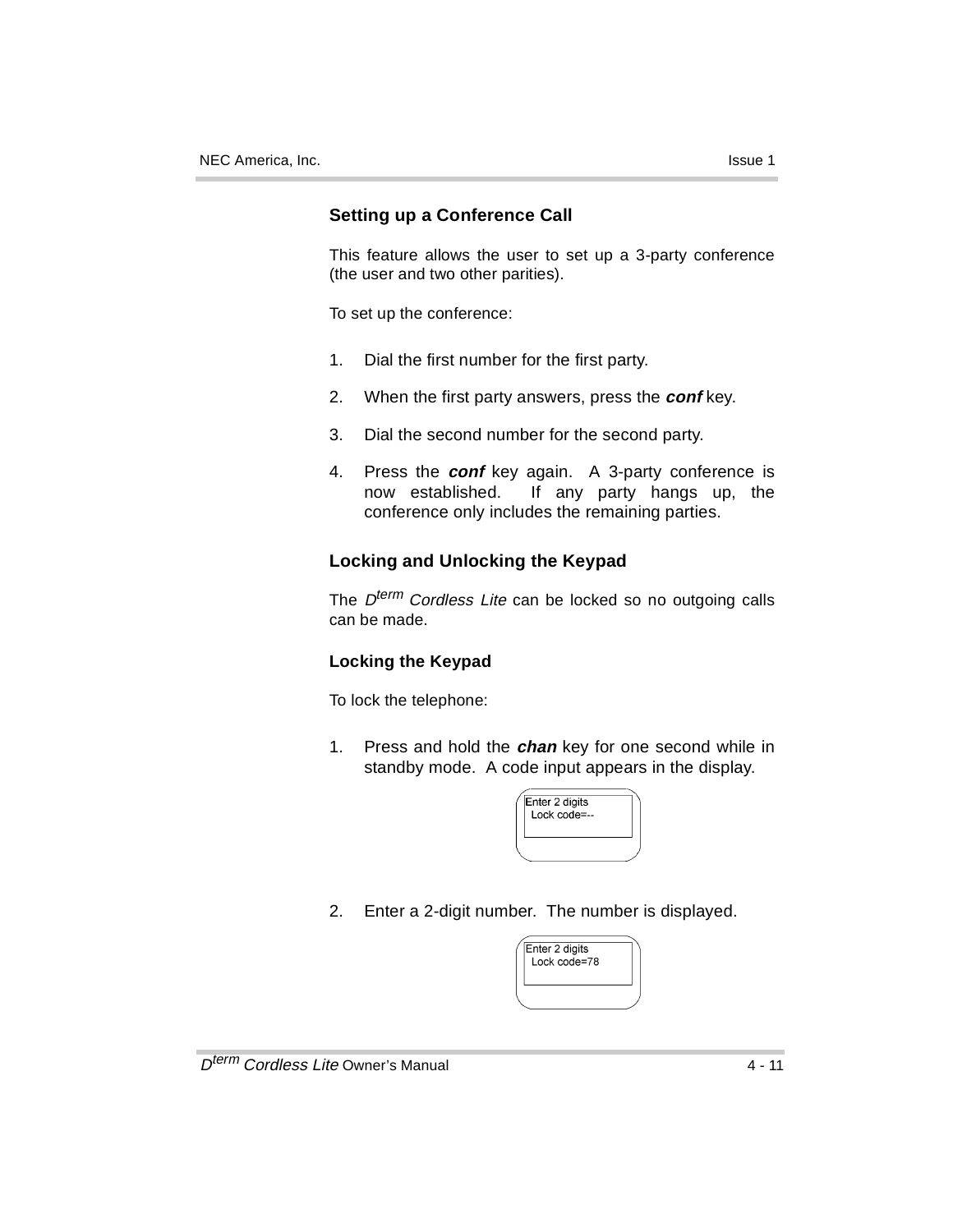### **Setting up a Conference Call**

This feature allows the user to set up a 3-party conference (the user and two other parities).

To set up the conference:

- 1. Dial the first number for the first party.
- 2. When the first party answers, press the **conf** key.
- 3. Dial the second number for the second party.
- 4. Press the **conf** key again. A 3-party conference is now established. If any party hangs up, the conference only includes the remaining parties.

### **Locking and Unlocking the Keypad**

The  $D^{term}$  Cordless Lite can be locked so no outgoing calls can be made.

### **Locking the Keypad**

To lock the telephone:

1. Press and hold the **chan** key for one second while in standby mode. A code input appears in the display.

| Enter 2 digits<br>Lock code=-- |  |
|--------------------------------|--|
|                                |  |

2. Enter a 2-digit number. The number is displayed.

| Enter 2 digits<br>Lock code=78 |  |
|--------------------------------|--|
|                                |  |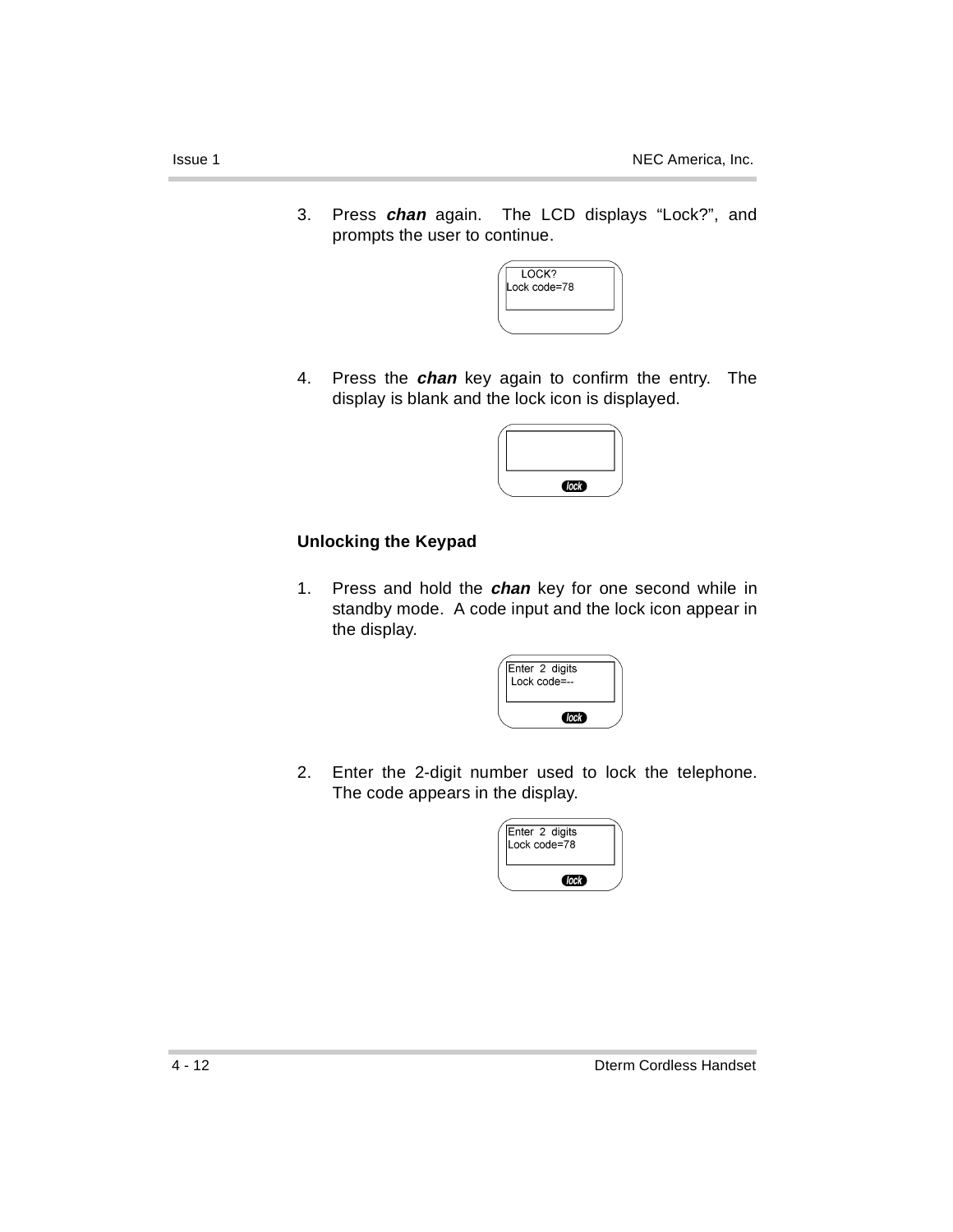3. Press **chan** again. The LCD displays "Lock?", and prompts the user to continue.



4. Press the **chan** key again to confirm the entry. The display is blank and the lock icon is displayed.

| C |  |
|---|--|

### **Unlocking the Keypad**

1. Press and hold the **chan** key for one second while in standby mode. A code input and the lock icon appear in the display.

| Enter 2 digits<br>Lock code=-- |  |
|--------------------------------|--|
| (lock)                         |  |

2. Enter the 2-digit number used to lock the telephone. The code appears in the display.

| Enter 2 digits<br>Lock code=78 |  |
|--------------------------------|--|
| Clock <sup>2</sup>             |  |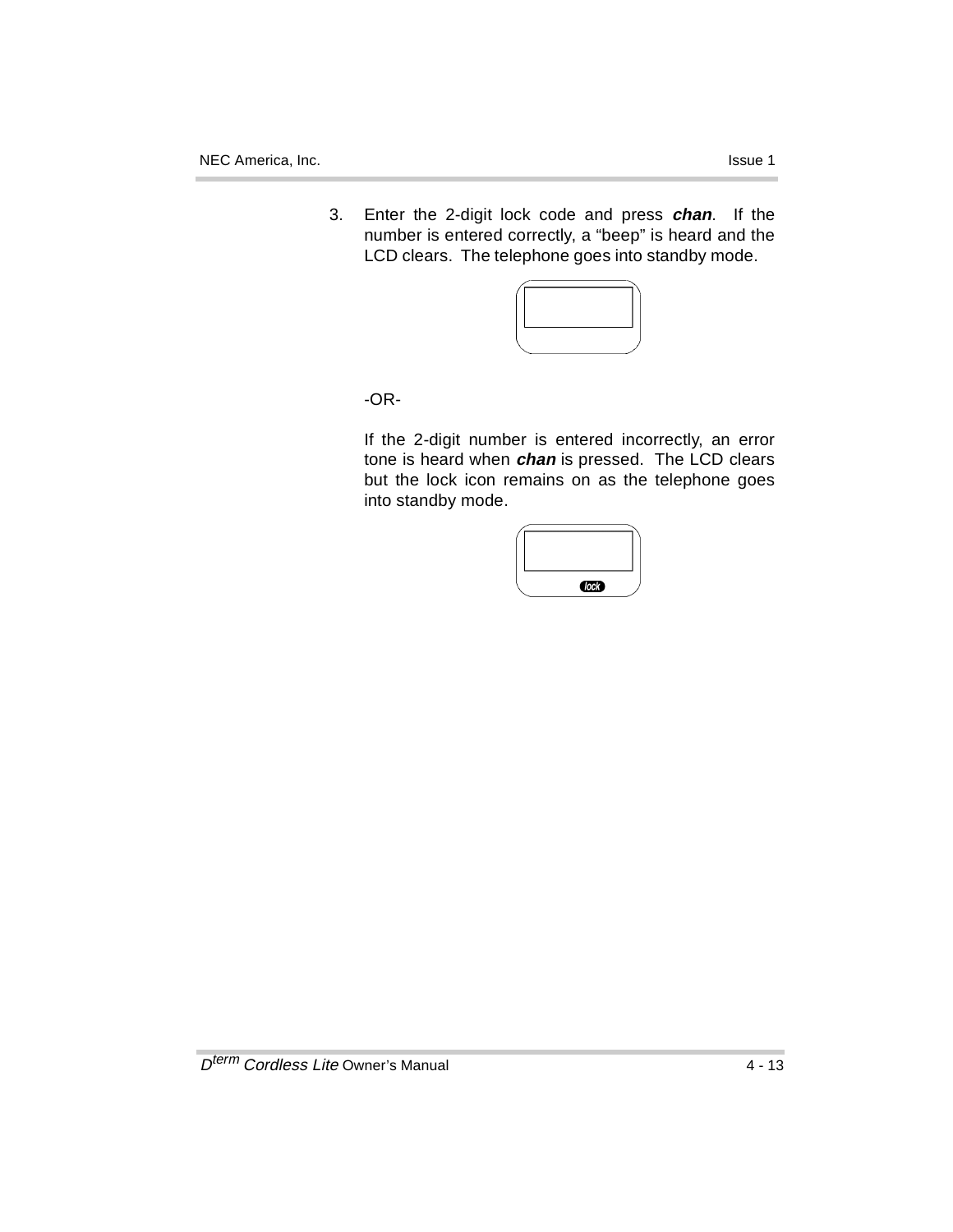- 
- 3. Enter the 2-digit lock code and press **chan**. If the number is entered correctly, a "beep" is heard and the LCD clears. The telephone goes into standby mode.



-OR-

If the 2-digit number is entered incorrectly, an error tone is heard when **chan** is pressed. The LCD clears but the lock icon remains on as the telephone goes into standby mode.

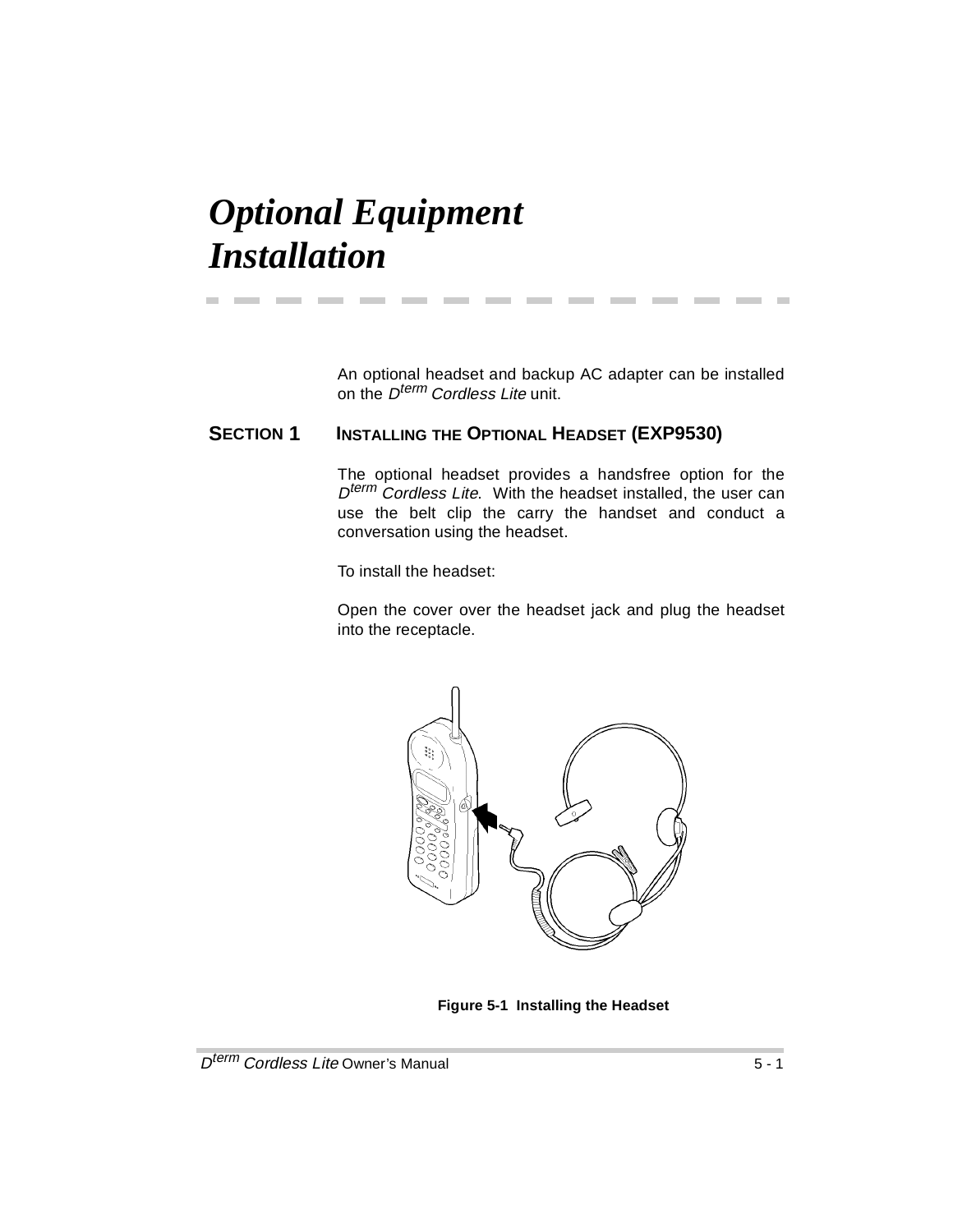## *Optional Equipment Installation*

An optional headset and backup AC adapter can be installed on the D<sup>term</sup> Cordless Lite unit.

**The State** 

### **SECTION 1 INSTALLING THE OPTIONAL HEADSET (EXP9530)**

**Contract Contract** 

**Contract** 

**Contract Contract** 

The optional headset provides a handsfree option for the  $D^{term}$  Cordless Lite. With the headset installed, the user can use the belt clip the carry the handset and conduct a conversation using the headset.

To install the headset:

**Contract Contract** 

Open the cover over the headset jack and plug the headset into the receptacle.



**Figure 5-1 Installing the Headset**

**COL**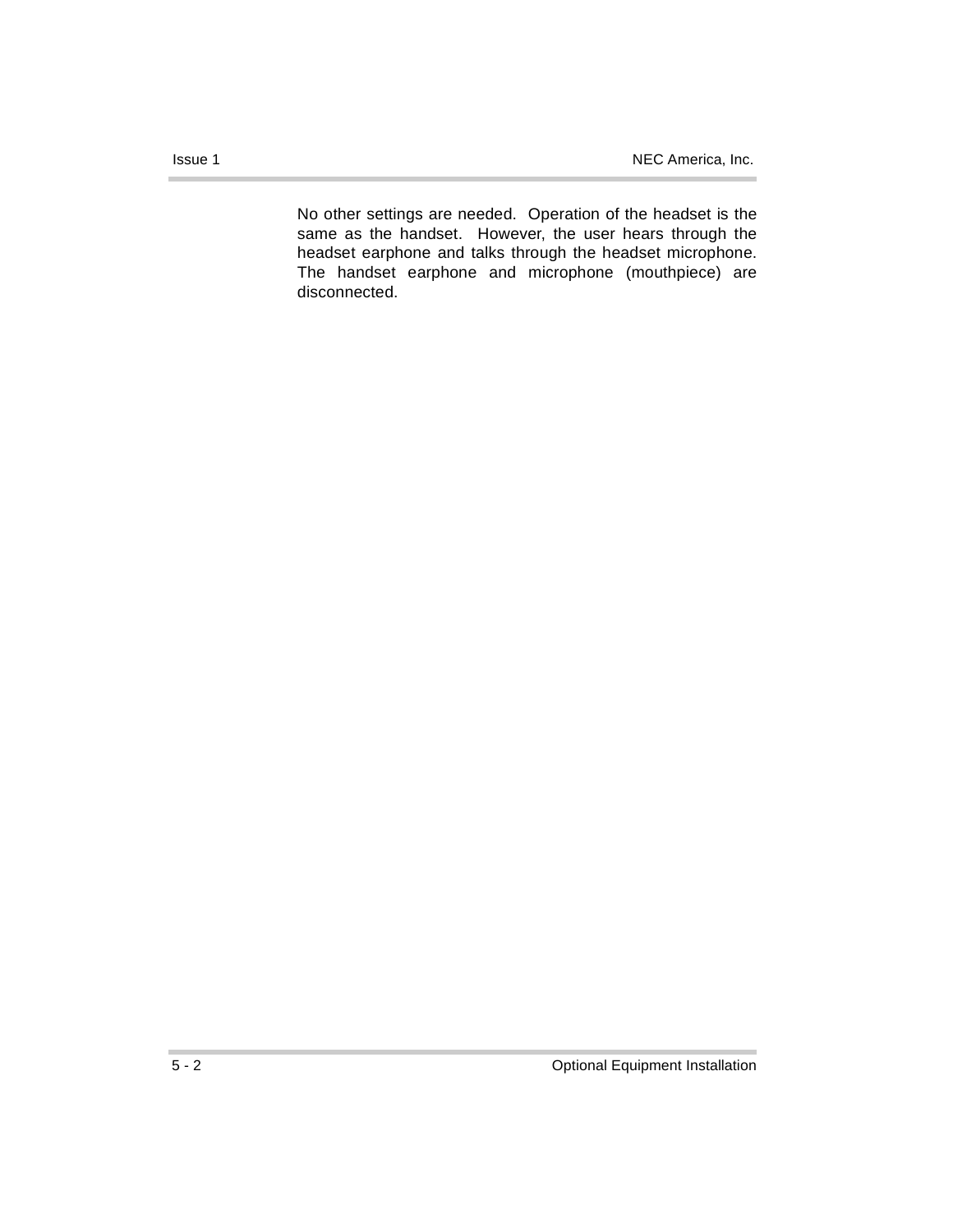No other settings are needed. Operation of the headset is the same as the handset. However, the user hears through the headset earphone and talks through the headset microphone. The handset earphone and microphone (mouthpiece) are disconnected.

×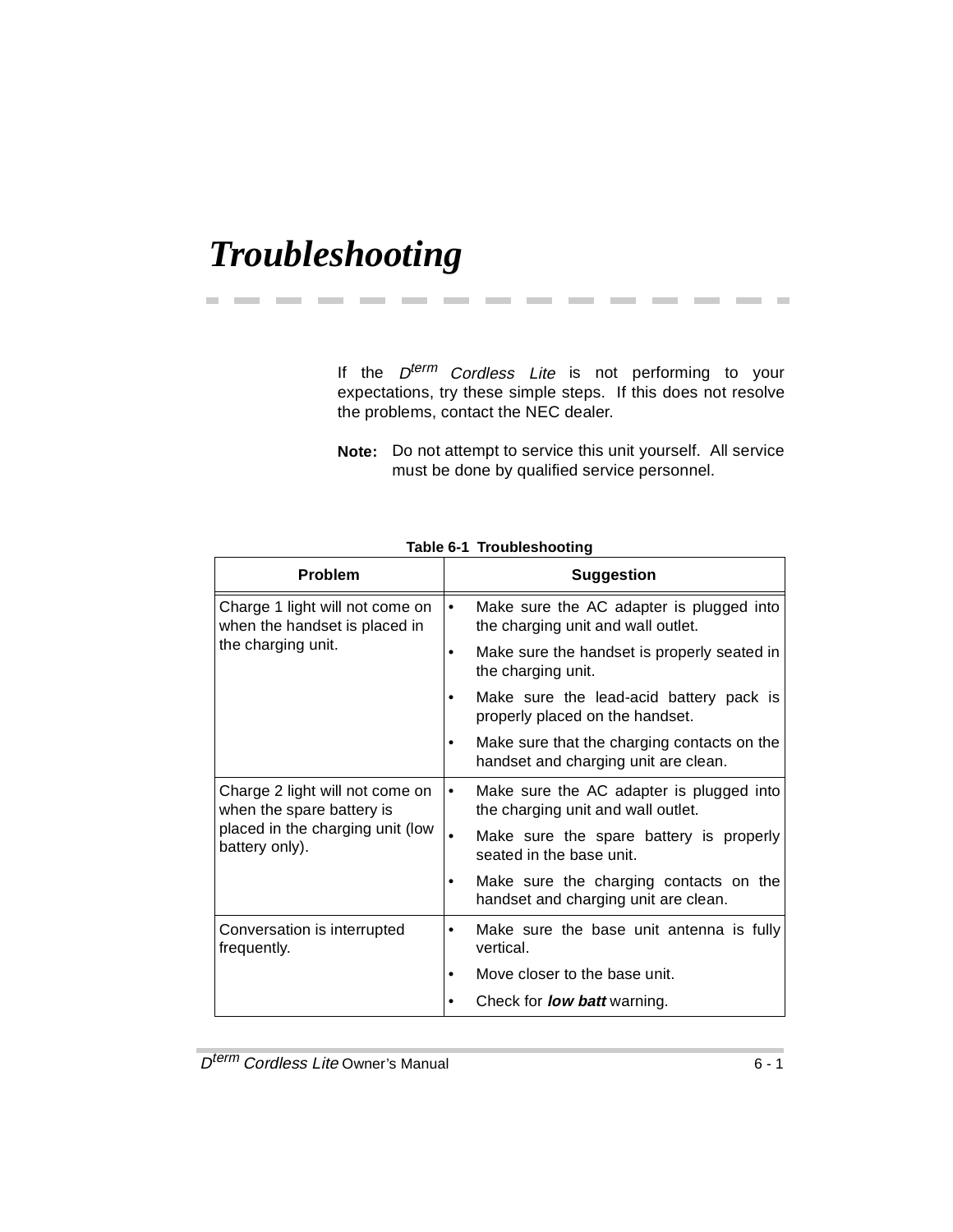## *Troubleshooting*

If the  $D^{term}$  Cordless Lite is not performing to your expectations, try these simple steps. If this does not resolve the problems, contact the NEC dealer.

**Note:** Do not attempt to service this unit yourself. All service must be done by qualified service personnel.

| <b>Problem</b>                                                   | <b>Suggestion</b>                                                                           |
|------------------------------------------------------------------|---------------------------------------------------------------------------------------------|
| Charge 1 light will not come on<br>when the handset is placed in | Make sure the AC adapter is plugged into<br>$\bullet$<br>the charging unit and wall outlet. |
| the charging unit.                                               | Make sure the handset is properly seated in<br>the charging unit.                           |
|                                                                  | Make sure the lead-acid battery pack is<br>properly placed on the handset.                  |
|                                                                  | Make sure that the charging contacts on the<br>handset and charging unit are clean.         |
| Charge 2 light will not come on<br>when the spare battery is     | Make sure the AC adapter is plugged into<br>٠<br>the charging unit and wall outlet.         |
| placed in the charging unit (low<br>battery only).               | Make sure the spare battery is properly<br>seated in the base unit.                         |
|                                                                  | Make sure the charging contacts on the<br>handset and charging unit are clean.              |
| Conversation is interrupted<br>frequently.                       | Make sure the base unit antenna is fully<br>٠<br>vertical.                                  |
|                                                                  | Move closer to the base unit.                                                               |
|                                                                  | Check for <b>low batt</b> warning.                                                          |

**Table 6-1 Troubleshooting**

---------------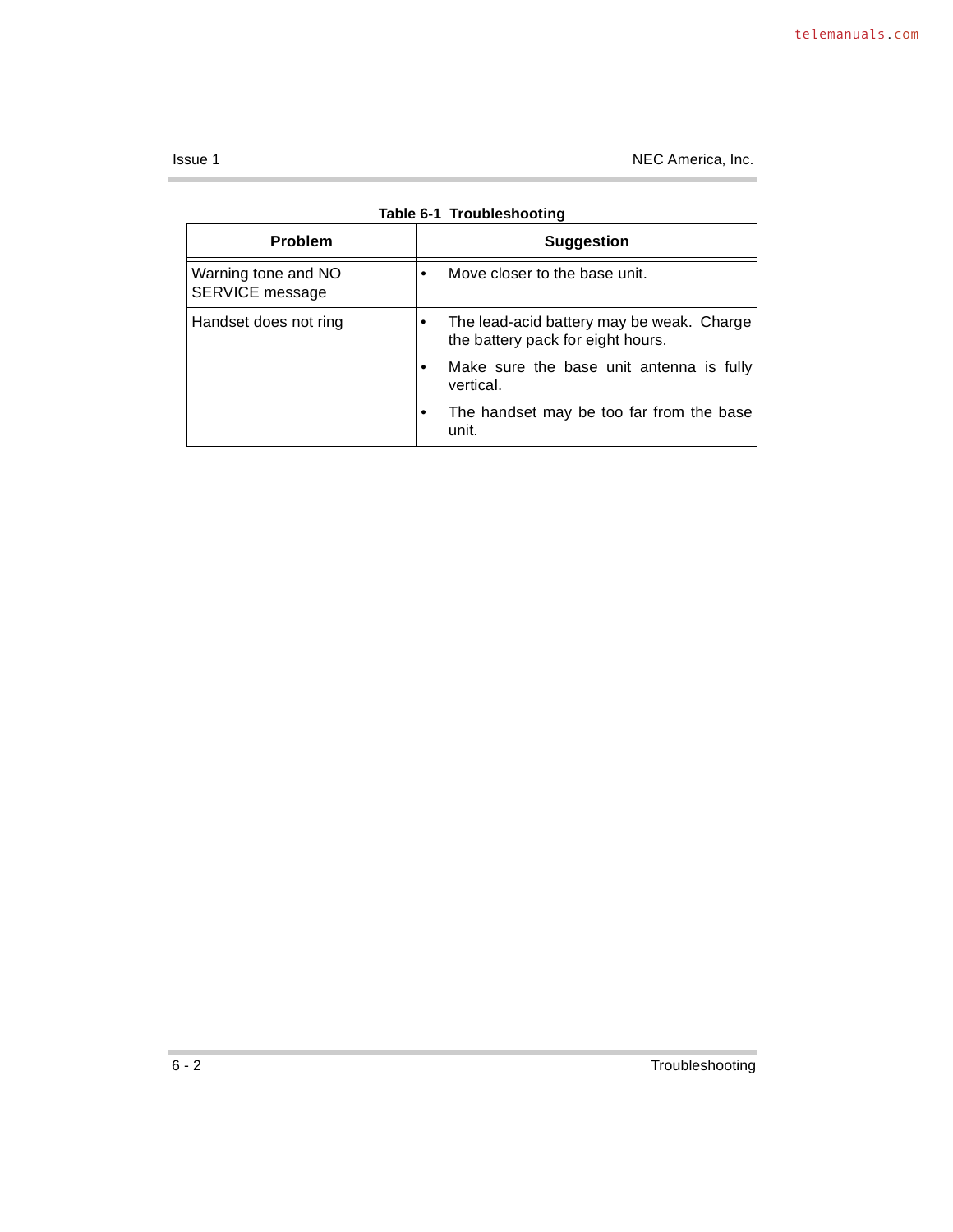Issue 1 NEC America, Inc.

| Table 6-1 Troubleshooting              |                                                                                |  |
|----------------------------------------|--------------------------------------------------------------------------------|--|
| <b>Problem</b>                         | <b>Suggestion</b>                                                              |  |
| Warning tone and NO<br>SERVICE message | Move closer to the base unit.                                                  |  |
| Handset does not ring                  | The lead-acid battery may be weak. Charge<br>the battery pack for eight hours. |  |
|                                        | Make sure the base unit antenna is fully<br>vertical.                          |  |
|                                        | The handset may be too far from the base<br>unit.                              |  |

×.